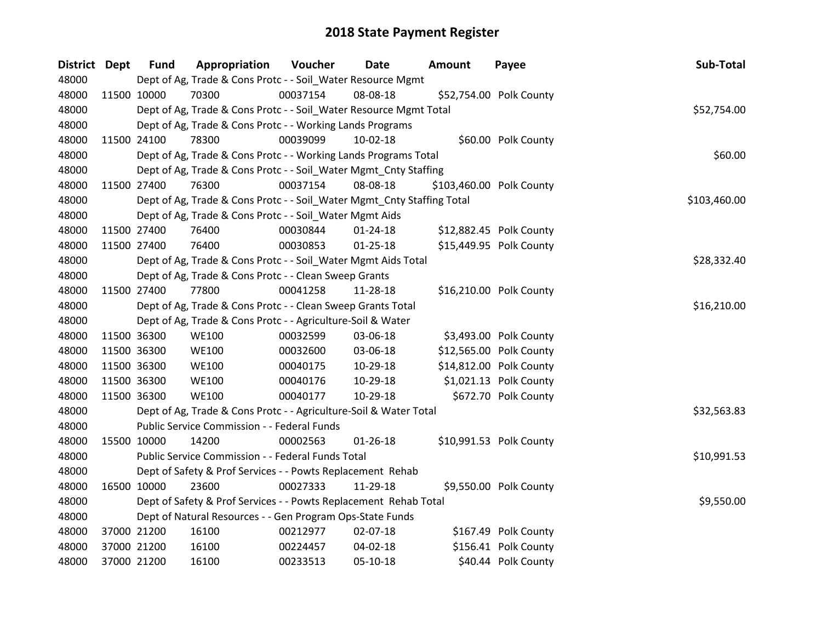| <b>District</b> | Dept        | <b>Fund</b> | Appropriation                                                          | Voucher  | Date           | <b>Amount</b> | Payee                    | Sub-Total    |
|-----------------|-------------|-------------|------------------------------------------------------------------------|----------|----------------|---------------|--------------------------|--------------|
| 48000           |             |             | Dept of Ag, Trade & Cons Protc - - Soil_Water Resource Mgmt            |          |                |               |                          |              |
| 48000           | 11500 10000 |             | 70300                                                                  | 00037154 | 08-08-18       |               | \$52,754.00 Polk County  |              |
| 48000           |             |             | Dept of Ag, Trade & Cons Protc - - Soil_Water Resource Mgmt Total      |          |                |               |                          | \$52,754.00  |
| 48000           |             |             | Dept of Ag, Trade & Cons Protc - - Working Lands Programs              |          |                |               |                          |              |
| 48000           | 11500 24100 |             | 78300                                                                  | 00039099 | 10-02-18       |               | \$60.00 Polk County      |              |
| 48000           |             |             | Dept of Ag, Trade & Cons Protc - - Working Lands Programs Total        |          |                |               |                          | \$60.00      |
| 48000           |             |             | Dept of Ag, Trade & Cons Protc - - Soil_Water Mgmt_Cnty Staffing       |          |                |               |                          |              |
| 48000           | 11500 27400 |             | 76300                                                                  | 00037154 | 08-08-18       |               | \$103,460.00 Polk County |              |
| 48000           |             |             | Dept of Ag, Trade & Cons Protc - - Soil_Water Mgmt_Cnty Staffing Total |          |                |               |                          | \$103,460.00 |
| 48000           |             |             | Dept of Ag, Trade & Cons Protc - - Soil_Water Mgmt Aids                |          |                |               |                          |              |
| 48000           | 11500 27400 |             | 76400                                                                  | 00030844 | $01 - 24 - 18$ |               | \$12,882.45 Polk County  |              |
| 48000           | 11500 27400 |             | 76400                                                                  | 00030853 | $01 - 25 - 18$ |               | \$15,449.95 Polk County  |              |
| 48000           |             |             | Dept of Ag, Trade & Cons Protc - - Soil_Water Mgmt Aids Total          |          |                |               |                          | \$28,332.40  |
| 48000           |             |             | Dept of Ag, Trade & Cons Protc - - Clean Sweep Grants                  |          |                |               |                          |              |
| 48000           | 11500 27400 |             | 77800                                                                  | 00041258 | 11-28-18       |               | \$16,210.00 Polk County  |              |
| 48000           |             |             | Dept of Ag, Trade & Cons Protc - - Clean Sweep Grants Total            |          |                |               |                          | \$16,210.00  |
| 48000           |             |             | Dept of Ag, Trade & Cons Protc - - Agriculture-Soil & Water            |          |                |               |                          |              |
| 48000           | 11500 36300 |             | <b>WE100</b>                                                           | 00032599 | 03-06-18       |               | \$3,493.00 Polk County   |              |
| 48000           | 11500 36300 |             | <b>WE100</b>                                                           | 00032600 | 03-06-18       |               | \$12,565.00 Polk County  |              |
| 48000           |             | 11500 36300 | <b>WE100</b>                                                           | 00040175 | 10-29-18       |               | \$14,812.00 Polk County  |              |
| 48000           |             | 11500 36300 | <b>WE100</b>                                                           | 00040176 | 10-29-18       |               | \$1,021.13 Polk County   |              |
| 48000           | 11500 36300 |             | <b>WE100</b>                                                           | 00040177 | 10-29-18       |               | \$672.70 Polk County     |              |
| 48000           |             |             | Dept of Ag, Trade & Cons Protc - - Agriculture-Soil & Water Total      |          |                |               |                          | \$32,563.83  |
| 48000           |             |             | Public Service Commission - - Federal Funds                            |          |                |               |                          |              |
| 48000           | 15500 10000 |             | 14200                                                                  | 00002563 | $01 - 26 - 18$ |               | \$10,991.53 Polk County  |              |
| 48000           |             |             | Public Service Commission - - Federal Funds Total                      |          |                |               |                          | \$10,991.53  |
| 48000           |             |             | Dept of Safety & Prof Services - - Powts Replacement Rehab             |          |                |               |                          |              |
| 48000           | 16500 10000 |             | 23600                                                                  | 00027333 | 11-29-18       |               | \$9,550.00 Polk County   |              |
| 48000           |             |             | Dept of Safety & Prof Services - - Powts Replacement Rehab Total       |          |                |               |                          | \$9,550.00   |
| 48000           |             |             | Dept of Natural Resources - - Gen Program Ops-State Funds              |          |                |               |                          |              |
| 48000           |             | 37000 21200 | 16100                                                                  | 00212977 | 02-07-18       |               | \$167.49 Polk County     |              |
| 48000           |             | 37000 21200 | 16100                                                                  | 00224457 | 04-02-18       |               | \$156.41 Polk County     |              |
| 48000           | 37000 21200 |             | 16100                                                                  | 00233513 | 05-10-18       |               | \$40.44 Polk County      |              |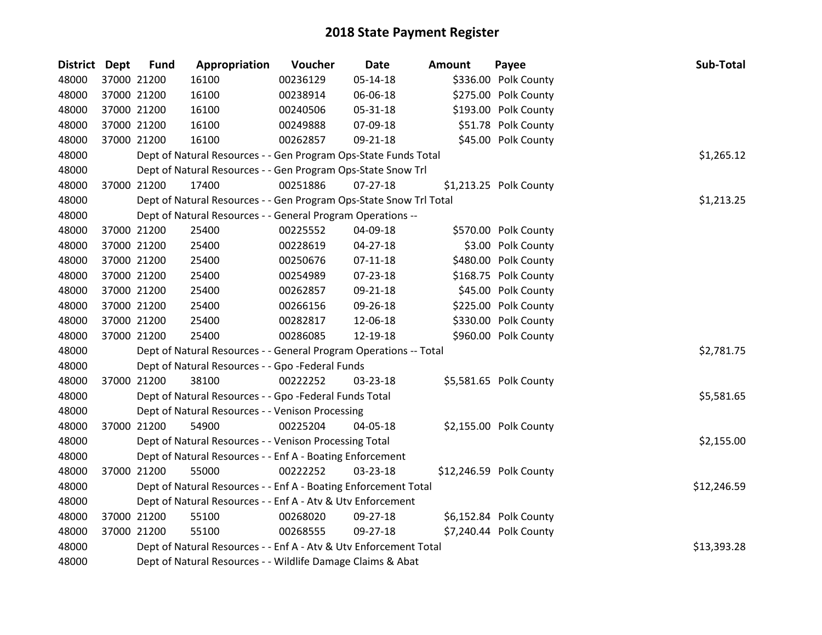| <b>District Dept</b> | <b>Fund</b> | Appropriation                                                      | Voucher  | <b>Date</b>    | <b>Amount</b> | Payee                   | Sub-Total   |
|----------------------|-------------|--------------------------------------------------------------------|----------|----------------|---------------|-------------------------|-------------|
| 48000                | 37000 21200 | 16100                                                              | 00236129 | 05-14-18       |               | \$336.00 Polk County    |             |
| 48000                | 37000 21200 | 16100                                                              | 00238914 | 06-06-18       |               | \$275.00 Polk County    |             |
| 48000                | 37000 21200 | 16100                                                              | 00240506 | 05-31-18       |               | \$193.00 Polk County    |             |
| 48000                | 37000 21200 | 16100                                                              | 00249888 | 07-09-18       |               | \$51.78 Polk County     |             |
| 48000                | 37000 21200 | 16100                                                              | 00262857 | 09-21-18       |               | \$45.00 Polk County     |             |
| 48000                |             | Dept of Natural Resources - - Gen Program Ops-State Funds Total    |          |                |               |                         | \$1,265.12  |
| 48000                |             | Dept of Natural Resources - - Gen Program Ops-State Snow Trl       |          |                |               |                         |             |
| 48000                | 37000 21200 | 17400                                                              | 00251886 | $07 - 27 - 18$ |               | \$1,213.25 Polk County  |             |
| 48000                |             | Dept of Natural Resources - - Gen Program Ops-State Snow Trl Total |          |                |               |                         | \$1,213.25  |
| 48000                |             | Dept of Natural Resources - - General Program Operations --        |          |                |               |                         |             |
| 48000                | 37000 21200 | 25400                                                              | 00225552 | 04-09-18       |               | \$570.00 Polk County    |             |
| 48000                | 37000 21200 | 25400                                                              | 00228619 | 04-27-18       |               | \$3.00 Polk County      |             |
| 48000                | 37000 21200 | 25400                                                              | 00250676 | $07-11-18$     |               | \$480.00 Polk County    |             |
| 48000                | 37000 21200 | 25400                                                              | 00254989 | 07-23-18       |               | \$168.75 Polk County    |             |
| 48000                | 37000 21200 | 25400                                                              | 00262857 | 09-21-18       |               | \$45.00 Polk County     |             |
| 48000                | 37000 21200 | 25400                                                              | 00266156 | 09-26-18       |               | \$225.00 Polk County    |             |
| 48000                | 37000 21200 | 25400                                                              | 00282817 | 12-06-18       |               | \$330.00 Polk County    |             |
| 48000                | 37000 21200 | 25400                                                              | 00286085 | 12-19-18       |               | \$960.00 Polk County    |             |
| 48000                |             | Dept of Natural Resources - - General Program Operations -- Total  |          |                |               |                         | \$2,781.75  |
| 48000                |             | Dept of Natural Resources - - Gpo -Federal Funds                   |          |                |               |                         |             |
| 48000                | 37000 21200 | 38100                                                              | 00222252 | 03-23-18       |               | \$5,581.65 Polk County  |             |
| 48000                |             | Dept of Natural Resources - - Gpo -Federal Funds Total             |          |                |               |                         | \$5,581.65  |
| 48000                |             | Dept of Natural Resources - - Venison Processing                   |          |                |               |                         |             |
| 48000                | 37000 21200 | 54900                                                              | 00225204 | 04-05-18       |               | \$2,155.00 Polk County  |             |
| 48000                |             | Dept of Natural Resources - - Venison Processing Total             |          |                |               |                         | \$2,155.00  |
| 48000                |             | Dept of Natural Resources - - Enf A - Boating Enforcement          |          |                |               |                         |             |
| 48000                | 37000 21200 | 55000                                                              | 00222252 | 03-23-18       |               | \$12,246.59 Polk County |             |
| 48000                |             | Dept of Natural Resources - - Enf A - Boating Enforcement Total    |          |                |               |                         | \$12,246.59 |
| 48000                |             | Dept of Natural Resources - - Enf A - Atv & Utv Enforcement        |          |                |               |                         |             |
| 48000                | 37000 21200 | 55100                                                              | 00268020 | 09-27-18       |               | \$6,152.84 Polk County  |             |
| 48000                | 37000 21200 | 55100                                                              | 00268555 | 09-27-18       |               | \$7,240.44 Polk County  |             |
| 48000                |             | Dept of Natural Resources - - Enf A - Atv & Utv Enforcement Total  |          |                |               |                         | \$13,393.28 |
| 48000                |             | Dept of Natural Resources - - Wildlife Damage Claims & Abat        |          |                |               |                         |             |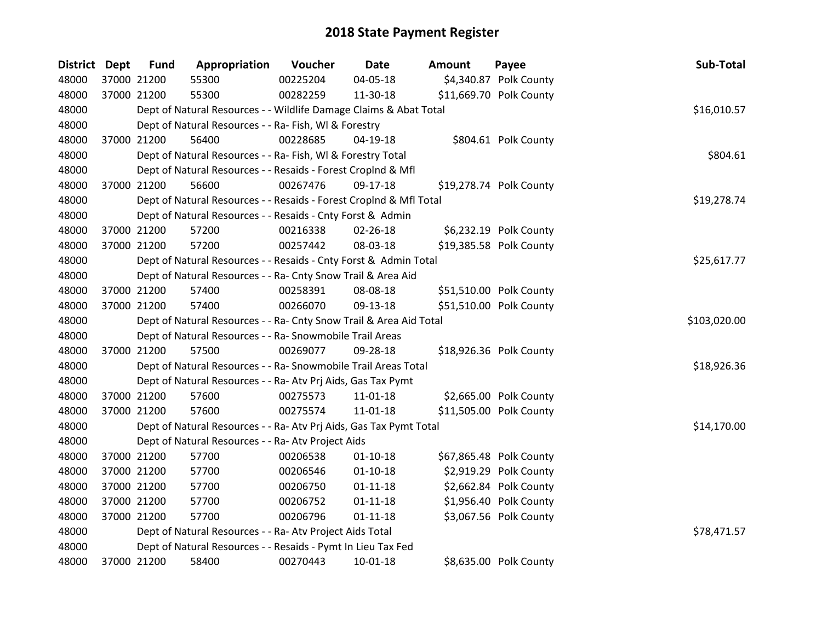| District Dept | <b>Fund</b> | Appropriation                                                      | Voucher  | <b>Date</b>    | <b>Amount</b> | Payee                   | Sub-Total    |
|---------------|-------------|--------------------------------------------------------------------|----------|----------------|---------------|-------------------------|--------------|
| 48000         | 37000 21200 | 55300                                                              | 00225204 | 04-05-18       |               | \$4,340.87 Polk County  |              |
| 48000         | 37000 21200 | 55300                                                              | 00282259 | 11-30-18       |               | \$11,669.70 Polk County |              |
| 48000         |             | Dept of Natural Resources - - Wildlife Damage Claims & Abat Total  |          |                |               |                         | \$16,010.57  |
| 48000         |             | Dept of Natural Resources - - Ra- Fish, WI & Forestry              |          |                |               |                         |              |
| 48000         | 37000 21200 | 56400                                                              | 00228685 | $04-19-18$     |               | \$804.61 Polk County    |              |
| 48000         |             | Dept of Natural Resources - - Ra- Fish, WI & Forestry Total        |          |                |               |                         | \$804.61     |
| 48000         |             | Dept of Natural Resources - - Resaids - Forest CropInd & Mfl       |          |                |               |                         |              |
| 48000         | 37000 21200 | 56600                                                              | 00267476 | 09-17-18       |               | \$19,278.74 Polk County |              |
| 48000         |             | Dept of Natural Resources - - Resaids - Forest Croplnd & Mfl Total |          |                |               |                         | \$19,278.74  |
| 48000         |             | Dept of Natural Resources - - Resaids - Cnty Forst & Admin         |          |                |               |                         |              |
| 48000         | 37000 21200 | 57200                                                              | 00216338 | 02-26-18       |               | \$6,232.19 Polk County  |              |
| 48000         | 37000 21200 | 57200                                                              | 00257442 | 08-03-18       |               | \$19,385.58 Polk County |              |
| 48000         |             | Dept of Natural Resources - - Resaids - Cnty Forst & Admin Total   |          |                |               |                         | \$25,617.77  |
| 48000         |             | Dept of Natural Resources - - Ra- Cnty Snow Trail & Area Aid       |          |                |               |                         |              |
| 48000         | 37000 21200 | 57400                                                              | 00258391 | 08-08-18       |               | \$51,510.00 Polk County |              |
| 48000         | 37000 21200 | 57400                                                              | 00266070 | 09-13-18       |               | \$51,510.00 Polk County |              |
| 48000         |             | Dept of Natural Resources - - Ra- Cnty Snow Trail & Area Aid Total |          |                |               |                         | \$103,020.00 |
| 48000         |             | Dept of Natural Resources - - Ra- Snowmobile Trail Areas           |          |                |               |                         |              |
| 48000         | 37000 21200 | 57500                                                              | 00269077 | 09-28-18       |               | \$18,926.36 Polk County |              |
| 48000         |             | Dept of Natural Resources - - Ra- Snowmobile Trail Areas Total     |          |                |               |                         | \$18,926.36  |
| 48000         |             | Dept of Natural Resources - - Ra- Atv Prj Aids, Gas Tax Pymt       |          |                |               |                         |              |
| 48000         | 37000 21200 | 57600                                                              | 00275573 | $11 - 01 - 18$ |               | \$2,665.00 Polk County  |              |
| 48000         | 37000 21200 | 57600                                                              | 00275574 | 11-01-18       |               | \$11,505.00 Polk County |              |
| 48000         |             | Dept of Natural Resources - - Ra- Atv Prj Aids, Gas Tax Pymt Total |          |                |               |                         | \$14,170.00  |
| 48000         |             | Dept of Natural Resources - - Ra- Atv Project Aids                 |          |                |               |                         |              |
| 48000         | 37000 21200 | 57700                                                              | 00206538 | $01 - 10 - 18$ |               | \$67,865.48 Polk County |              |
| 48000         | 37000 21200 | 57700                                                              | 00206546 | $01 - 10 - 18$ |               | \$2,919.29 Polk County  |              |
| 48000         | 37000 21200 | 57700                                                              | 00206750 | $01 - 11 - 18$ |               | \$2,662.84 Polk County  |              |
| 48000         | 37000 21200 | 57700                                                              | 00206752 | $01 - 11 - 18$ |               | \$1,956.40 Polk County  |              |
| 48000         | 37000 21200 | 57700                                                              | 00206796 | $01 - 11 - 18$ |               | \$3,067.56 Polk County  |              |
| 48000         |             | Dept of Natural Resources - - Ra- Atv Project Aids Total           |          |                |               |                         | \$78,471.57  |
| 48000         |             | Dept of Natural Resources - - Resaids - Pymt In Lieu Tax Fed       |          |                |               |                         |              |
| 48000         | 37000 21200 | 58400                                                              | 00270443 | $10-01-18$     |               | \$8,635.00 Polk County  |              |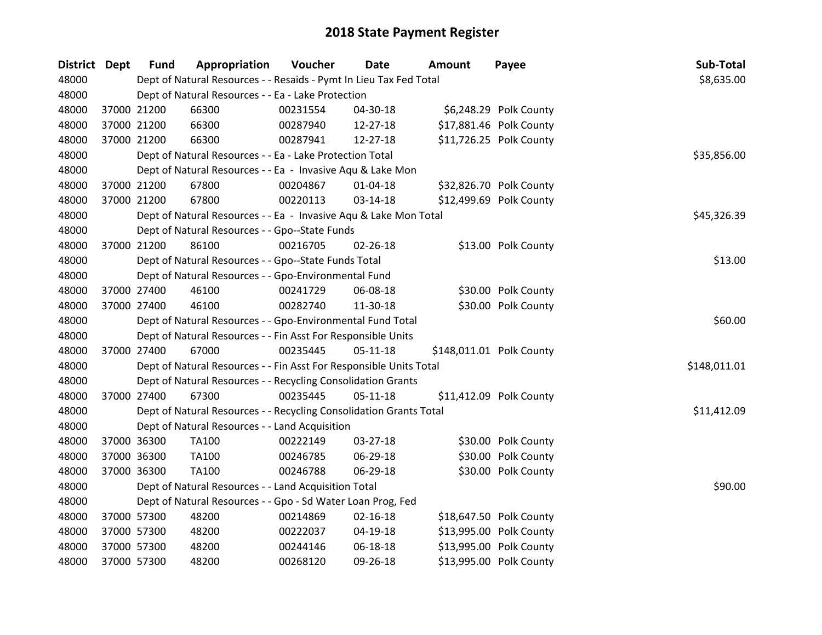| <b>District Dept</b> | <b>Fund</b> | Appropriation                                                      | Voucher  | Date           | <b>Amount</b> | Payee                    | Sub-Total    |
|----------------------|-------------|--------------------------------------------------------------------|----------|----------------|---------------|--------------------------|--------------|
| 48000                |             | Dept of Natural Resources - - Resaids - Pymt In Lieu Tax Fed Total |          |                |               |                          | \$8,635.00   |
| 48000                |             | Dept of Natural Resources - - Ea - Lake Protection                 |          |                |               |                          |              |
| 48000                | 37000 21200 | 66300                                                              | 00231554 | 04-30-18       |               | \$6,248.29 Polk County   |              |
| 48000                | 37000 21200 | 66300                                                              | 00287940 | 12-27-18       |               | \$17,881.46 Polk County  |              |
| 48000                | 37000 21200 | 66300                                                              | 00287941 | 12-27-18       |               | \$11,726.25 Polk County  |              |
| 48000                |             | Dept of Natural Resources - - Ea - Lake Protection Total           |          |                |               |                          | \$35,856.00  |
| 48000                |             | Dept of Natural Resources - - Ea - Invasive Aqu & Lake Mon         |          |                |               |                          |              |
| 48000                | 37000 21200 | 67800                                                              | 00204867 | $01 - 04 - 18$ |               | \$32,826.70 Polk County  |              |
| 48000                | 37000 21200 | 67800                                                              | 00220113 | 03-14-18       |               | \$12,499.69 Polk County  |              |
| 48000                |             | Dept of Natural Resources - - Ea - Invasive Aqu & Lake Mon Total   |          |                |               |                          | \$45,326.39  |
| 48000                |             | Dept of Natural Resources - - Gpo--State Funds                     |          |                |               |                          |              |
| 48000                | 37000 21200 | 86100                                                              | 00216705 | 02-26-18       |               | \$13.00 Polk County      |              |
| 48000                |             | Dept of Natural Resources - - Gpo--State Funds Total               |          |                |               |                          | \$13.00      |
| 48000                |             | Dept of Natural Resources - - Gpo-Environmental Fund               |          |                |               |                          |              |
| 48000                | 37000 27400 | 46100                                                              | 00241729 | 06-08-18       |               | \$30.00 Polk County      |              |
| 48000                | 37000 27400 | 46100                                                              | 00282740 | 11-30-18       |               | \$30.00 Polk County      |              |
| 48000                |             | Dept of Natural Resources - - Gpo-Environmental Fund Total         |          |                |               |                          | \$60.00      |
| 48000                |             | Dept of Natural Resources - - Fin Asst For Responsible Units       |          |                |               |                          |              |
| 48000                | 37000 27400 | 67000                                                              | 00235445 | 05-11-18       |               | \$148,011.01 Polk County |              |
| 48000                |             | Dept of Natural Resources - - Fin Asst For Responsible Units Total |          |                |               |                          | \$148,011.01 |
| 48000                |             | Dept of Natural Resources - - Recycling Consolidation Grants       |          |                |               |                          |              |
| 48000                | 37000 27400 | 67300                                                              | 00235445 | $05-11-18$     |               | \$11,412.09 Polk County  |              |
| 48000                |             | Dept of Natural Resources - - Recycling Consolidation Grants Total |          |                |               |                          | \$11,412.09  |
| 48000                |             | Dept of Natural Resources - - Land Acquisition                     |          |                |               |                          |              |
| 48000                | 37000 36300 | <b>TA100</b>                                                       | 00222149 | 03-27-18       |               | \$30.00 Polk County      |              |
| 48000                | 37000 36300 | TA100                                                              | 00246785 | 06-29-18       |               | \$30.00 Polk County      |              |
| 48000                | 37000 36300 | <b>TA100</b>                                                       | 00246788 | 06-29-18       |               | \$30.00 Polk County      |              |
| 48000                |             | Dept of Natural Resources - - Land Acquisition Total               |          |                |               |                          | \$90.00      |
| 48000                |             | Dept of Natural Resources - - Gpo - Sd Water Loan Prog, Fed        |          |                |               |                          |              |
| 48000                | 37000 57300 | 48200                                                              | 00214869 | $02 - 16 - 18$ |               | \$18,647.50 Polk County  |              |
| 48000                | 37000 57300 | 48200                                                              | 00222037 | 04-19-18       |               | \$13,995.00 Polk County  |              |
| 48000                | 37000 57300 | 48200                                                              | 00244146 | 06-18-18       |               | \$13,995.00 Polk County  |              |
| 48000                | 37000 57300 | 48200                                                              | 00268120 | 09-26-18       |               | \$13,995.00 Polk County  |              |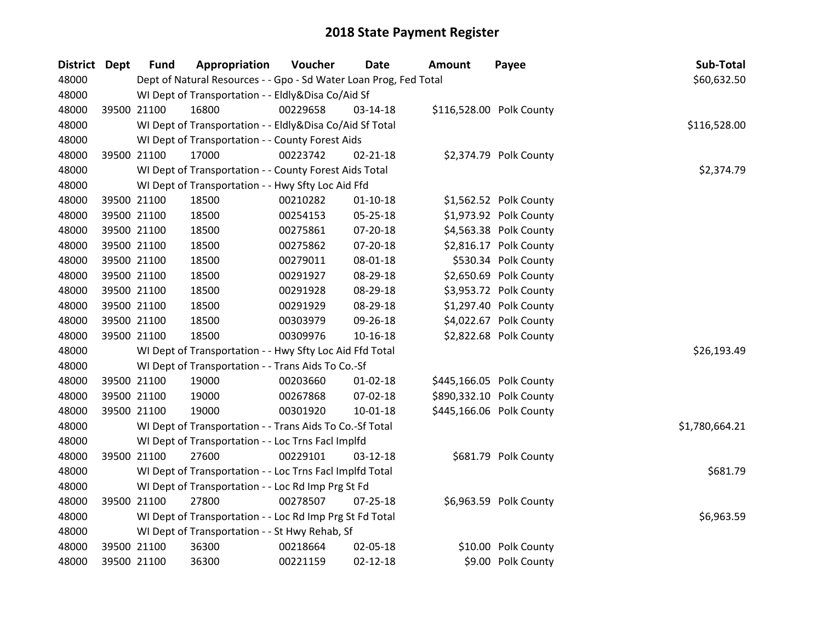| District Dept | <b>Fund</b> | Appropriation                                                     | Voucher  | <b>Date</b>    | <b>Amount</b>            | Payee                  | Sub-Total      |
|---------------|-------------|-------------------------------------------------------------------|----------|----------------|--------------------------|------------------------|----------------|
| 48000         |             | Dept of Natural Resources - - Gpo - Sd Water Loan Prog, Fed Total |          |                |                          |                        | \$60,632.50    |
| 48000         |             | WI Dept of Transportation - - Eldly&Disa Co/Aid Sf                |          |                |                          |                        |                |
| 48000         | 39500 21100 | 16800                                                             | 00229658 | 03-14-18       | \$116,528.00 Polk County |                        |                |
| 48000         |             | WI Dept of Transportation - - Eldly&Disa Co/Aid Sf Total          |          |                |                          |                        | \$116,528.00   |
| 48000         |             | WI Dept of Transportation - - County Forest Aids                  |          |                |                          |                        |                |
| 48000         | 39500 21100 | 17000                                                             | 00223742 | $02 - 21 - 18$ |                          | \$2,374.79 Polk County |                |
| 48000         |             | WI Dept of Transportation - - County Forest Aids Total            |          |                |                          |                        | \$2,374.79     |
| 48000         |             | WI Dept of Transportation - - Hwy Sfty Loc Aid Ffd                |          |                |                          |                        |                |
| 48000         | 39500 21100 | 18500                                                             | 00210282 | $01 - 10 - 18$ |                          | \$1,562.52 Polk County |                |
| 48000         | 39500 21100 | 18500                                                             | 00254153 | 05-25-18       |                          | \$1,973.92 Polk County |                |
| 48000         | 39500 21100 | 18500                                                             | 00275861 | 07-20-18       |                          | \$4,563.38 Polk County |                |
| 48000         | 39500 21100 | 18500                                                             | 00275862 | 07-20-18       |                          | \$2,816.17 Polk County |                |
| 48000         | 39500 21100 | 18500                                                             | 00279011 | 08-01-18       |                          | \$530.34 Polk County   |                |
| 48000         | 39500 21100 | 18500                                                             | 00291927 | 08-29-18       |                          | \$2,650.69 Polk County |                |
| 48000         | 39500 21100 | 18500                                                             | 00291928 | 08-29-18       |                          | \$3,953.72 Polk County |                |
| 48000         | 39500 21100 | 18500                                                             | 00291929 | 08-29-18       |                          | \$1,297.40 Polk County |                |
| 48000         | 39500 21100 | 18500                                                             | 00303979 | 09-26-18       |                          | \$4,022.67 Polk County |                |
| 48000         | 39500 21100 | 18500                                                             | 00309976 | 10-16-18       |                          | \$2,822.68 Polk County |                |
| 48000         |             | WI Dept of Transportation - - Hwy Sfty Loc Aid Ffd Total          |          |                |                          |                        | \$26,193.49    |
| 48000         |             | WI Dept of Transportation - - Trans Aids To Co.-Sf                |          |                |                          |                        |                |
| 48000         | 39500 21100 | 19000                                                             | 00203660 | $01 - 02 - 18$ | \$445,166.05 Polk County |                        |                |
| 48000         | 39500 21100 | 19000                                                             | 00267868 | 07-02-18       | \$890,332.10 Polk County |                        |                |
| 48000         | 39500 21100 | 19000                                                             | 00301920 | $10-01-18$     | \$445,166.06 Polk County |                        |                |
| 48000         |             | WI Dept of Transportation - - Trans Aids To Co.-Sf Total          |          |                |                          |                        | \$1,780,664.21 |
| 48000         |             | WI Dept of Transportation - - Loc Trns Facl Implfd                |          |                |                          |                        |                |
| 48000         | 39500 21100 | 27600                                                             | 00229101 | 03-12-18       |                          | \$681.79 Polk County   |                |
| 48000         |             | WI Dept of Transportation - - Loc Trns Facl Implfd Total          |          |                |                          |                        | \$681.79       |
| 48000         |             | WI Dept of Transportation - - Loc Rd Imp Prg St Fd                |          |                |                          |                        |                |
| 48000         | 39500 21100 | 27800                                                             | 00278507 | $07 - 25 - 18$ |                          | \$6,963.59 Polk County |                |
| 48000         |             | WI Dept of Transportation - - Loc Rd Imp Prg St Fd Total          |          |                |                          |                        | \$6,963.59     |
| 48000         |             | WI Dept of Transportation - - St Hwy Rehab, Sf                    |          |                |                          |                        |                |
| 48000         | 39500 21100 | 36300                                                             | 00218664 | 02-05-18       |                          | \$10.00 Polk County    |                |
| 48000         | 39500 21100 | 36300                                                             | 00221159 | $02 - 12 - 18$ |                          | \$9.00 Polk County     |                |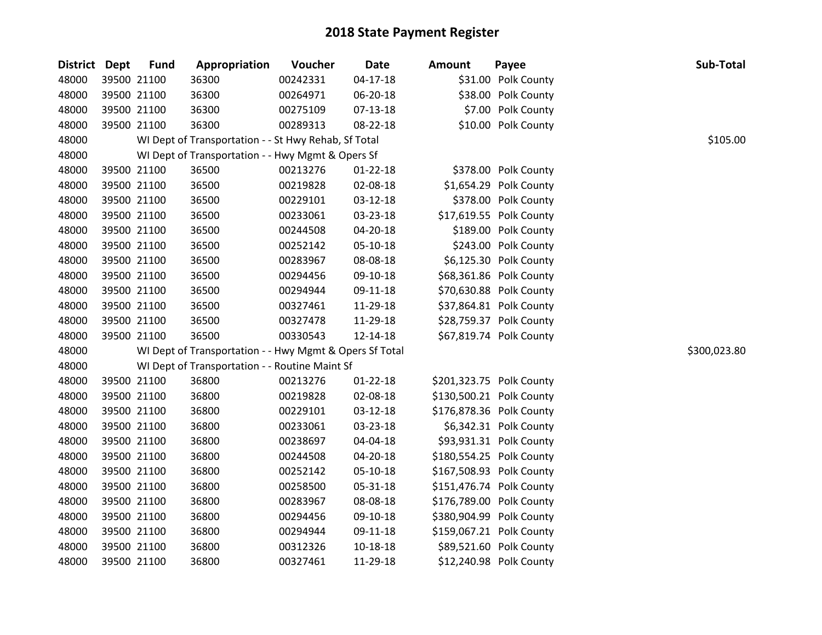| District Dept | <b>Fund</b> | Appropriation                                           | Voucher  | <b>Date</b>    | <b>Amount</b> | Payee                    | Sub-Total    |
|---------------|-------------|---------------------------------------------------------|----------|----------------|---------------|--------------------------|--------------|
| 48000         | 39500 21100 | 36300                                                   | 00242331 | 04-17-18       |               | \$31.00 Polk County      |              |
| 48000         | 39500 21100 | 36300                                                   | 00264971 | 06-20-18       |               | \$38.00 Polk County      |              |
| 48000         | 39500 21100 | 36300                                                   | 00275109 | 07-13-18       |               | \$7.00 Polk County       |              |
| 48000         | 39500 21100 | 36300                                                   | 00289313 | 08-22-18       |               | \$10.00 Polk County      |              |
| 48000         |             | WI Dept of Transportation - - St Hwy Rehab, Sf Total    |          |                |               |                          | \$105.00     |
| 48000         |             | WI Dept of Transportation - - Hwy Mgmt & Opers Sf       |          |                |               |                          |              |
| 48000         | 39500 21100 | 36500                                                   | 00213276 | 01-22-18       |               | \$378.00 Polk County     |              |
| 48000         | 39500 21100 | 36500                                                   | 00219828 | 02-08-18       |               | \$1,654.29 Polk County   |              |
| 48000         | 39500 21100 | 36500                                                   | 00229101 | 03-12-18       |               | \$378.00 Polk County     |              |
| 48000         | 39500 21100 | 36500                                                   | 00233061 | 03-23-18       |               | \$17,619.55 Polk County  |              |
| 48000         | 39500 21100 | 36500                                                   | 00244508 | 04-20-18       |               | \$189.00 Polk County     |              |
| 48000         | 39500 21100 | 36500                                                   | 00252142 | 05-10-18       |               | \$243.00 Polk County     |              |
| 48000         | 39500 21100 | 36500                                                   | 00283967 | 08-08-18       |               | \$6,125.30 Polk County   |              |
| 48000         | 39500 21100 | 36500                                                   | 00294456 | 09-10-18       |               | \$68,361.86 Polk County  |              |
| 48000         | 39500 21100 | 36500                                                   | 00294944 | 09-11-18       |               | \$70,630.88 Polk County  |              |
| 48000         | 39500 21100 | 36500                                                   | 00327461 | 11-29-18       |               | \$37,864.81 Polk County  |              |
| 48000         | 39500 21100 | 36500                                                   | 00327478 | 11-29-18       |               | \$28,759.37 Polk County  |              |
| 48000         | 39500 21100 | 36500                                                   | 00330543 | 12-14-18       |               | \$67,819.74 Polk County  |              |
| 48000         |             | WI Dept of Transportation - - Hwy Mgmt & Opers Sf Total |          |                |               |                          | \$300,023.80 |
| 48000         |             | WI Dept of Transportation - - Routine Maint Sf          |          |                |               |                          |              |
| 48000         | 39500 21100 | 36800                                                   | 00213276 | $01 - 22 - 18$ |               | \$201,323.75 Polk County |              |
| 48000         | 39500 21100 | 36800                                                   | 00219828 | 02-08-18       |               | \$130,500.21 Polk County |              |
| 48000         | 39500 21100 | 36800                                                   | 00229101 | 03-12-18       |               | \$176,878.36 Polk County |              |
| 48000         | 39500 21100 | 36800                                                   | 00233061 | 03-23-18       |               | \$6,342.31 Polk County   |              |
| 48000         | 39500 21100 | 36800                                                   | 00238697 | 04-04-18       |               | \$93,931.31 Polk County  |              |
| 48000         | 39500 21100 | 36800                                                   | 00244508 | 04-20-18       |               | \$180,554.25 Polk County |              |
| 48000         | 39500 21100 | 36800                                                   | 00252142 | 05-10-18       |               | \$167,508.93 Polk County |              |
| 48000         | 39500 21100 | 36800                                                   | 00258500 | 05-31-18       |               | \$151,476.74 Polk County |              |
| 48000         | 39500 21100 | 36800                                                   | 00283967 | 08-08-18       |               | \$176,789.00 Polk County |              |
| 48000         | 39500 21100 | 36800                                                   | 00294456 | 09-10-18       |               | \$380,904.99 Polk County |              |
| 48000         | 39500 21100 | 36800                                                   | 00294944 | 09-11-18       |               | \$159,067.21 Polk County |              |
| 48000         | 39500 21100 | 36800                                                   | 00312326 | 10-18-18       |               | \$89,521.60 Polk County  |              |
| 48000         | 39500 21100 | 36800                                                   | 00327461 | 11-29-18       |               | \$12,240.98 Polk County  |              |
|               |             |                                                         |          |                |               |                          |              |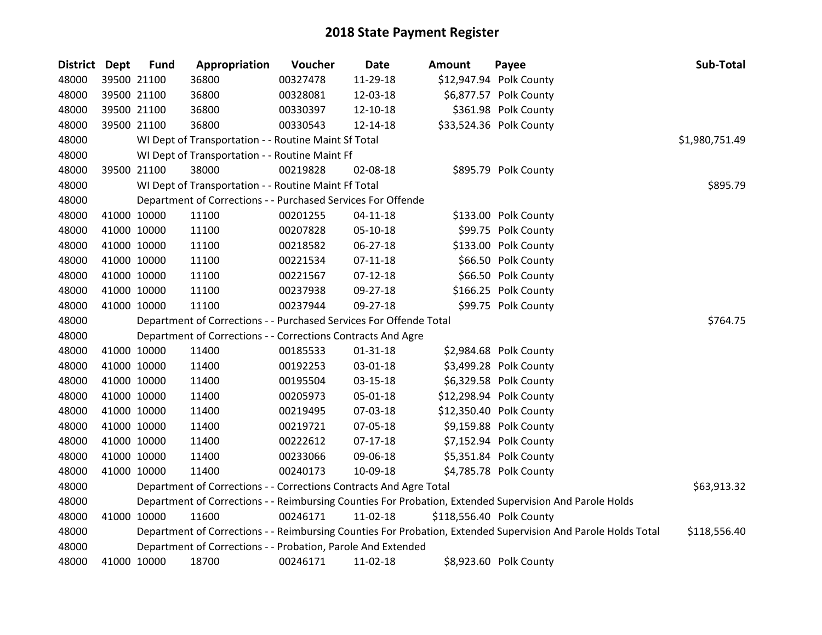| <b>District Dept</b> | <b>Fund</b> | Appropriation                                                      | Voucher  | Date           | <b>Amount</b> | Payee                                                                                                         | Sub-Total      |
|----------------------|-------------|--------------------------------------------------------------------|----------|----------------|---------------|---------------------------------------------------------------------------------------------------------------|----------------|
| 48000                | 39500 21100 | 36800                                                              | 00327478 | 11-29-18       |               | \$12,947.94 Polk County                                                                                       |                |
| 48000                | 39500 21100 | 36800                                                              | 00328081 | 12-03-18       |               | \$6,877.57 Polk County                                                                                        |                |
| 48000                | 39500 21100 | 36800                                                              | 00330397 | 12-10-18       |               | \$361.98 Polk County                                                                                          |                |
| 48000                | 39500 21100 | 36800                                                              | 00330543 | 12-14-18       |               | \$33,524.36 Polk County                                                                                       |                |
| 48000                |             | WI Dept of Transportation - - Routine Maint Sf Total               |          |                |               |                                                                                                               | \$1,980,751.49 |
| 48000                |             | WI Dept of Transportation - - Routine Maint Ff                     |          |                |               |                                                                                                               |                |
| 48000                | 39500 21100 | 38000                                                              | 00219828 | 02-08-18       |               | \$895.79 Polk County                                                                                          |                |
| 48000                |             | WI Dept of Transportation - - Routine Maint Ff Total               |          |                |               |                                                                                                               | \$895.79       |
| 48000                |             | Department of Corrections - - Purchased Services For Offende       |          |                |               |                                                                                                               |                |
| 48000                | 41000 10000 | 11100                                                              | 00201255 | $04 - 11 - 18$ |               | \$133.00 Polk County                                                                                          |                |
| 48000                | 41000 10000 | 11100                                                              | 00207828 | 05-10-18       |               | \$99.75 Polk County                                                                                           |                |
| 48000                | 41000 10000 | 11100                                                              | 00218582 | 06-27-18       |               | \$133.00 Polk County                                                                                          |                |
| 48000                | 41000 10000 | 11100                                                              | 00221534 | $07-11-18$     |               | \$66.50 Polk County                                                                                           |                |
| 48000                | 41000 10000 | 11100                                                              | 00221567 | $07-12-18$     |               | \$66.50 Polk County                                                                                           |                |
| 48000                | 41000 10000 | 11100                                                              | 00237938 | 09-27-18       |               | \$166.25 Polk County                                                                                          |                |
| 48000                | 41000 10000 | 11100                                                              | 00237944 | 09-27-18       |               | \$99.75 Polk County                                                                                           |                |
| 48000                |             | Department of Corrections - - Purchased Services For Offende Total |          |                |               |                                                                                                               | \$764.75       |
| 48000                |             | Department of Corrections - - Corrections Contracts And Agre       |          |                |               |                                                                                                               |                |
| 48000                | 41000 10000 | 11400                                                              | 00185533 | $01 - 31 - 18$ |               | \$2,984.68 Polk County                                                                                        |                |
| 48000                | 41000 10000 | 11400                                                              | 00192253 | 03-01-18       |               | \$3,499.28 Polk County                                                                                        |                |
| 48000                | 41000 10000 | 11400                                                              | 00195504 | $03 - 15 - 18$ |               | \$6,329.58 Polk County                                                                                        |                |
| 48000                | 41000 10000 | 11400                                                              | 00205973 | 05-01-18       |               | \$12,298.94 Polk County                                                                                       |                |
| 48000                | 41000 10000 | 11400                                                              | 00219495 | 07-03-18       |               | \$12,350.40 Polk County                                                                                       |                |
| 48000                | 41000 10000 | 11400                                                              | 00219721 | 07-05-18       |               | \$9,159.88 Polk County                                                                                        |                |
| 48000                | 41000 10000 | 11400                                                              | 00222612 | $07-17-18$     |               | \$7,152.94 Polk County                                                                                        |                |
| 48000                | 41000 10000 | 11400                                                              | 00233066 | 09-06-18       |               | \$5,351.84 Polk County                                                                                        |                |
| 48000                | 41000 10000 | 11400                                                              | 00240173 | 10-09-18       |               | \$4,785.78 Polk County                                                                                        |                |
| 48000                |             | Department of Corrections - - Corrections Contracts And Agre Total |          |                |               |                                                                                                               | \$63,913.32    |
| 48000                |             |                                                                    |          |                |               | Department of Corrections - - Reimbursing Counties For Probation, Extended Supervision And Parole Holds       |                |
| 48000                | 41000 10000 | 11600                                                              | 00246171 | $11-02-18$     |               | \$118,556.40 Polk County                                                                                      |                |
| 48000                |             |                                                                    |          |                |               | Department of Corrections - - Reimbursing Counties For Probation, Extended Supervision And Parole Holds Total | \$118,556.40   |
| 48000                |             | Department of Corrections - - Probation, Parole And Extended       |          |                |               |                                                                                                               |                |
| 48000                | 41000 10000 | 18700                                                              | 00246171 | 11-02-18       |               | \$8,923.60 Polk County                                                                                        |                |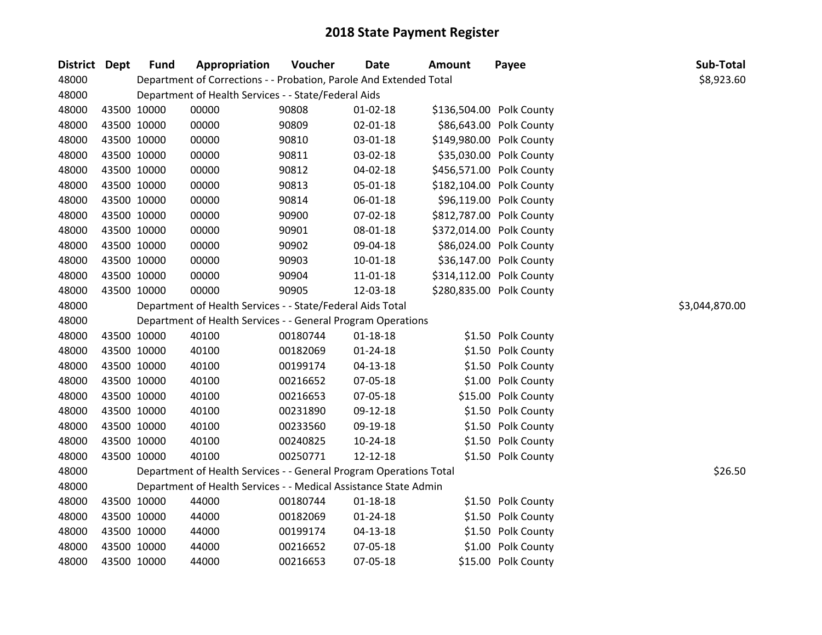| District Dept | <b>Fund</b> | Appropriation                                                      | Voucher  | <b>Date</b>    | <b>Amount</b>            | Payee                    | Sub-Total      |
|---------------|-------------|--------------------------------------------------------------------|----------|----------------|--------------------------|--------------------------|----------------|
| 48000         |             | Department of Corrections - - Probation, Parole And Extended Total |          |                |                          |                          | \$8,923.60     |
| 48000         |             | Department of Health Services - - State/Federal Aids               |          |                |                          |                          |                |
| 48000         | 43500 10000 | 00000                                                              | 90808    | $01 - 02 - 18$ |                          | \$136,504.00 Polk County |                |
| 48000         | 43500 10000 | 00000                                                              | 90809    | 02-01-18       |                          | \$86,643.00 Polk County  |                |
| 48000         | 43500 10000 | 00000                                                              | 90810    | 03-01-18       |                          | \$149,980.00 Polk County |                |
| 48000         | 43500 10000 | 00000                                                              | 90811    | 03-02-18       |                          | \$35,030.00 Polk County  |                |
| 48000         | 43500 10000 | 00000                                                              | 90812    | 04-02-18       |                          | \$456,571.00 Polk County |                |
| 48000         | 43500 10000 | 00000                                                              | 90813    | 05-01-18       |                          | \$182,104.00 Polk County |                |
| 48000         | 43500 10000 | 00000                                                              | 90814    | 06-01-18       |                          | \$96,119.00 Polk County  |                |
| 48000         | 43500 10000 | 00000                                                              | 90900    | 07-02-18       |                          | \$812,787.00 Polk County |                |
| 48000         | 43500 10000 | 00000                                                              | 90901    | 08-01-18       | \$372,014.00 Polk County |                          |                |
| 48000         | 43500 10000 | 00000                                                              | 90902    | 09-04-18       |                          | \$86,024.00 Polk County  |                |
| 48000         | 43500 10000 | 00000                                                              | 90903    | $10-01-18$     |                          | \$36,147.00 Polk County  |                |
| 48000         | 43500 10000 | 00000                                                              | 90904    | 11-01-18       | \$314,112.00 Polk County |                          |                |
| 48000         | 43500 10000 | 00000                                                              | 90905    | 12-03-18       | \$280,835.00 Polk County |                          |                |
| 48000         |             | Department of Health Services - - State/Federal Aids Total         |          |                |                          |                          | \$3,044,870.00 |
| 48000         |             | Department of Health Services - - General Program Operations       |          |                |                          |                          |                |
| 48000         | 43500 10000 | 40100                                                              | 00180744 | $01 - 18 - 18$ |                          | \$1.50 Polk County       |                |
| 48000         | 43500 10000 | 40100                                                              | 00182069 | $01 - 24 - 18$ |                          | \$1.50 Polk County       |                |
| 48000         | 43500 10000 | 40100                                                              | 00199174 | $04 - 13 - 18$ |                          | \$1.50 Polk County       |                |
| 48000         | 43500 10000 | 40100                                                              | 00216652 | 07-05-18       |                          | \$1.00 Polk County       |                |
| 48000         | 43500 10000 | 40100                                                              | 00216653 | 07-05-18       |                          | \$15.00 Polk County      |                |
| 48000         | 43500 10000 | 40100                                                              | 00231890 | 09-12-18       |                          | \$1.50 Polk County       |                |
| 48000         | 43500 10000 | 40100                                                              | 00233560 | 09-19-18       |                          | \$1.50 Polk County       |                |
| 48000         | 43500 10000 | 40100                                                              | 00240825 | $10-24-18$     |                          | \$1.50 Polk County       |                |
| 48000         | 43500 10000 | 40100                                                              | 00250771 | 12-12-18       |                          | \$1.50 Polk County       |                |
| 48000         |             | Department of Health Services - - General Program Operations Total |          |                |                          |                          | \$26.50        |
| 48000         |             | Department of Health Services - - Medical Assistance State Admin   |          |                |                          |                          |                |
| 48000         | 43500 10000 | 44000                                                              | 00180744 | $01 - 18 - 18$ |                          | \$1.50 Polk County       |                |
| 48000         | 43500 10000 | 44000                                                              | 00182069 | $01 - 24 - 18$ |                          | \$1.50 Polk County       |                |
| 48000         | 43500 10000 | 44000                                                              | 00199174 | 04-13-18       |                          | \$1.50 Polk County       |                |
| 48000         | 43500 10000 | 44000                                                              | 00216652 | 07-05-18       |                          | \$1.00 Polk County       |                |
| 48000         | 43500 10000 | 44000                                                              | 00216653 | 07-05-18       |                          | \$15.00 Polk County      |                |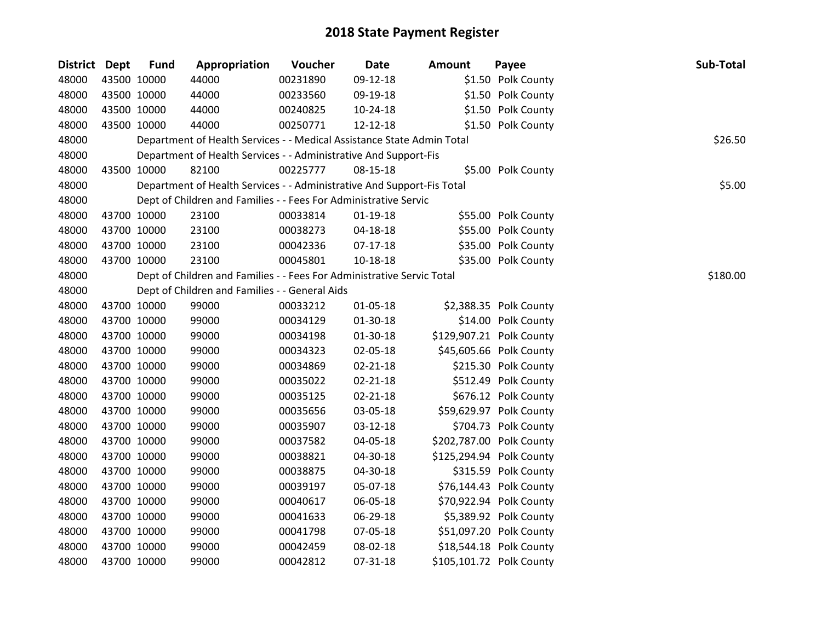| <b>District Dept</b> |             | <b>Fund</b> | Appropriation                                                          | Voucher  | <b>Date</b>    | Amount | Payee                    | Sub-Total |
|----------------------|-------------|-------------|------------------------------------------------------------------------|----------|----------------|--------|--------------------------|-----------|
| 48000                | 43500 10000 |             | 44000                                                                  | 00231890 | 09-12-18       |        | \$1.50 Polk County       |           |
| 48000                | 43500 10000 |             | 44000                                                                  | 00233560 | 09-19-18       |        | \$1.50 Polk County       |           |
| 48000                | 43500 10000 |             | 44000                                                                  | 00240825 | 10-24-18       |        | \$1.50 Polk County       |           |
| 48000                | 43500 10000 |             | 44000                                                                  | 00250771 | 12-12-18       |        | \$1.50 Polk County       |           |
| 48000                |             |             | Department of Health Services - - Medical Assistance State Admin Total |          |                |        |                          | \$26.50   |
| 48000                |             |             | Department of Health Services - - Administrative And Support-Fis       |          |                |        |                          |           |
| 48000                | 43500 10000 |             | 82100                                                                  | 00225777 | 08-15-18       |        | \$5.00 Polk County       |           |
| 48000                |             |             | Department of Health Services - - Administrative And Support-Fis Total |          |                |        |                          | \$5.00    |
| 48000                |             |             | Dept of Children and Families - - Fees For Administrative Servic       |          |                |        |                          |           |
| 48000                | 43700 10000 |             | 23100                                                                  | 00033814 | $01-19-18$     |        | \$55.00 Polk County      |           |
| 48000                | 43700 10000 |             | 23100                                                                  | 00038273 | 04-18-18       |        | \$55.00 Polk County      |           |
| 48000                | 43700 10000 |             | 23100                                                                  | 00042336 | $07-17-18$     |        | \$35.00 Polk County      |           |
| 48000                | 43700 10000 |             | 23100                                                                  | 00045801 | 10-18-18       |        | \$35.00 Polk County      |           |
| 48000                |             |             | Dept of Children and Families - - Fees For Administrative Servic Total |          |                |        |                          | \$180.00  |
| 48000                |             |             | Dept of Children and Families - - General Aids                         |          |                |        |                          |           |
| 48000                | 43700 10000 |             | 99000                                                                  | 00033212 | 01-05-18       |        | \$2,388.35 Polk County   |           |
| 48000                | 43700 10000 |             | 99000                                                                  | 00034129 | 01-30-18       |        | \$14.00 Polk County      |           |
| 48000                | 43700 10000 |             | 99000                                                                  | 00034198 | 01-30-18       |        | \$129,907.21 Polk County |           |
| 48000                | 43700 10000 |             | 99000                                                                  | 00034323 | 02-05-18       |        | \$45,605.66 Polk County  |           |
| 48000                | 43700 10000 |             | 99000                                                                  | 00034869 | $02 - 21 - 18$ |        | \$215.30 Polk County     |           |
| 48000                | 43700 10000 |             | 99000                                                                  | 00035022 | 02-21-18       |        | \$512.49 Polk County     |           |
| 48000                | 43700 10000 |             | 99000                                                                  | 00035125 | 02-21-18       |        | \$676.12 Polk County     |           |
| 48000                | 43700 10000 |             | 99000                                                                  | 00035656 | 03-05-18       |        | \$59,629.97 Polk County  |           |
| 48000                | 43700 10000 |             | 99000                                                                  | 00035907 | 03-12-18       |        | \$704.73 Polk County     |           |
| 48000                | 43700 10000 |             | 99000                                                                  | 00037582 | 04-05-18       |        | \$202,787.00 Polk County |           |
| 48000                | 43700 10000 |             | 99000                                                                  | 00038821 | 04-30-18       |        | \$125,294.94 Polk County |           |
| 48000                | 43700 10000 |             | 99000                                                                  | 00038875 | 04-30-18       |        | \$315.59 Polk County     |           |
| 48000                | 43700 10000 |             | 99000                                                                  | 00039197 | 05-07-18       |        | \$76,144.43 Polk County  |           |
| 48000                | 43700 10000 |             | 99000                                                                  | 00040617 | 06-05-18       |        | \$70,922.94 Polk County  |           |
| 48000                | 43700 10000 |             | 99000                                                                  | 00041633 | 06-29-18       |        | \$5,389.92 Polk County   |           |
| 48000                | 43700 10000 |             | 99000                                                                  | 00041798 | 07-05-18       |        | \$51,097.20 Polk County  |           |
| 48000                | 43700 10000 |             | 99000                                                                  | 00042459 | 08-02-18       |        | \$18,544.18 Polk County  |           |
| 48000                | 43700 10000 |             | 99000                                                                  | 00042812 | 07-31-18       |        | \$105,101.72 Polk County |           |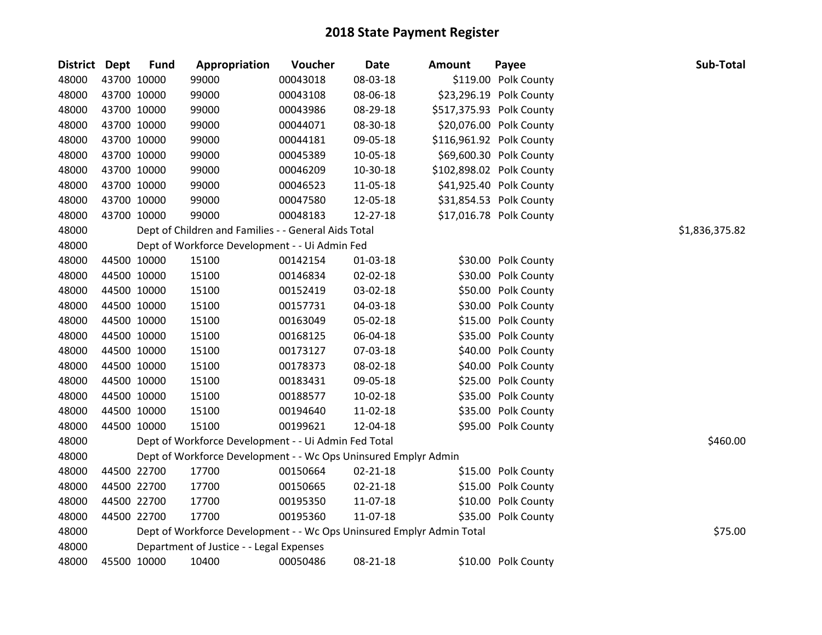| District Dept |             | <b>Fund</b> | Appropriation                                                         | Voucher  | <b>Date</b>    | <b>Amount</b> | Payee                    | Sub-Total      |
|---------------|-------------|-------------|-----------------------------------------------------------------------|----------|----------------|---------------|--------------------------|----------------|
| 48000         | 43700 10000 |             | 99000                                                                 | 00043018 | 08-03-18       |               | \$119.00 Polk County     |                |
| 48000         |             | 43700 10000 | 99000                                                                 | 00043108 | 08-06-18       |               | \$23,296.19 Polk County  |                |
| 48000         |             | 43700 10000 | 99000                                                                 | 00043986 | 08-29-18       |               | \$517,375.93 Polk County |                |
| 48000         | 43700 10000 |             | 99000                                                                 | 00044071 | 08-30-18       |               | \$20,076.00 Polk County  |                |
| 48000         | 43700 10000 |             | 99000                                                                 | 00044181 | 09-05-18       |               | \$116,961.92 Polk County |                |
| 48000         | 43700 10000 |             | 99000                                                                 | 00045389 | 10-05-18       |               | \$69,600.30 Polk County  |                |
| 48000         |             | 43700 10000 | 99000                                                                 | 00046209 | 10-30-18       |               | \$102,898.02 Polk County |                |
| 48000         |             | 43700 10000 | 99000                                                                 | 00046523 | 11-05-18       |               | \$41,925.40 Polk County  |                |
| 48000         | 43700 10000 |             | 99000                                                                 | 00047580 | 12-05-18       |               | \$31,854.53 Polk County  |                |
| 48000         | 43700 10000 |             | 99000                                                                 | 00048183 | 12-27-18       |               | \$17,016.78 Polk County  |                |
| 48000         |             |             | Dept of Children and Families - - General Aids Total                  |          |                |               |                          | \$1,836,375.82 |
| 48000         |             |             | Dept of Workforce Development - - Ui Admin Fed                        |          |                |               |                          |                |
| 48000         |             | 44500 10000 | 15100                                                                 | 00142154 | 01-03-18       |               | \$30.00 Polk County      |                |
| 48000         | 44500 10000 |             | 15100                                                                 | 00146834 | 02-02-18       |               | \$30.00 Polk County      |                |
| 48000         |             | 44500 10000 | 15100                                                                 | 00152419 | 03-02-18       |               | \$50.00 Polk County      |                |
| 48000         |             | 44500 10000 | 15100                                                                 | 00157731 | 04-03-18       |               | \$30.00 Polk County      |                |
| 48000         |             | 44500 10000 | 15100                                                                 | 00163049 | 05-02-18       |               | \$15.00 Polk County      |                |
| 48000         |             | 44500 10000 | 15100                                                                 | 00168125 | 06-04-18       |               | \$35.00 Polk County      |                |
| 48000         | 44500 10000 |             | 15100                                                                 | 00173127 | 07-03-18       |               | \$40.00 Polk County      |                |
| 48000         |             | 44500 10000 | 15100                                                                 | 00178373 | 08-02-18       |               | \$40.00 Polk County      |                |
| 48000         |             | 44500 10000 | 15100                                                                 | 00183431 | 09-05-18       |               | \$25.00 Polk County      |                |
| 48000         |             | 44500 10000 | 15100                                                                 | 00188577 | 10-02-18       |               | \$35.00 Polk County      |                |
| 48000         | 44500 10000 |             | 15100                                                                 | 00194640 | 11-02-18       |               | \$35.00 Polk County      |                |
| 48000         | 44500 10000 |             | 15100                                                                 | 00199621 | 12-04-18       |               | \$95.00 Polk County      |                |
| 48000         |             |             | Dept of Workforce Development - - Ui Admin Fed Total                  |          |                |               |                          | \$460.00       |
| 48000         |             |             | Dept of Workforce Development - - Wc Ops Uninsured Emplyr Admin       |          |                |               |                          |                |
| 48000         |             | 44500 22700 | 17700                                                                 | 00150664 | $02 - 21 - 18$ |               | \$15.00 Polk County      |                |
| 48000         |             | 44500 22700 | 17700                                                                 | 00150665 | $02 - 21 - 18$ |               | \$15.00 Polk County      |                |
| 48000         | 44500 22700 |             | 17700                                                                 | 00195350 | 11-07-18       |               | \$10.00 Polk County      |                |
| 48000         |             | 44500 22700 | 17700                                                                 | 00195360 | 11-07-18       |               | \$35.00 Polk County      |                |
| 48000         |             |             | Dept of Workforce Development - - Wc Ops Uninsured Emplyr Admin Total |          |                |               |                          | \$75.00        |
| 48000         |             |             | Department of Justice - - Legal Expenses                              |          |                |               |                          |                |
| 48000         | 45500 10000 |             | 10400                                                                 | 00050486 | 08-21-18       |               | \$10.00 Polk County      |                |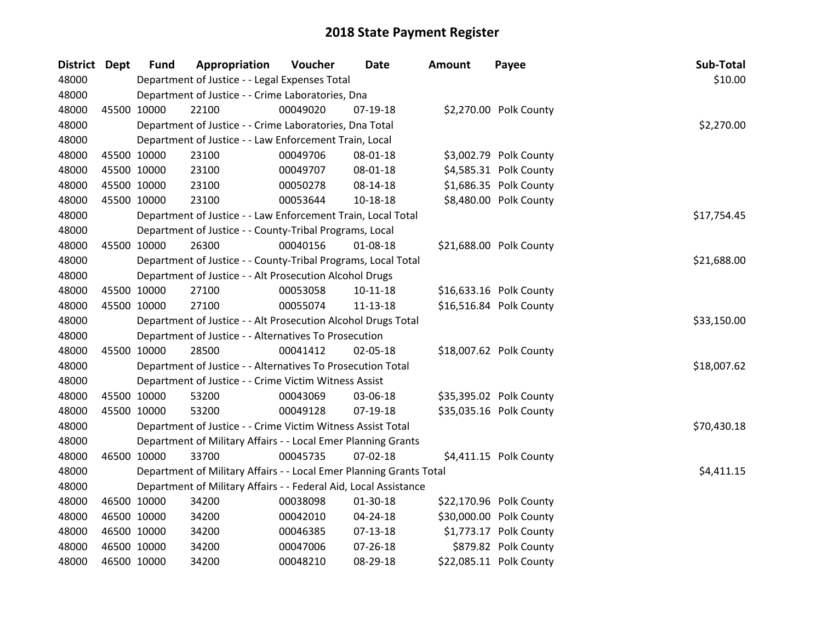| District Dept | <b>Fund</b> | Appropriation                                                       | Voucher  | <b>Date</b>    | <b>Amount</b> | Payee                   | Sub-Total   |
|---------------|-------------|---------------------------------------------------------------------|----------|----------------|---------------|-------------------------|-------------|
| 48000         |             | Department of Justice - - Legal Expenses Total                      |          |                |               |                         | \$10.00     |
| 48000         |             | Department of Justice - - Crime Laboratories, Dna                   |          |                |               |                         |             |
| 48000         | 45500 10000 | 22100                                                               | 00049020 | 07-19-18       |               | \$2,270.00 Polk County  |             |
| 48000         |             | Department of Justice - - Crime Laboratories, Dna Total             |          |                |               |                         | \$2,270.00  |
| 48000         |             | Department of Justice - - Law Enforcement Train, Local              |          |                |               |                         |             |
| 48000         | 45500 10000 | 23100                                                               | 00049706 | 08-01-18       |               | \$3,002.79 Polk County  |             |
| 48000         | 45500 10000 | 23100                                                               | 00049707 | 08-01-18       |               | \$4,585.31 Polk County  |             |
| 48000         | 45500 10000 | 23100                                                               | 00050278 | 08-14-18       |               | \$1,686.35 Polk County  |             |
| 48000         | 45500 10000 | 23100                                                               | 00053644 | 10-18-18       |               | \$8,480.00 Polk County  |             |
| 48000         |             | Department of Justice - - Law Enforcement Train, Local Total        |          |                |               |                         | \$17,754.45 |
| 48000         |             | Department of Justice - - County-Tribal Programs, Local             |          |                |               |                         |             |
| 48000         | 45500 10000 | 26300                                                               | 00040156 | $01 - 08 - 18$ |               | \$21,688.00 Polk County |             |
| 48000         |             | Department of Justice - - County-Tribal Programs, Local Total       |          |                |               |                         | \$21,688.00 |
| 48000         |             | Department of Justice - - Alt Prosecution Alcohol Drugs             |          |                |               |                         |             |
| 48000         | 45500 10000 | 27100                                                               | 00053058 | $10 - 11 - 18$ |               | \$16,633.16 Polk County |             |
| 48000         | 45500 10000 | 27100                                                               | 00055074 | 11-13-18       |               | \$16,516.84 Polk County |             |
| 48000         |             | Department of Justice - - Alt Prosecution Alcohol Drugs Total       |          |                |               |                         | \$33,150.00 |
| 48000         |             | Department of Justice - - Alternatives To Prosecution               |          |                |               |                         |             |
| 48000         | 45500 10000 | 28500                                                               | 00041412 | 02-05-18       |               | \$18,007.62 Polk County |             |
| 48000         |             | Department of Justice - - Alternatives To Prosecution Total         |          |                |               |                         | \$18,007.62 |
| 48000         |             | Department of Justice - - Crime Victim Witness Assist               |          |                |               |                         |             |
| 48000         | 45500 10000 | 53200                                                               | 00043069 | 03-06-18       |               | \$35,395.02 Polk County |             |
| 48000         | 45500 10000 | 53200                                                               | 00049128 | 07-19-18       |               | \$35,035.16 Polk County |             |
| 48000         |             | Department of Justice - - Crime Victim Witness Assist Total         |          |                |               |                         | \$70,430.18 |
| 48000         |             | Department of Military Affairs - - Local Emer Planning Grants       |          |                |               |                         |             |
| 48000         | 46500 10000 | 33700                                                               | 00045735 | 07-02-18       |               | \$4,411.15 Polk County  |             |
| 48000         |             | Department of Military Affairs - - Local Emer Planning Grants Total |          |                |               |                         | \$4,411.15  |
| 48000         |             | Department of Military Affairs - - Federal Aid, Local Assistance    |          |                |               |                         |             |
| 48000         | 46500 10000 | 34200                                                               | 00038098 | 01-30-18       |               | \$22,170.96 Polk County |             |
| 48000         | 46500 10000 | 34200                                                               | 00042010 | 04-24-18       |               | \$30,000.00 Polk County |             |
| 48000         | 46500 10000 | 34200                                                               | 00046385 | $07-13-18$     |               | \$1,773.17 Polk County  |             |
| 48000         | 46500 10000 | 34200                                                               | 00047006 | $07 - 26 - 18$ |               | \$879.82 Polk County    |             |
| 48000         | 46500 10000 | 34200                                                               | 00048210 | 08-29-18       |               | \$22,085.11 Polk County |             |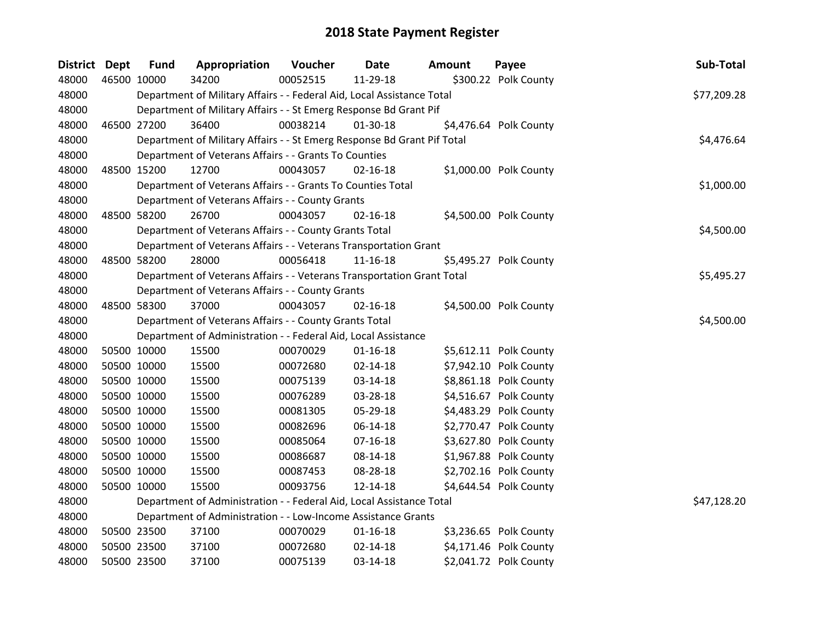| District Dept |             | <b>Fund</b> | Appropriation                                                           | Voucher  | <b>Date</b>    | <b>Amount</b> | Payee                  | Sub-Total   |
|---------------|-------------|-------------|-------------------------------------------------------------------------|----------|----------------|---------------|------------------------|-------------|
| 48000         | 46500 10000 |             | 34200                                                                   | 00052515 | 11-29-18       |               | \$300.22 Polk County   |             |
| 48000         |             |             | Department of Military Affairs - - Federal Aid, Local Assistance Total  |          |                |               |                        | \$77,209.28 |
| 48000         |             |             | Department of Military Affairs - - St Emerg Response Bd Grant Pif       |          |                |               |                        |             |
| 48000         | 46500 27200 |             | 36400                                                                   | 00038214 | 01-30-18       |               | \$4,476.64 Polk County |             |
| 48000         |             |             | Department of Military Affairs - - St Emerg Response Bd Grant Pif Total |          |                |               |                        | \$4,476.64  |
| 48000         |             |             | Department of Veterans Affairs - - Grants To Counties                   |          |                |               |                        |             |
| 48000         |             | 48500 15200 | 12700                                                                   | 00043057 | $02 - 16 - 18$ |               | \$1,000.00 Polk County |             |
| 48000         |             |             | Department of Veterans Affairs - - Grants To Counties Total             |          |                |               |                        | \$1,000.00  |
| 48000         |             |             | Department of Veterans Affairs - - County Grants                        |          |                |               |                        |             |
| 48000         |             | 48500 58200 | 26700                                                                   | 00043057 | $02 - 16 - 18$ |               | \$4,500.00 Polk County |             |
| 48000         |             |             | Department of Veterans Affairs - - County Grants Total                  |          |                |               |                        | \$4,500.00  |
| 48000         |             |             | Department of Veterans Affairs - - Veterans Transportation Grant        |          |                |               |                        |             |
| 48000         |             | 48500 58200 | 28000                                                                   | 00056418 | $11 - 16 - 18$ |               | \$5,495.27 Polk County |             |
| 48000         |             |             | Department of Veterans Affairs - - Veterans Transportation Grant Total  |          |                |               |                        | \$5,495.27  |
| 48000         |             |             | Department of Veterans Affairs - - County Grants                        |          |                |               |                        |             |
| 48000         |             | 48500 58300 | 37000                                                                   | 00043057 | $02 - 16 - 18$ |               | \$4,500.00 Polk County |             |
| 48000         |             |             | Department of Veterans Affairs - - County Grants Total                  |          |                |               |                        | \$4,500.00  |
| 48000         |             |             | Department of Administration - - Federal Aid, Local Assistance          |          |                |               |                        |             |
| 48000         | 50500 10000 |             | 15500                                                                   | 00070029 | $01-16-18$     |               | \$5,612.11 Polk County |             |
| 48000         |             | 50500 10000 | 15500                                                                   | 00072680 | $02 - 14 - 18$ |               | \$7,942.10 Polk County |             |
| 48000         |             | 50500 10000 | 15500                                                                   | 00075139 | 03-14-18       |               | \$8,861.18 Polk County |             |
| 48000         | 50500 10000 |             | 15500                                                                   | 00076289 | 03-28-18       |               | \$4,516.67 Polk County |             |
| 48000         | 50500 10000 |             | 15500                                                                   | 00081305 | 05-29-18       |               | \$4,483.29 Polk County |             |
| 48000         |             | 50500 10000 | 15500                                                                   | 00082696 | 06-14-18       |               | \$2,770.47 Polk County |             |
| 48000         |             | 50500 10000 | 15500                                                                   | 00085064 | 07-16-18       |               | \$3,627.80 Polk County |             |
| 48000         |             | 50500 10000 | 15500                                                                   | 00086687 | 08-14-18       |               | \$1,967.88 Polk County |             |
| 48000         |             | 50500 10000 | 15500                                                                   | 00087453 | 08-28-18       |               | \$2,702.16 Polk County |             |
| 48000         |             | 50500 10000 | 15500                                                                   | 00093756 | $12 - 14 - 18$ |               | \$4,644.54 Polk County |             |
| 48000         |             |             | Department of Administration - - Federal Aid, Local Assistance Total    |          |                |               |                        | \$47,128.20 |
| 48000         |             |             | Department of Administration - - Low-Income Assistance Grants           |          |                |               |                        |             |
| 48000         |             | 50500 23500 | 37100                                                                   | 00070029 | $01 - 16 - 18$ |               | \$3,236.65 Polk County |             |
| 48000         | 50500 23500 |             | 37100                                                                   | 00072680 | $02 - 14 - 18$ |               | \$4,171.46 Polk County |             |
| 48000         | 50500 23500 |             | 37100                                                                   | 00075139 | $03 - 14 - 18$ |               | \$2,041.72 Polk County |             |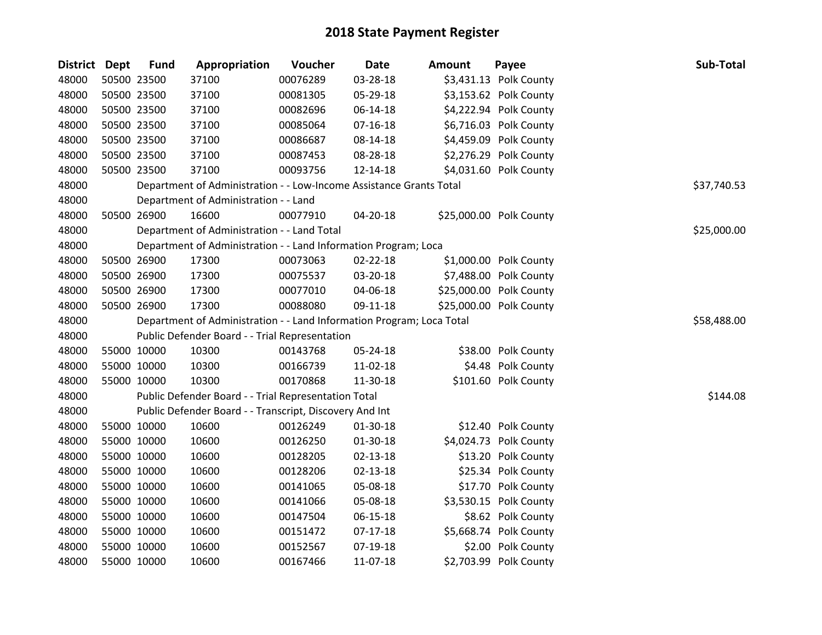| District Dept |             | <b>Fund</b> | Appropriation                                                         | Voucher  | <b>Date</b>    | <b>Amount</b> | Payee                   | Sub-Total   |
|---------------|-------------|-------------|-----------------------------------------------------------------------|----------|----------------|---------------|-------------------------|-------------|
| 48000         |             | 50500 23500 | 37100                                                                 | 00076289 | 03-28-18       |               | \$3,431.13 Polk County  |             |
| 48000         |             | 50500 23500 | 37100                                                                 | 00081305 | 05-29-18       |               | \$3,153.62 Polk County  |             |
| 48000         |             | 50500 23500 | 37100                                                                 | 00082696 | 06-14-18       |               | \$4,222.94 Polk County  |             |
| 48000         |             | 50500 23500 | 37100                                                                 | 00085064 | 07-16-18       |               | \$6,716.03 Polk County  |             |
| 48000         |             | 50500 23500 | 37100                                                                 | 00086687 | 08-14-18       |               | \$4,459.09 Polk County  |             |
| 48000         |             | 50500 23500 | 37100                                                                 | 00087453 | 08-28-18       |               | \$2,276.29 Polk County  |             |
| 48000         |             | 50500 23500 | 37100                                                                 | 00093756 | 12-14-18       |               | \$4,031.60 Polk County  |             |
| 48000         |             |             | Department of Administration - - Low-Income Assistance Grants Total   |          |                |               |                         | \$37,740.53 |
| 48000         |             |             | Department of Administration - - Land                                 |          |                |               |                         |             |
| 48000         |             | 50500 26900 | 16600                                                                 | 00077910 | 04-20-18       |               | \$25,000.00 Polk County |             |
| 48000         |             |             | Department of Administration - - Land Total                           |          |                |               |                         | \$25,000.00 |
| 48000         |             |             | Department of Administration - - Land Information Program; Loca       |          |                |               |                         |             |
| 48000         |             | 50500 26900 | 17300                                                                 | 00073063 | 02-22-18       |               | \$1,000.00 Polk County  |             |
| 48000         |             | 50500 26900 | 17300                                                                 | 00075537 | 03-20-18       |               | \$7,488.00 Polk County  |             |
| 48000         |             | 50500 26900 | 17300                                                                 | 00077010 | 04-06-18       |               | \$25,000.00 Polk County |             |
| 48000         |             | 50500 26900 | 17300                                                                 | 00088080 | 09-11-18       |               | \$25,000.00 Polk County |             |
| 48000         |             |             | Department of Administration - - Land Information Program; Loca Total |          |                |               |                         | \$58,488.00 |
| 48000         |             |             | Public Defender Board - - Trial Representation                        |          |                |               |                         |             |
| 48000         |             | 55000 10000 | 10300                                                                 | 00143768 | 05-24-18       |               | \$38.00 Polk County     |             |
| 48000         |             | 55000 10000 | 10300                                                                 | 00166739 | 11-02-18       |               | \$4.48 Polk County      |             |
| 48000         |             | 55000 10000 | 10300                                                                 | 00170868 | 11-30-18       |               | \$101.60 Polk County    |             |
| 48000         |             |             | Public Defender Board - - Trial Representation Total                  |          |                |               |                         | \$144.08    |
| 48000         |             |             | Public Defender Board - - Transcript, Discovery And Int               |          |                |               |                         |             |
| 48000         |             | 55000 10000 | 10600                                                                 | 00126249 | 01-30-18       |               | \$12.40 Polk County     |             |
| 48000         |             | 55000 10000 | 10600                                                                 | 00126250 | 01-30-18       |               | \$4,024.73 Polk County  |             |
| 48000         |             | 55000 10000 | 10600                                                                 | 00128205 | $02 - 13 - 18$ |               | \$13.20 Polk County     |             |
| 48000         |             | 55000 10000 | 10600                                                                 | 00128206 | $02 - 13 - 18$ |               | \$25.34 Polk County     |             |
| 48000         | 55000 10000 |             | 10600                                                                 | 00141065 | 05-08-18       |               | \$17.70 Polk County     |             |
| 48000         |             | 55000 10000 | 10600                                                                 | 00141066 | 05-08-18       |               | \$3,530.15 Polk County  |             |
| 48000         |             | 55000 10000 | 10600                                                                 | 00147504 | 06-15-18       |               | \$8.62 Polk County      |             |
| 48000         |             | 55000 10000 | 10600                                                                 | 00151472 | $07-17-18$     |               | \$5,668.74 Polk County  |             |
| 48000         | 55000 10000 |             | 10600                                                                 | 00152567 | 07-19-18       |               | \$2.00 Polk County      |             |
| 48000         | 55000 10000 |             | 10600                                                                 | 00167466 | 11-07-18       |               | \$2,703.99 Polk County  |             |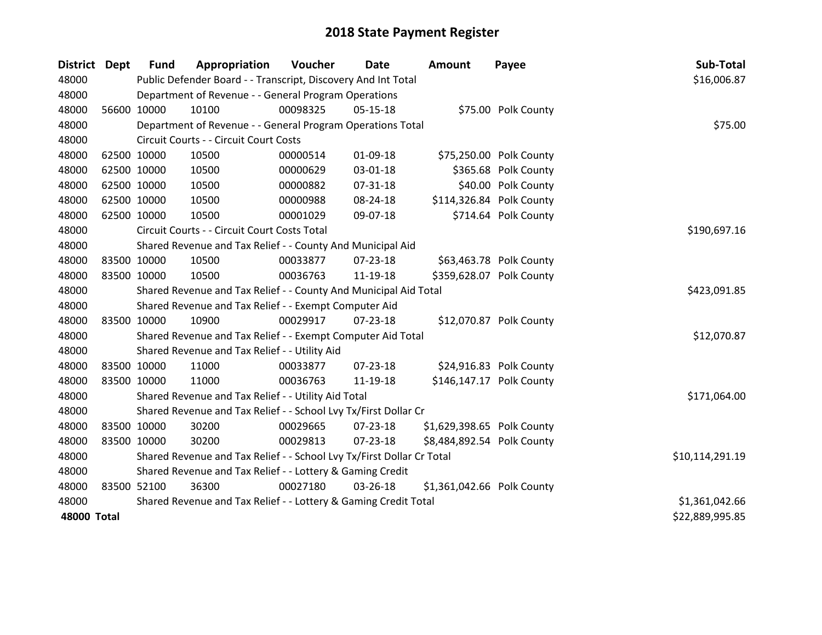| <b>District Dept</b> | <b>Fund</b> | Appropriation                                                         | <b>Voucher</b> | Date           | <b>Amount</b>              | Payee                    | Sub-Total       |
|----------------------|-------------|-----------------------------------------------------------------------|----------------|----------------|----------------------------|--------------------------|-----------------|
| 48000                |             | Public Defender Board - - Transcript, Discovery And Int Total         |                |                |                            |                          | \$16,006.87     |
| 48000                |             | Department of Revenue - - General Program Operations                  |                |                |                            |                          |                 |
| 48000                | 56600 10000 | 10100                                                                 | 00098325       | $05-15-18$     |                            | \$75.00 Polk County      |                 |
| 48000                |             | Department of Revenue - - General Program Operations Total            |                |                |                            |                          | \$75.00         |
| 48000                |             | Circuit Courts - - Circuit Court Costs                                |                |                |                            |                          |                 |
| 48000                | 62500 10000 | 10500                                                                 | 00000514       | 01-09-18       |                            | \$75,250.00 Polk County  |                 |
| 48000                | 62500 10000 | 10500                                                                 | 00000629       | 03-01-18       |                            | \$365.68 Polk County     |                 |
| 48000                | 62500 10000 | 10500                                                                 | 00000882       | $07 - 31 - 18$ |                            | \$40.00 Polk County      |                 |
| 48000                | 62500 10000 | 10500                                                                 | 00000988       | 08-24-18       |                            | \$114,326.84 Polk County |                 |
| 48000                | 62500 10000 | 10500                                                                 | 00001029       | 09-07-18       |                            | \$714.64 Polk County     |                 |
| 48000                |             | Circuit Courts - - Circuit Court Costs Total                          |                |                |                            |                          | \$190,697.16    |
| 48000                |             | Shared Revenue and Tax Relief - - County And Municipal Aid            |                |                |                            |                          |                 |
| 48000                | 83500 10000 | 10500                                                                 | 00033877       | 07-23-18       |                            | \$63,463.78 Polk County  |                 |
| 48000                | 83500 10000 | 10500                                                                 | 00036763       | 11-19-18       |                            | \$359,628.07 Polk County |                 |
| 48000                |             | Shared Revenue and Tax Relief - - County And Municipal Aid Total      | \$423,091.85   |                |                            |                          |                 |
| 48000                |             | Shared Revenue and Tax Relief - - Exempt Computer Aid                 |                |                |                            |                          |                 |
| 48000                | 83500 10000 | 10900                                                                 | 00029917       | $07 - 23 - 18$ |                            | \$12,070.87 Polk County  |                 |
| 48000                |             | Shared Revenue and Tax Relief - - Exempt Computer Aid Total           |                |                |                            |                          | \$12,070.87     |
| 48000                |             | Shared Revenue and Tax Relief - - Utility Aid                         |                |                |                            |                          |                 |
| 48000                | 83500 10000 | 11000                                                                 | 00033877       | $07 - 23 - 18$ |                            | \$24,916.83 Polk County  |                 |
| 48000                | 83500 10000 | 11000                                                                 | 00036763       | 11-19-18       |                            | \$146,147.17 Polk County |                 |
| 48000                |             | Shared Revenue and Tax Relief - - Utility Aid Total                   |                |                |                            |                          | \$171,064.00    |
| 48000                |             | Shared Revenue and Tax Relief - - School Lvy Tx/First Dollar Cr       |                |                |                            |                          |                 |
| 48000                | 83500 10000 | 30200                                                                 | 00029665       | $07 - 23 - 18$ | \$1,629,398.65 Polk County |                          |                 |
| 48000                | 83500 10000 | 30200                                                                 | 00029813       | 07-23-18       | \$8,484,892.54 Polk County |                          |                 |
| 48000                |             | Shared Revenue and Tax Relief - - School Lvy Tx/First Dollar Cr Total |                |                |                            |                          | \$10,114,291.19 |
| 48000                |             | Shared Revenue and Tax Relief - - Lottery & Gaming Credit             |                |                |                            |                          |                 |
| 48000                | 83500 52100 | 36300                                                                 | 00027180       | 03-26-18       | \$1,361,042.66 Polk County |                          |                 |
| 48000                |             | Shared Revenue and Tax Relief - - Lottery & Gaming Credit Total       | \$1,361,042.66 |                |                            |                          |                 |
| <b>48000 Total</b>   |             |                                                                       |                |                |                            |                          | \$22,889,995.85 |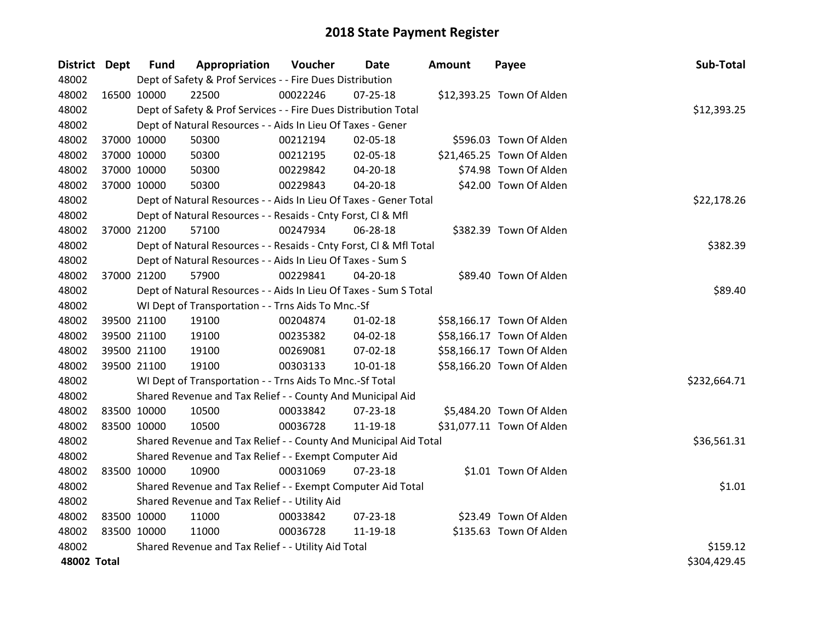| District Dept |             | <b>Fund</b> | Appropriation                                                      | Voucher  | <b>Date</b>    | <b>Amount</b> | Payee                     | Sub-Total    |
|---------------|-------------|-------------|--------------------------------------------------------------------|----------|----------------|---------------|---------------------------|--------------|
| 48002         |             |             | Dept of Safety & Prof Services - - Fire Dues Distribution          |          |                |               |                           |              |
| 48002         |             | 16500 10000 | 22500                                                              | 00022246 | $07 - 25 - 18$ |               | \$12,393.25 Town Of Alden |              |
| 48002         |             |             | Dept of Safety & Prof Services - - Fire Dues Distribution Total    |          |                |               |                           | \$12,393.25  |
| 48002         |             |             | Dept of Natural Resources - - Aids In Lieu Of Taxes - Gener        |          |                |               |                           |              |
| 48002         |             | 37000 10000 | 50300                                                              | 00212194 | 02-05-18       |               | \$596.03 Town Of Alden    |              |
| 48002         |             | 37000 10000 | 50300                                                              | 00212195 | 02-05-18       |               | \$21,465.25 Town Of Alden |              |
| 48002         |             | 37000 10000 | 50300                                                              | 00229842 | 04-20-18       |               | \$74.98 Town Of Alden     |              |
| 48002         |             | 37000 10000 | 50300                                                              | 00229843 | 04-20-18       |               | \$42.00 Town Of Alden     |              |
| 48002         |             |             | Dept of Natural Resources - - Aids In Lieu Of Taxes - Gener Total  |          |                |               |                           | \$22,178.26  |
| 48002         |             |             | Dept of Natural Resources - - Resaids - Cnty Forst, Cl & Mfl       |          |                |               |                           |              |
| 48002         |             | 37000 21200 | 57100                                                              | 00247934 | 06-28-18       |               | \$382.39 Town Of Alden    |              |
| 48002         |             |             | Dept of Natural Resources - - Resaids - Cnty Forst, Cl & Mfl Total |          |                |               |                           | \$382.39     |
| 48002         |             |             | Dept of Natural Resources - - Aids In Lieu Of Taxes - Sum S        |          |                |               |                           |              |
| 48002         |             | 37000 21200 | 57900                                                              | 00229841 | 04-20-18       |               | \$89.40 Town Of Alden     |              |
| 48002         |             |             | Dept of Natural Resources - - Aids In Lieu Of Taxes - Sum S Total  |          |                |               |                           | \$89.40      |
| 48002         |             |             | WI Dept of Transportation - - Trns Aids To Mnc.-Sf                 |          |                |               |                           |              |
| 48002         |             | 39500 21100 | 19100                                                              | 00204874 | $01 - 02 - 18$ |               | \$58,166.17 Town Of Alden |              |
| 48002         |             | 39500 21100 | 19100                                                              | 00235382 | 04-02-18       |               | \$58,166.17 Town Of Alden |              |
| 48002         |             | 39500 21100 | 19100                                                              | 00269081 | 07-02-18       |               | \$58,166.17 Town Of Alden |              |
| 48002         |             | 39500 21100 | 19100                                                              | 00303133 | $10 - 01 - 18$ |               | \$58,166.20 Town Of Alden |              |
| 48002         |             |             | WI Dept of Transportation - - Trns Aids To Mnc.-Sf Total           |          |                |               |                           | \$232,664.71 |
| 48002         |             |             | Shared Revenue and Tax Relief - - County And Municipal Aid         |          |                |               |                           |              |
| 48002         | 83500 10000 |             | 10500                                                              | 00033842 | 07-23-18       |               | \$5,484.20 Town Of Alden  |              |
| 48002         |             | 83500 10000 | 10500                                                              | 00036728 | 11-19-18       |               | \$31,077.11 Town Of Alden |              |
| 48002         |             |             | Shared Revenue and Tax Relief - - County And Municipal Aid Total   |          |                |               |                           | \$36,561.31  |
| 48002         |             |             | Shared Revenue and Tax Relief - - Exempt Computer Aid              |          |                |               |                           |              |
| 48002         | 83500 10000 |             | 10900                                                              | 00031069 | 07-23-18       |               | \$1.01 Town Of Alden      |              |
| 48002         |             |             | Shared Revenue and Tax Relief - - Exempt Computer Aid Total        |          |                |               |                           | \$1.01       |
| 48002         |             |             | Shared Revenue and Tax Relief - - Utility Aid                      |          |                |               |                           |              |
| 48002         | 83500 10000 |             | 11000                                                              | 00033842 | $07 - 23 - 18$ |               | \$23.49 Town Of Alden     |              |
| 48002         | 83500 10000 |             | 11000                                                              | 00036728 | 11-19-18       |               | \$135.63 Town Of Alden    |              |
| 48002         |             |             | Shared Revenue and Tax Relief - - Utility Aid Total                |          |                |               |                           | \$159.12     |
| 48002 Total   |             |             |                                                                    |          |                |               |                           | \$304,429.45 |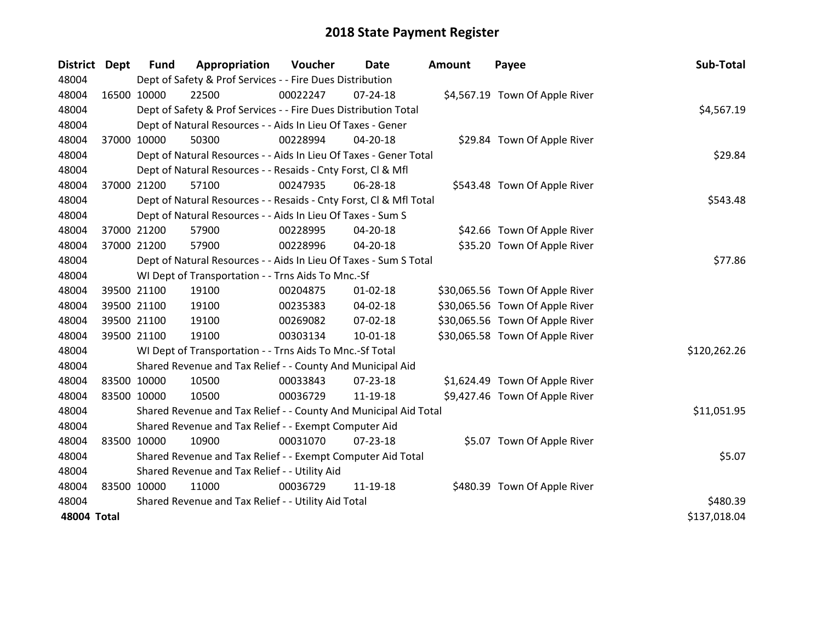| <b>District</b> | Dept        | <b>Fund</b> | Appropriation                                                      | Voucher  | Date           | <b>Amount</b> | Payee                           | Sub-Total    |
|-----------------|-------------|-------------|--------------------------------------------------------------------|----------|----------------|---------------|---------------------------------|--------------|
| 48004           |             |             | Dept of Safety & Prof Services - - Fire Dues Distribution          |          |                |               |                                 |              |
| 48004           | 16500 10000 |             | 22500                                                              | 00022247 | $07 - 24 - 18$ |               | \$4,567.19 Town Of Apple River  |              |
| 48004           |             |             | Dept of Safety & Prof Services - - Fire Dues Distribution Total    |          |                |               |                                 | \$4,567.19   |
| 48004           |             |             | Dept of Natural Resources - - Aids In Lieu Of Taxes - Gener        |          |                |               |                                 |              |
| 48004           |             | 37000 10000 | 50300                                                              | 00228994 | $04 - 20 - 18$ |               | \$29.84 Town Of Apple River     |              |
| 48004           |             |             | Dept of Natural Resources - - Aids In Lieu Of Taxes - Gener Total  |          |                |               |                                 | \$29.84      |
| 48004           |             |             | Dept of Natural Resources - - Resaids - Cnty Forst, CI & Mfl       |          |                |               |                                 |              |
| 48004           |             | 37000 21200 | 57100                                                              | 00247935 | 06-28-18       |               | \$543.48 Town Of Apple River    |              |
| 48004           |             |             | Dept of Natural Resources - - Resaids - Cnty Forst, Cl & Mfl Total |          |                |               |                                 | \$543.48     |
| 48004           |             |             | Dept of Natural Resources - - Aids In Lieu Of Taxes - Sum S        |          |                |               |                                 |              |
| 48004           |             | 37000 21200 | 57900                                                              | 00228995 | 04-20-18       |               | \$42.66 Town Of Apple River     |              |
| 48004           |             | 37000 21200 | 57900                                                              | 00228996 | 04-20-18       |               | \$35.20 Town Of Apple River     |              |
| 48004           |             |             | Dept of Natural Resources - - Aids In Lieu Of Taxes - Sum S Total  |          |                |               |                                 | \$77.86      |
| 48004           |             |             | WI Dept of Transportation - - Trns Aids To Mnc.-Sf                 |          |                |               |                                 |              |
| 48004           |             | 39500 21100 | 19100                                                              | 00204875 | $01 - 02 - 18$ |               | \$30,065.56 Town Of Apple River |              |
| 48004           |             | 39500 21100 | 19100                                                              | 00235383 | 04-02-18       |               | \$30,065.56 Town Of Apple River |              |
| 48004           |             | 39500 21100 | 19100                                                              | 00269082 | 07-02-18       |               | \$30,065.56 Town Of Apple River |              |
| 48004           |             | 39500 21100 | 19100                                                              | 00303134 | $10 - 01 - 18$ |               | \$30,065.58 Town Of Apple River |              |
| 48004           |             |             | WI Dept of Transportation - - Trns Aids To Mnc.-Sf Total           |          |                |               |                                 | \$120,262.26 |
| 48004           |             |             | Shared Revenue and Tax Relief - - County And Municipal Aid         |          |                |               |                                 |              |
| 48004           |             | 83500 10000 | 10500                                                              | 00033843 | 07-23-18       |               | \$1,624.49 Town Of Apple River  |              |
| 48004           | 83500 10000 |             | 10500                                                              | 00036729 | 11-19-18       |               | \$9,427.46 Town Of Apple River  |              |
| 48004           |             |             | Shared Revenue and Tax Relief - - County And Municipal Aid Total   |          |                |               |                                 | \$11,051.95  |
| 48004           |             |             | Shared Revenue and Tax Relief - - Exempt Computer Aid              |          |                |               |                                 |              |
| 48004           | 83500 10000 |             | 10900                                                              | 00031070 | 07-23-18       |               | \$5.07 Town Of Apple River      |              |
| 48004           |             |             | Shared Revenue and Tax Relief - - Exempt Computer Aid Total        |          |                |               |                                 | \$5.07       |
| 48004           |             |             | Shared Revenue and Tax Relief - - Utility Aid                      |          |                |               |                                 |              |
| 48004           |             | 83500 10000 | 11000                                                              | 00036729 | 11-19-18       |               | \$480.39 Town Of Apple River    |              |
| 48004           |             |             | Shared Revenue and Tax Relief - - Utility Aid Total                |          |                |               |                                 | \$480.39     |
| 48004 Total     |             |             |                                                                    |          |                |               |                                 | \$137,018.04 |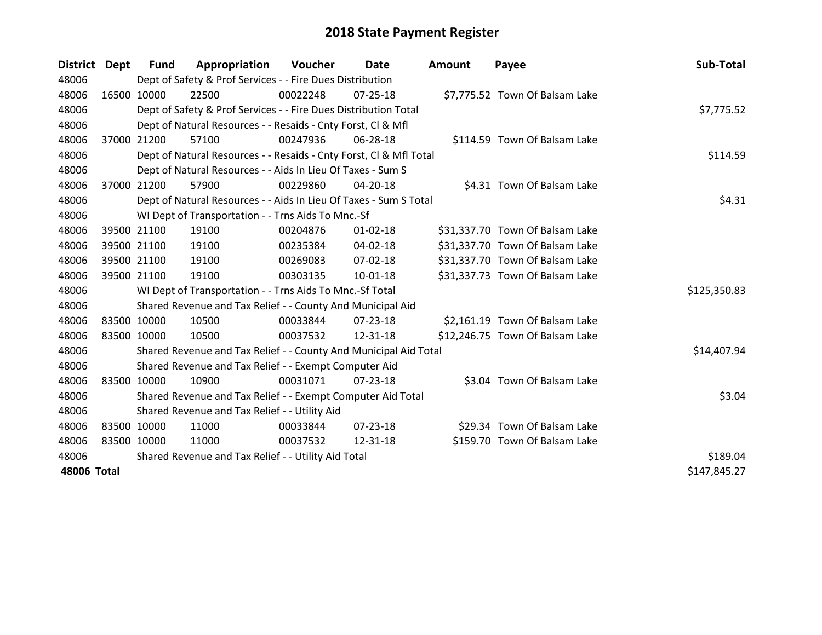| District Dept | Fund                                                | Appropriation                                                      | Voucher  | Date           | Amount | Payee                           | Sub-Total    |  |
|---------------|-----------------------------------------------------|--------------------------------------------------------------------|----------|----------------|--------|---------------------------------|--------------|--|
| 48006         |                                                     | Dept of Safety & Prof Services - - Fire Dues Distribution          |          |                |        |                                 |              |  |
| 48006         | 16500 10000                                         | 22500                                                              | 00022248 | 07-25-18       |        | \$7,775.52 Town Of Balsam Lake  |              |  |
| 48006         |                                                     | Dept of Safety & Prof Services - - Fire Dues Distribution Total    |          |                |        |                                 | \$7,775.52   |  |
| 48006         |                                                     | Dept of Natural Resources - - Resaids - Cnty Forst, CI & Mfl       |          |                |        |                                 |              |  |
| 48006         | 37000 21200                                         | 57100                                                              | 00247936 | 06-28-18       |        | \$114.59 Town Of Balsam Lake    |              |  |
| 48006         |                                                     | Dept of Natural Resources - - Resaids - Cnty Forst, Cl & Mfl Total | \$114.59 |                |        |                                 |              |  |
| 48006         |                                                     | Dept of Natural Resources - - Aids In Lieu Of Taxes - Sum S        |          |                |        |                                 |              |  |
| 48006         | 37000 21200                                         | 57900                                                              | 00229860 | 04-20-18       |        | \$4.31 Town Of Balsam Lake      |              |  |
| 48006         |                                                     | Dept of Natural Resources - - Aids In Lieu Of Taxes - Sum S Total  |          |                |        |                                 | \$4.31       |  |
| 48006         |                                                     | WI Dept of Transportation - - Trns Aids To Mnc.-Sf                 |          |                |        |                                 |              |  |
| 48006         | 39500 21100                                         | 19100                                                              | 00204876 | $01 - 02 - 18$ |        | \$31,337.70 Town Of Balsam Lake |              |  |
| 48006         | 39500 21100                                         | 19100                                                              | 00235384 | 04-02-18       |        | \$31,337.70 Town Of Balsam Lake |              |  |
| 48006         | 39500 21100                                         | 19100                                                              | 00269083 | 07-02-18       |        | \$31,337.70 Town Of Balsam Lake |              |  |
| 48006         | 39500 21100                                         | 19100                                                              | 00303135 | $10-01-18$     |        | \$31,337.73 Town Of Balsam Lake |              |  |
| 48006         |                                                     | WI Dept of Transportation - - Trns Aids To Mnc.-Sf Total           |          |                |        |                                 | \$125,350.83 |  |
| 48006         |                                                     | Shared Revenue and Tax Relief - - County And Municipal Aid         |          |                |        |                                 |              |  |
| 48006         | 83500 10000                                         | 10500                                                              | 00033844 | $07 - 23 - 18$ |        | \$2,161.19 Town Of Balsam Lake  |              |  |
| 48006         | 83500 10000                                         | 10500                                                              | 00037532 | 12-31-18       |        | \$12,246.75 Town Of Balsam Lake |              |  |
| 48006         |                                                     | Shared Revenue and Tax Relief - - County And Municipal Aid Total   |          |                |        |                                 | \$14,407.94  |  |
| 48006         |                                                     | Shared Revenue and Tax Relief - - Exempt Computer Aid              |          |                |        |                                 |              |  |
| 48006         | 83500 10000                                         | 10900                                                              | 00031071 | 07-23-18       |        | \$3.04 Town Of Balsam Lake      |              |  |
| 48006         |                                                     | Shared Revenue and Tax Relief - - Exempt Computer Aid Total        |          |                |        |                                 | \$3.04       |  |
| 48006         | Shared Revenue and Tax Relief - - Utility Aid       |                                                                    |          |                |        |                                 |              |  |
| 48006         | 83500 10000                                         | 11000                                                              | 00033844 | $07 - 23 - 18$ |        | \$29.34 Town Of Balsam Lake     |              |  |
| 48006         | 83500 10000                                         | 11000                                                              | 00037532 | 12-31-18       |        | \$159.70 Town Of Balsam Lake    |              |  |
| 48006         | Shared Revenue and Tax Relief - - Utility Aid Total | \$189.04                                                           |          |                |        |                                 |              |  |
| 48006 Total   |                                                     |                                                                    |          |                |        |                                 | \$147,845.27 |  |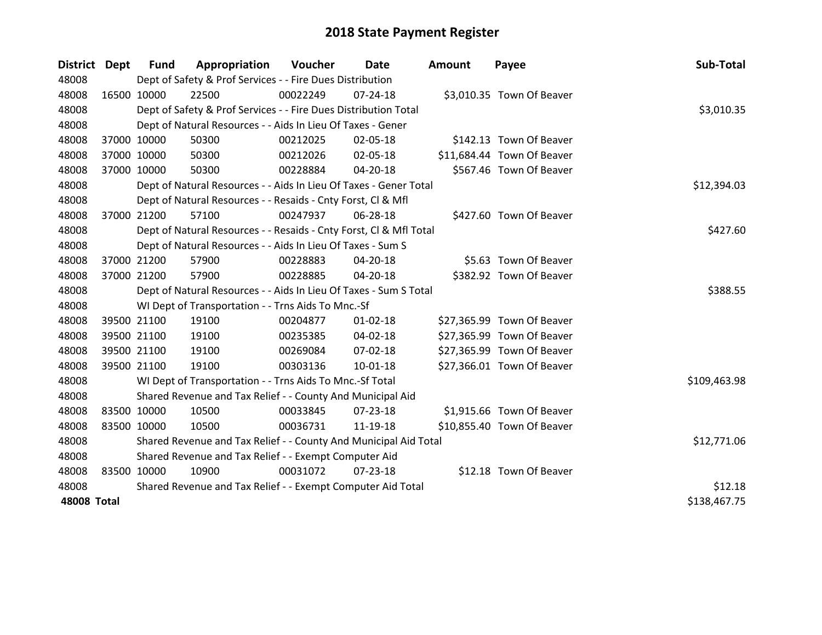| District Dept      |             | <b>Fund</b>                                           | Appropriation                                                      | Voucher  | Date           | Amount | Payee                      | Sub-Total    |
|--------------------|-------------|-------------------------------------------------------|--------------------------------------------------------------------|----------|----------------|--------|----------------------------|--------------|
| 48008              |             |                                                       | Dept of Safety & Prof Services - - Fire Dues Distribution          |          |                |        |                            |              |
| 48008              | 16500 10000 |                                                       | 22500                                                              | 00022249 | $07 - 24 - 18$ |        | \$3,010.35 Town Of Beaver  |              |
| 48008              |             |                                                       | Dept of Safety & Prof Services - - Fire Dues Distribution Total    |          |                |        |                            | \$3,010.35   |
| 48008              |             |                                                       | Dept of Natural Resources - - Aids In Lieu Of Taxes - Gener        |          |                |        |                            |              |
| 48008              |             | 37000 10000                                           | 50300                                                              | 00212025 | 02-05-18       |        | \$142.13 Town Of Beaver    |              |
| 48008              |             | 37000 10000                                           | 50300                                                              | 00212026 | 02-05-18       |        | \$11,684.44 Town Of Beaver |              |
| 48008              |             | 37000 10000                                           | 50300                                                              | 00228884 | $04 - 20 - 18$ |        | \$567.46 Town Of Beaver    |              |
| 48008              |             |                                                       | Dept of Natural Resources - - Aids In Lieu Of Taxes - Gener Total  |          | \$12,394.03    |        |                            |              |
| 48008              |             |                                                       | Dept of Natural Resources - - Resaids - Cnty Forst, CI & Mfl       |          |                |        |                            |              |
| 48008              |             | 37000 21200                                           | 57100                                                              | 00247937 | 06-28-18       |        | \$427.60 Town Of Beaver    |              |
| 48008              |             |                                                       | Dept of Natural Resources - - Resaids - Cnty Forst, CI & Mfl Total |          |                |        |                            | \$427.60     |
| 48008              |             |                                                       | Dept of Natural Resources - - Aids In Lieu Of Taxes - Sum S        |          |                |        |                            |              |
| 48008              |             | 37000 21200                                           | 57900                                                              | 00228883 | 04-20-18       |        | \$5.63 Town Of Beaver      |              |
| 48008              |             | 37000 21200                                           | 57900                                                              | 00228885 | $04 - 20 - 18$ |        | \$382.92 Town Of Beaver    |              |
| 48008              |             |                                                       | Dept of Natural Resources - - Aids In Lieu Of Taxes - Sum S Total  |          |                |        |                            | \$388.55     |
| 48008              |             |                                                       | WI Dept of Transportation - - Trns Aids To Mnc.-Sf                 |          |                |        |                            |              |
| 48008              |             | 39500 21100                                           | 19100                                                              | 00204877 | $01 - 02 - 18$ |        | \$27,365.99 Town Of Beaver |              |
| 48008              |             | 39500 21100                                           | 19100                                                              | 00235385 | 04-02-18       |        | \$27,365.99 Town Of Beaver |              |
| 48008              |             | 39500 21100                                           | 19100                                                              | 00269084 | $07 - 02 - 18$ |        | \$27,365.99 Town Of Beaver |              |
| 48008              |             | 39500 21100                                           | 19100                                                              | 00303136 | $10 - 01 - 18$ |        | \$27,366.01 Town Of Beaver |              |
| 48008              |             |                                                       | WI Dept of Transportation - - Trns Aids To Mnc.-Sf Total           |          |                |        |                            | \$109,463.98 |
| 48008              |             |                                                       | Shared Revenue and Tax Relief - - County And Municipal Aid         |          |                |        |                            |              |
| 48008              | 83500 10000 |                                                       | 10500                                                              | 00033845 | 07-23-18       |        | \$1,915.66 Town Of Beaver  |              |
| 48008              | 83500 10000 |                                                       | 10500                                                              | 00036731 | 11-19-18       |        | \$10,855.40 Town Of Beaver |              |
| 48008              |             |                                                       | Shared Revenue and Tax Relief - - County And Municipal Aid Total   |          |                |        |                            | \$12,771.06  |
| 48008              |             | Shared Revenue and Tax Relief - - Exempt Computer Aid |                                                                    |          |                |        |                            |              |
| 48008              | 83500 10000 |                                                       | 10900                                                              | 00031072 | 07-23-18       |        | \$12.18 Town Of Beaver     |              |
| 48008              |             |                                                       | Shared Revenue and Tax Relief - - Exempt Computer Aid Total        |          |                |        |                            | \$12.18      |
| <b>48008 Total</b> |             |                                                       |                                                                    |          |                |        |                            | \$138,467.75 |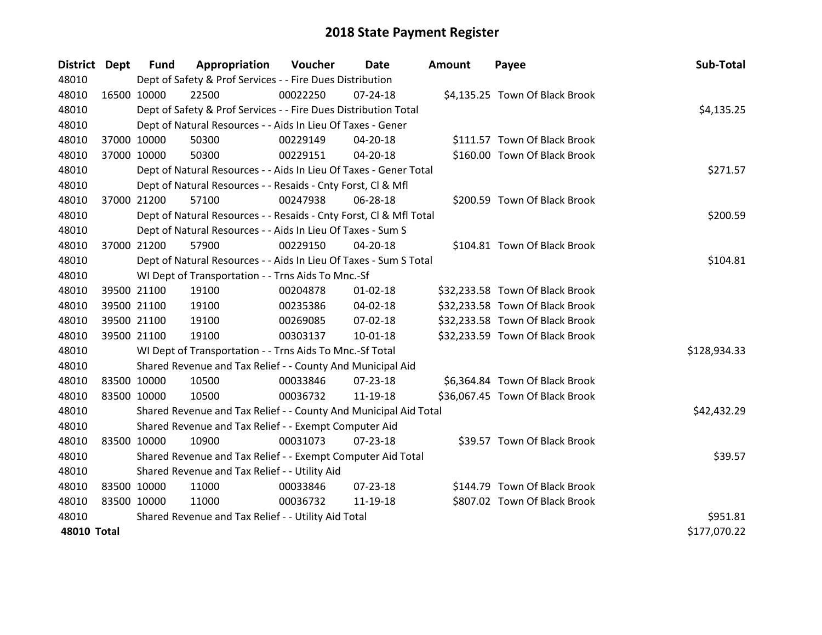| District Dept      | <b>Fund</b> | Appropriation                                                      | Voucher  | Date           | <b>Amount</b> | Payee                           | Sub-Total    |
|--------------------|-------------|--------------------------------------------------------------------|----------|----------------|---------------|---------------------------------|--------------|
| 48010              |             | Dept of Safety & Prof Services - - Fire Dues Distribution          |          |                |               |                                 |              |
| 48010              | 16500 10000 | 22500                                                              | 00022250 | $07 - 24 - 18$ |               | \$4,135.25 Town Of Black Brook  |              |
| 48010              |             | Dept of Safety & Prof Services - - Fire Dues Distribution Total    |          |                |               |                                 | \$4,135.25   |
| 48010              |             | Dept of Natural Resources - - Aids In Lieu Of Taxes - Gener        |          |                |               |                                 |              |
| 48010              | 37000 10000 | 50300                                                              | 00229149 | 04-20-18       |               | \$111.57 Town Of Black Brook    |              |
| 48010              | 37000 10000 | 50300                                                              | 00229151 | $04 - 20 - 18$ |               | \$160.00 Town Of Black Brook    |              |
| 48010              |             | Dept of Natural Resources - - Aids In Lieu Of Taxes - Gener Total  |          |                |               |                                 | \$271.57     |
| 48010              |             | Dept of Natural Resources - - Resaids - Cnty Forst, CI & Mfl       |          |                |               |                                 |              |
| 48010              | 37000 21200 | 57100                                                              | 00247938 | 06-28-18       |               | \$200.59 Town Of Black Brook    |              |
| 48010              |             | Dept of Natural Resources - - Resaids - Cnty Forst, Cl & Mfl Total |          |                |               |                                 | \$200.59     |
| 48010              |             | Dept of Natural Resources - - Aids In Lieu Of Taxes - Sum S        |          |                |               |                                 |              |
| 48010              | 37000 21200 | 57900                                                              | 00229150 | $04 - 20 - 18$ |               | \$104.81 Town Of Black Brook    |              |
| 48010              |             | Dept of Natural Resources - - Aids In Lieu Of Taxes - Sum S Total  |          |                |               |                                 | \$104.81     |
| 48010              |             | WI Dept of Transportation - - Trns Aids To Mnc.-Sf                 |          |                |               |                                 |              |
| 48010              | 39500 21100 | 19100                                                              | 00204878 | $01 - 02 - 18$ |               | \$32,233.58 Town Of Black Brook |              |
| 48010              | 39500 21100 | 19100                                                              | 00235386 | 04-02-18       |               | \$32,233.58 Town Of Black Brook |              |
| 48010              | 39500 21100 | 19100                                                              | 00269085 | 07-02-18       |               | \$32,233.58 Town Of Black Brook |              |
| 48010              | 39500 21100 | 19100                                                              | 00303137 | $10 - 01 - 18$ |               | \$32,233.59 Town Of Black Brook |              |
| 48010              |             | WI Dept of Transportation - - Trns Aids To Mnc.-Sf Total           |          |                |               |                                 | \$128,934.33 |
| 48010              |             | Shared Revenue and Tax Relief - - County And Municipal Aid         |          |                |               |                                 |              |
| 48010              | 83500 10000 | 10500                                                              | 00033846 | $07 - 23 - 18$ |               | \$6,364.84 Town Of Black Brook  |              |
| 48010              | 83500 10000 | 10500                                                              | 00036732 | 11-19-18       |               | \$36,067.45 Town Of Black Brook |              |
| 48010              |             | Shared Revenue and Tax Relief - - County And Municipal Aid Total   |          |                |               |                                 | \$42,432.29  |
| 48010              |             | Shared Revenue and Tax Relief - - Exempt Computer Aid              |          |                |               |                                 |              |
| 48010              | 83500 10000 | 10900                                                              | 00031073 | $07 - 23 - 18$ |               | \$39.57 Town Of Black Brook     |              |
| 48010              |             | Shared Revenue and Tax Relief - - Exempt Computer Aid Total        |          |                |               |                                 | \$39.57      |
| 48010              |             | Shared Revenue and Tax Relief - - Utility Aid                      |          |                |               |                                 |              |
| 48010              | 83500 10000 | 11000                                                              | 00033846 | $07 - 23 - 18$ |               | \$144.79 Town Of Black Brook    |              |
| 48010              | 83500 10000 | 11000                                                              | 00036732 | 11-19-18       |               | \$807.02 Town Of Black Brook    |              |
| 48010              |             | Shared Revenue and Tax Relief - - Utility Aid Total                |          |                |               |                                 | \$951.81     |
| <b>48010 Total</b> |             |                                                                    |          |                |               |                                 | \$177,070.22 |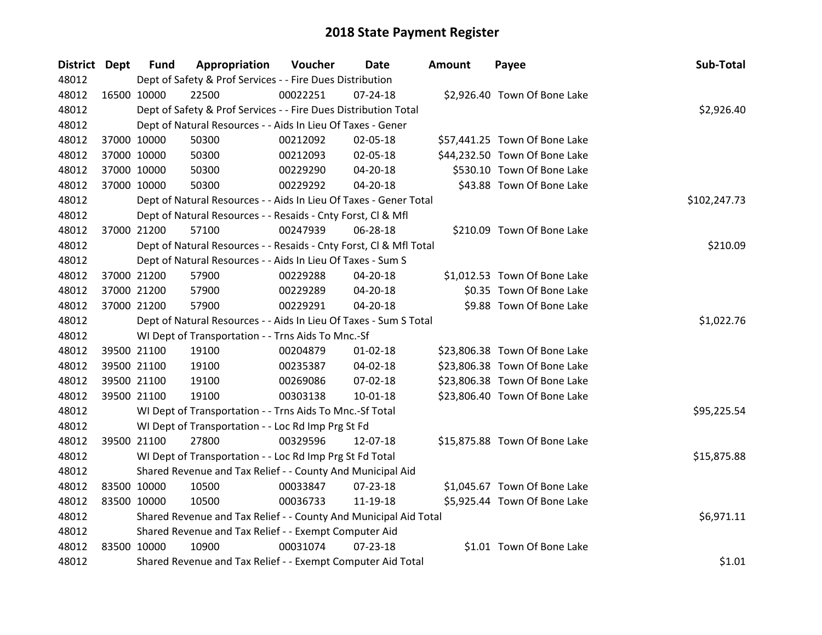| <b>District Dept</b> |             | <b>Fund</b> | Appropriation                                                      | Voucher  | Date           | Amount | Payee                         | Sub-Total    |
|----------------------|-------------|-------------|--------------------------------------------------------------------|----------|----------------|--------|-------------------------------|--------------|
| 48012                |             |             | Dept of Safety & Prof Services - - Fire Dues Distribution          |          |                |        |                               |              |
| 48012                |             | 16500 10000 | 22500                                                              | 00022251 | $07 - 24 - 18$ |        | \$2,926.40 Town Of Bone Lake  |              |
| 48012                |             |             | Dept of Safety & Prof Services - - Fire Dues Distribution Total    |          |                |        |                               | \$2,926.40   |
| 48012                |             |             | Dept of Natural Resources - - Aids In Lieu Of Taxes - Gener        |          |                |        |                               |              |
| 48012                |             | 37000 10000 | 50300                                                              | 00212092 | 02-05-18       |        | \$57,441.25 Town Of Bone Lake |              |
| 48012                |             | 37000 10000 | 50300                                                              | 00212093 | 02-05-18       |        | \$44,232.50 Town Of Bone Lake |              |
| 48012                |             | 37000 10000 | 50300                                                              | 00229290 | 04-20-18       |        | \$530.10 Town Of Bone Lake    |              |
| 48012                |             | 37000 10000 | 50300                                                              | 00229292 | 04-20-18       |        | \$43.88 Town Of Bone Lake     |              |
| 48012                |             |             | Dept of Natural Resources - - Aids In Lieu Of Taxes - Gener Total  |          |                |        |                               | \$102,247.73 |
| 48012                |             |             | Dept of Natural Resources - - Resaids - Cnty Forst, Cl & Mfl       |          |                |        |                               |              |
| 48012                |             | 37000 21200 | 57100                                                              | 00247939 | 06-28-18       |        | \$210.09 Town Of Bone Lake    |              |
| 48012                |             |             | Dept of Natural Resources - - Resaids - Cnty Forst, CI & Mfl Total |          |                |        |                               | \$210.09     |
| 48012                |             |             | Dept of Natural Resources - - Aids In Lieu Of Taxes - Sum S        |          |                |        |                               |              |
| 48012                |             | 37000 21200 | 57900                                                              | 00229288 | 04-20-18       |        | \$1,012.53 Town Of Bone Lake  |              |
| 48012                |             | 37000 21200 | 57900                                                              | 00229289 | 04-20-18       |        | \$0.35 Town Of Bone Lake      |              |
| 48012                |             | 37000 21200 | 57900                                                              | 00229291 | 04-20-18       |        | \$9.88 Town Of Bone Lake      |              |
| 48012                |             |             | Dept of Natural Resources - - Aids In Lieu Of Taxes - Sum S Total  |          |                |        |                               | \$1,022.76   |
| 48012                |             |             | WI Dept of Transportation - - Trns Aids To Mnc.-Sf                 |          |                |        |                               |              |
| 48012                |             | 39500 21100 | 19100                                                              | 00204879 | $01 - 02 - 18$ |        | \$23,806.38 Town Of Bone Lake |              |
| 48012                |             | 39500 21100 | 19100                                                              | 00235387 | 04-02-18       |        | \$23,806.38 Town Of Bone Lake |              |
| 48012                |             | 39500 21100 | 19100                                                              | 00269086 | 07-02-18       |        | \$23,806.38 Town Of Bone Lake |              |
| 48012                |             | 39500 21100 | 19100                                                              | 00303138 | $10-01-18$     |        | \$23,806.40 Town Of Bone Lake |              |
| 48012                |             |             | WI Dept of Transportation - - Trns Aids To Mnc.-Sf Total           |          |                |        |                               | \$95,225.54  |
| 48012                |             |             | WI Dept of Transportation - - Loc Rd Imp Prg St Fd                 |          |                |        |                               |              |
| 48012                |             | 39500 21100 | 27800                                                              | 00329596 | 12-07-18       |        | \$15,875.88 Town Of Bone Lake |              |
| 48012                |             |             | WI Dept of Transportation - - Loc Rd Imp Prg St Fd Total           |          |                |        |                               | \$15,875.88  |
| 48012                |             |             | Shared Revenue and Tax Relief - - County And Municipal Aid         |          |                |        |                               |              |
| 48012                | 83500 10000 |             | 10500                                                              | 00033847 | 07-23-18       |        | \$1,045.67 Town Of Bone Lake  |              |
| 48012                |             | 83500 10000 | 10500                                                              | 00036733 | 11-19-18       |        | \$5,925.44 Town Of Bone Lake  |              |
| 48012                |             |             | Shared Revenue and Tax Relief - - County And Municipal Aid Total   |          |                |        |                               | \$6,971.11   |
| 48012                |             |             | Shared Revenue and Tax Relief - - Exempt Computer Aid              |          |                |        |                               |              |
| 48012                |             | 83500 10000 | 10900                                                              | 00031074 | $07 - 23 - 18$ |        | \$1.01 Town Of Bone Lake      |              |
| 48012                |             |             | Shared Revenue and Tax Relief - - Exempt Computer Aid Total        |          |                |        |                               | \$1.01       |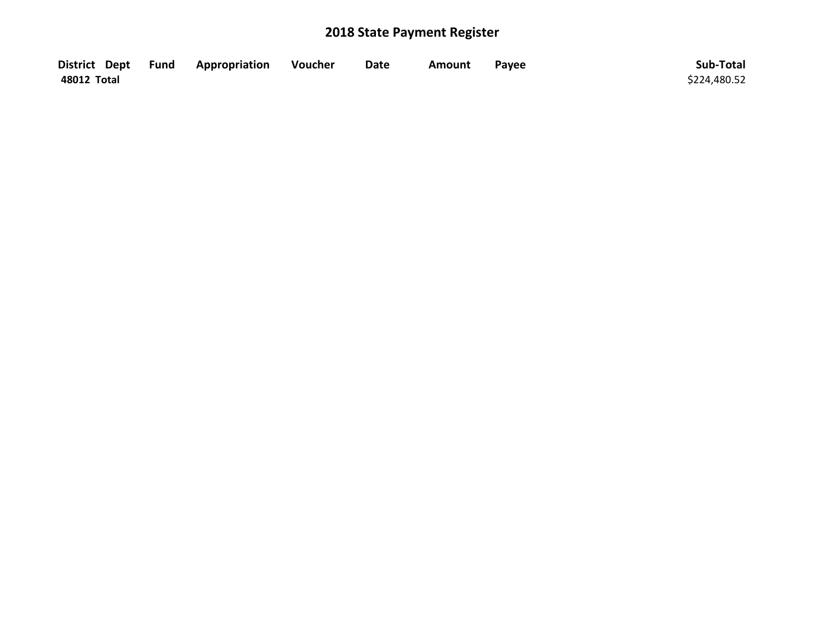|             | District Dept Fund Appropriation | Voucher | <b>Date</b> | Amount | Payee | Sub-Total    |
|-------------|----------------------------------|---------|-------------|--------|-------|--------------|
| 48012 Total |                                  |         |             |        |       | \$224,480.52 |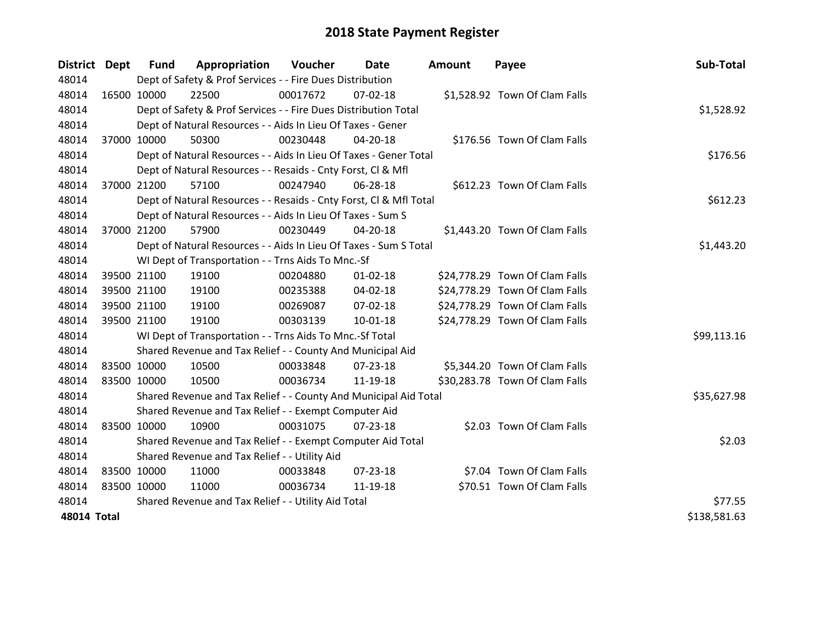| District Dept      |             | <b>Fund</b> | Appropriation                                                      | Voucher  | Date           | <b>Amount</b> | Payee                          | Sub-Total    |
|--------------------|-------------|-------------|--------------------------------------------------------------------|----------|----------------|---------------|--------------------------------|--------------|
| 48014              |             |             | Dept of Safety & Prof Services - - Fire Dues Distribution          |          |                |               |                                |              |
| 48014              | 16500 10000 |             | 22500                                                              | 00017672 | $07 - 02 - 18$ |               | \$1,528.92 Town Of Clam Falls  |              |
| 48014              |             |             | Dept of Safety & Prof Services - - Fire Dues Distribution Total    |          |                |               |                                | \$1,528.92   |
| 48014              |             |             | Dept of Natural Resources - - Aids In Lieu Of Taxes - Gener        |          |                |               |                                |              |
| 48014              |             | 37000 10000 | 50300                                                              | 00230448 | 04-20-18       |               | \$176.56 Town Of Clam Falls    |              |
| 48014              |             |             | Dept of Natural Resources - - Aids In Lieu Of Taxes - Gener Total  |          |                |               |                                | \$176.56     |
| 48014              |             |             | Dept of Natural Resources - - Resaids - Cnty Forst, Cl & Mfl       |          |                |               |                                |              |
| 48014              |             | 37000 21200 | 57100                                                              | 00247940 | 06-28-18       |               | \$612.23 Town Of Clam Falls    |              |
| 48014              |             |             | Dept of Natural Resources - - Resaids - Cnty Forst, CI & Mfl Total |          |                |               |                                | \$612.23     |
| 48014              |             |             | Dept of Natural Resources - - Aids In Lieu Of Taxes - Sum S        |          |                |               |                                |              |
| 48014              |             | 37000 21200 | 57900                                                              | 00230449 | 04-20-18       |               | \$1,443.20 Town Of Clam Falls  |              |
| 48014              |             |             | Dept of Natural Resources - - Aids In Lieu Of Taxes - Sum S Total  |          |                |               |                                | \$1,443.20   |
| 48014              |             |             | WI Dept of Transportation - - Trns Aids To Mnc.-Sf                 |          |                |               |                                |              |
| 48014              |             | 39500 21100 | 19100                                                              | 00204880 | $01 - 02 - 18$ |               | \$24,778.29 Town Of Clam Falls |              |
| 48014              |             | 39500 21100 | 19100                                                              | 00235388 | 04-02-18       |               | \$24,778.29 Town Of Clam Falls |              |
| 48014              |             | 39500 21100 | 19100                                                              | 00269087 | 07-02-18       |               | \$24,778.29 Town Of Clam Falls |              |
| 48014              |             | 39500 21100 | 19100                                                              | 00303139 | $10 - 01 - 18$ |               | \$24,778.29 Town Of Clam Falls |              |
| 48014              |             |             | WI Dept of Transportation - - Trns Aids To Mnc.-Sf Total           |          |                |               |                                | \$99,113.16  |
| 48014              |             |             | Shared Revenue and Tax Relief - - County And Municipal Aid         |          |                |               |                                |              |
| 48014              | 83500 10000 |             | 10500                                                              | 00033848 | $07 - 23 - 18$ |               | \$5,344.20 Town Of Clam Falls  |              |
| 48014              | 83500 10000 |             | 10500                                                              | 00036734 | 11-19-18       |               | \$30,283.78 Town Of Clam Falls |              |
| 48014              |             |             | Shared Revenue and Tax Relief - - County And Municipal Aid Total   |          |                |               |                                | \$35,627.98  |
| 48014              |             |             | Shared Revenue and Tax Relief - - Exempt Computer Aid              |          |                |               |                                |              |
| 48014              | 83500 10000 |             | 10900                                                              | 00031075 | $07 - 23 - 18$ |               | \$2.03 Town Of Clam Falls      |              |
| 48014              |             |             | Shared Revenue and Tax Relief - - Exempt Computer Aid Total        |          |                |               |                                | \$2.03       |
| 48014              |             |             | Shared Revenue and Tax Relief - - Utility Aid                      |          |                |               |                                |              |
| 48014              | 83500 10000 |             | 11000                                                              | 00033848 | 07-23-18       |               | \$7.04 Town Of Clam Falls      |              |
| 48014              | 83500 10000 |             | 11000                                                              | 00036734 | 11-19-18       |               | \$70.51 Town Of Clam Falls     |              |
| 48014              |             |             | Shared Revenue and Tax Relief - - Utility Aid Total                |          |                |               |                                | \$77.55      |
| <b>48014 Total</b> |             |             |                                                                    |          |                |               |                                | \$138,581.63 |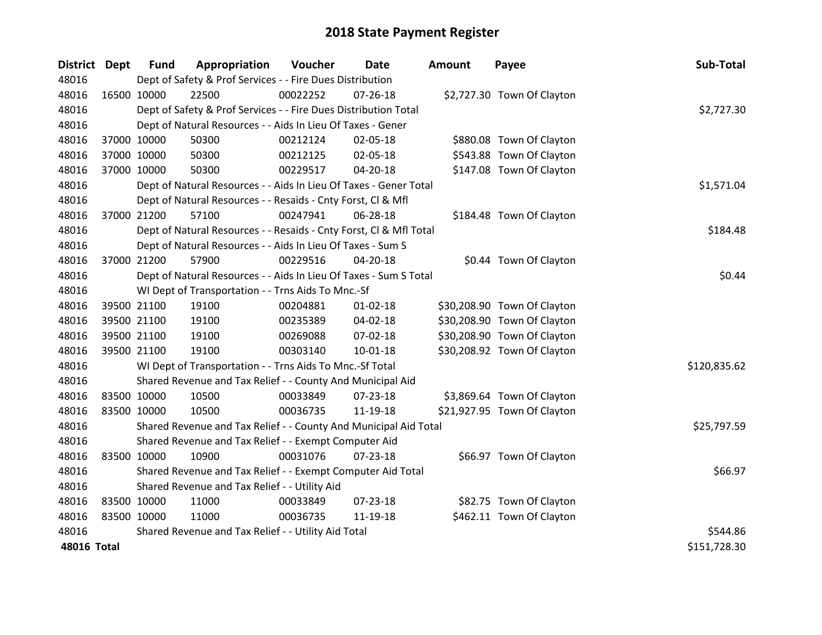| District Dept |             | <b>Fund</b> | Appropriation                                                      | Voucher  | Date           | <b>Amount</b> | Payee                       | Sub-Total    |
|---------------|-------------|-------------|--------------------------------------------------------------------|----------|----------------|---------------|-----------------------------|--------------|
| 48016         |             |             | Dept of Safety & Prof Services - - Fire Dues Distribution          |          |                |               |                             |              |
| 48016         | 16500 10000 |             | 22500                                                              | 00022252 | 07-26-18       |               | \$2,727.30 Town Of Clayton  |              |
| 48016         |             |             | Dept of Safety & Prof Services - - Fire Dues Distribution Total    |          |                |               |                             | \$2,727.30   |
| 48016         |             |             | Dept of Natural Resources - - Aids In Lieu Of Taxes - Gener        |          |                |               |                             |              |
| 48016         |             | 37000 10000 | 50300                                                              | 00212124 | 02-05-18       |               | \$880.08 Town Of Clayton    |              |
| 48016         | 37000 10000 |             | 50300                                                              | 00212125 | 02-05-18       |               | \$543.88 Town Of Clayton    |              |
| 48016         |             | 37000 10000 | 50300                                                              | 00229517 | 04-20-18       |               | \$147.08 Town Of Clayton    |              |
| 48016         |             |             | Dept of Natural Resources - - Aids In Lieu Of Taxes - Gener Total  |          |                |               |                             | \$1,571.04   |
| 48016         |             |             | Dept of Natural Resources - - Resaids - Cnty Forst, Cl & Mfl       |          |                |               |                             |              |
| 48016         |             | 37000 21200 | 57100                                                              | 00247941 | 06-28-18       |               | \$184.48 Town Of Clayton    |              |
| 48016         |             |             | Dept of Natural Resources - - Resaids - Cnty Forst, CI & Mfl Total |          |                |               |                             | \$184.48     |
| 48016         |             |             | Dept of Natural Resources - - Aids In Lieu Of Taxes - Sum S        |          |                |               |                             |              |
| 48016         |             | 37000 21200 | 57900                                                              | 00229516 | 04-20-18       |               | \$0.44 Town Of Clayton      |              |
| 48016         |             |             | Dept of Natural Resources - - Aids In Lieu Of Taxes - Sum S Total  |          |                |               |                             | \$0.44       |
| 48016         |             |             | WI Dept of Transportation - - Trns Aids To Mnc.-Sf                 |          |                |               |                             |              |
| 48016         | 39500 21100 |             | 19100                                                              | 00204881 | $01 - 02 - 18$ |               | \$30,208.90 Town Of Clayton |              |
| 48016         | 39500 21100 |             | 19100                                                              | 00235389 | 04-02-18       |               | \$30,208.90 Town Of Clayton |              |
| 48016         |             | 39500 21100 | 19100                                                              | 00269088 | 07-02-18       |               | \$30,208.90 Town Of Clayton |              |
| 48016         |             | 39500 21100 | 19100                                                              | 00303140 | $10 - 01 - 18$ |               | \$30,208.92 Town Of Clayton |              |
| 48016         |             |             | WI Dept of Transportation - - Trns Aids To Mnc.-Sf Total           |          |                |               |                             | \$120,835.62 |
| 48016         |             |             | Shared Revenue and Tax Relief - - County And Municipal Aid         |          |                |               |                             |              |
| 48016         | 83500 10000 |             | 10500                                                              | 00033849 | 07-23-18       |               | \$3,869.64 Town Of Clayton  |              |
| 48016         | 83500 10000 |             | 10500                                                              | 00036735 | 11-19-18       |               | \$21,927.95 Town Of Clayton |              |
| 48016         |             |             | Shared Revenue and Tax Relief - - County And Municipal Aid Total   |          |                |               |                             | \$25,797.59  |
| 48016         |             |             | Shared Revenue and Tax Relief - - Exempt Computer Aid              |          |                |               |                             |              |
| 48016         | 83500 10000 |             | 10900                                                              | 00031076 | $07 - 23 - 18$ |               | \$66.97 Town Of Clayton     |              |
| 48016         |             |             | Shared Revenue and Tax Relief - - Exempt Computer Aid Total        |          |                |               |                             | \$66.97      |
| 48016         |             |             | Shared Revenue and Tax Relief - - Utility Aid                      |          |                |               |                             |              |
| 48016         | 83500 10000 |             | 11000                                                              | 00033849 | 07-23-18       |               | \$82.75 Town Of Clayton     |              |
| 48016         | 83500 10000 |             | 11000                                                              | 00036735 | 11-19-18       |               | \$462.11 Town Of Clayton    |              |
| 48016         |             |             | Shared Revenue and Tax Relief - - Utility Aid Total                |          |                |               |                             | \$544.86     |
| 48016 Total   |             |             |                                                                    |          |                |               |                             | \$151,728.30 |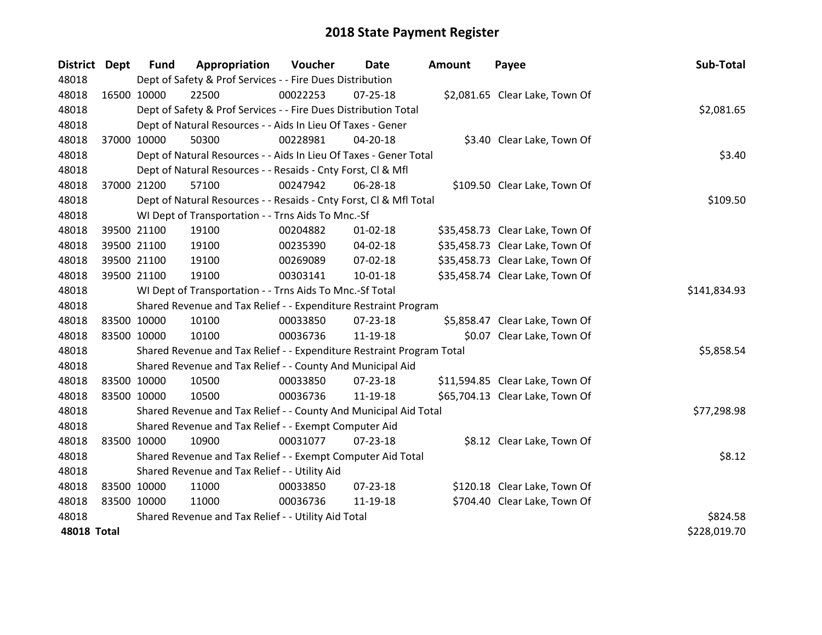| District Dept      |             | <b>Fund</b> | Appropriation                                                         | Voucher  | Date           | <b>Amount</b> | Payee                           | Sub-Total    |
|--------------------|-------------|-------------|-----------------------------------------------------------------------|----------|----------------|---------------|---------------------------------|--------------|
| 48018              |             |             | Dept of Safety & Prof Services - - Fire Dues Distribution             |          |                |               |                                 |              |
| 48018              | 16500 10000 |             | 22500                                                                 | 00022253 | 07-25-18       |               | \$2,081.65 Clear Lake, Town Of  |              |
| 48018              |             |             | Dept of Safety & Prof Services - - Fire Dues Distribution Total       |          |                |               |                                 | \$2,081.65   |
| 48018              |             |             | Dept of Natural Resources - - Aids In Lieu Of Taxes - Gener           |          |                |               |                                 |              |
| 48018              | 37000 10000 |             | 50300                                                                 | 00228981 | $04 - 20 - 18$ |               | \$3.40 Clear Lake, Town Of      |              |
| 48018              |             |             | Dept of Natural Resources - - Aids In Lieu Of Taxes - Gener Total     |          | \$3.40         |               |                                 |              |
| 48018              |             |             | Dept of Natural Resources - - Resaids - Cnty Forst, Cl & Mfl          |          |                |               |                                 |              |
| 48018              | 37000 21200 |             | 57100                                                                 | 00247942 | 06-28-18       |               | \$109.50 Clear Lake, Town Of    |              |
| 48018              |             |             | Dept of Natural Resources - - Resaids - Cnty Forst, Cl & Mfl Total    |          |                |               |                                 | \$109.50     |
| 48018              |             |             | WI Dept of Transportation - - Trns Aids To Mnc.-Sf                    |          |                |               |                                 |              |
| 48018              | 39500 21100 |             | 19100                                                                 | 00204882 | $01 - 02 - 18$ |               | \$35,458.73 Clear Lake, Town Of |              |
| 48018              |             | 39500 21100 | 19100                                                                 | 00235390 | 04-02-18       |               | \$35,458.73 Clear Lake, Town Of |              |
| 48018              | 39500 21100 |             | 19100                                                                 | 00269089 | 07-02-18       |               | \$35,458.73 Clear Lake, Town Of |              |
| 48018              | 39500 21100 |             | 19100                                                                 | 00303141 | $10 - 01 - 18$ |               | \$35,458.74 Clear Lake, Town Of |              |
| 48018              |             |             | WI Dept of Transportation - - Trns Aids To Mnc.-Sf Total              |          |                |               |                                 | \$141,834.93 |
| 48018              |             |             | Shared Revenue and Tax Relief - - Expenditure Restraint Program       |          |                |               |                                 |              |
| 48018              | 83500 10000 |             | 10100                                                                 | 00033850 | 07-23-18       |               | \$5,858.47 Clear Lake, Town Of  |              |
| 48018              | 83500 10000 |             | 10100                                                                 | 00036736 | 11-19-18       |               | \$0.07 Clear Lake, Town Of      |              |
| 48018              |             |             | Shared Revenue and Tax Relief - - Expenditure Restraint Program Total |          |                |               |                                 | \$5,858.54   |
| 48018              |             |             | Shared Revenue and Tax Relief - - County And Municipal Aid            |          |                |               |                                 |              |
| 48018              | 83500 10000 |             | 10500                                                                 | 00033850 | 07-23-18       |               | \$11,594.85 Clear Lake, Town Of |              |
| 48018              | 83500 10000 |             | 10500                                                                 | 00036736 | 11-19-18       |               | \$65,704.13 Clear Lake, Town Of |              |
| 48018              |             |             | Shared Revenue and Tax Relief - - County And Municipal Aid Total      |          |                |               |                                 | \$77,298.98  |
| 48018              |             |             | Shared Revenue and Tax Relief - - Exempt Computer Aid                 |          |                |               |                                 |              |
| 48018              | 83500 10000 |             | 10900                                                                 | 00031077 | 07-23-18       |               | \$8.12 Clear Lake, Town Of      |              |
| 48018              |             |             | Shared Revenue and Tax Relief - - Exempt Computer Aid Total           |          |                |               |                                 | \$8.12       |
| 48018              |             |             | Shared Revenue and Tax Relief - - Utility Aid                         |          |                |               |                                 |              |
| 48018              | 83500 10000 |             | 11000                                                                 | 00033850 | 07-23-18       |               | \$120.18 Clear Lake, Town Of    |              |
| 48018              | 83500 10000 |             | 11000                                                                 | 00036736 | 11-19-18       |               | \$704.40 Clear Lake, Town Of    |              |
| 48018              |             |             | Shared Revenue and Tax Relief - - Utility Aid Total                   |          |                |               |                                 | \$824.58     |
| <b>48018 Total</b> |             |             |                                                                       |          |                |               |                                 | \$228,019.70 |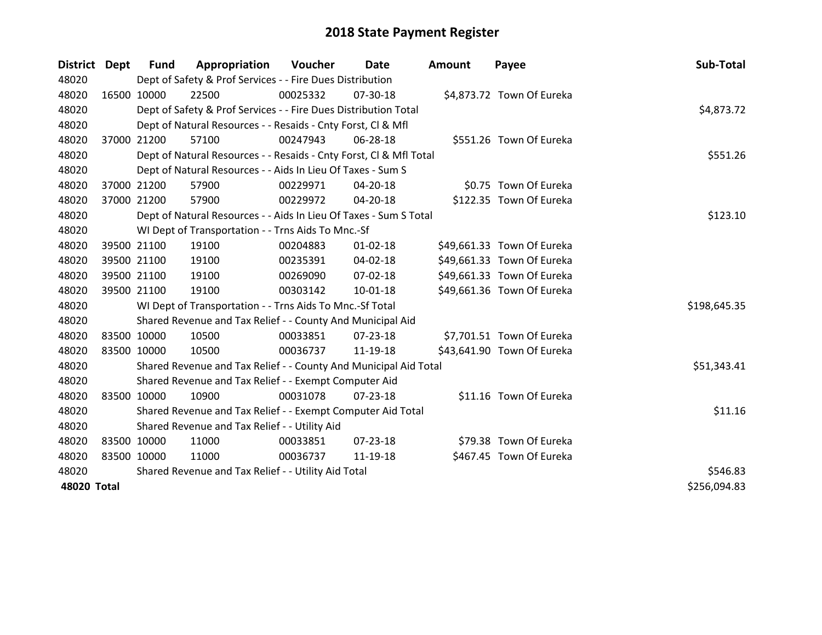| District Dept      | <b>Fund</b> | Appropriation                                                      | Voucher  | Date           | <b>Amount</b> | Payee                      | Sub-Total    |
|--------------------|-------------|--------------------------------------------------------------------|----------|----------------|---------------|----------------------------|--------------|
| 48020              |             | Dept of Safety & Prof Services - - Fire Dues Distribution          |          |                |               |                            |              |
| 48020              | 16500 10000 | 22500                                                              | 00025332 | 07-30-18       |               | \$4,873.72 Town Of Eureka  |              |
| 48020              |             | Dept of Safety & Prof Services - - Fire Dues Distribution Total    |          |                |               |                            | \$4,873.72   |
| 48020              |             | Dept of Natural Resources - - Resaids - Cnty Forst, CI & Mfl       |          |                |               |                            |              |
| 48020              | 37000 21200 | 57100                                                              | 00247943 | 06-28-18       |               | \$551.26 Town Of Eureka    |              |
| 48020              |             | Dept of Natural Resources - - Resaids - Cnty Forst, CI & Mfl Total |          |                |               |                            | \$551.26     |
| 48020              |             | Dept of Natural Resources - - Aids In Lieu Of Taxes - Sum S        |          |                |               |                            |              |
| 48020              | 37000 21200 | 57900                                                              | 00229971 | 04-20-18       |               | \$0.75 Town Of Eureka      |              |
| 48020              | 37000 21200 | 57900                                                              | 00229972 | 04-20-18       |               | \$122.35 Town Of Eureka    |              |
| 48020              |             | Dept of Natural Resources - - Aids In Lieu Of Taxes - Sum S Total  |          |                |               |                            | \$123.10     |
| 48020              |             | WI Dept of Transportation - - Trns Aids To Mnc.-Sf                 |          |                |               |                            |              |
| 48020              | 39500 21100 | 19100                                                              | 00204883 | $01 - 02 - 18$ |               | \$49,661.33 Town Of Eureka |              |
| 48020              | 39500 21100 | 19100                                                              | 00235391 | 04-02-18       |               | \$49,661.33 Town Of Eureka |              |
| 48020              | 39500 21100 | 19100                                                              | 00269090 | 07-02-18       |               | \$49,661.33 Town Of Eureka |              |
| 48020              | 39500 21100 | 19100                                                              | 00303142 | 10-01-18       |               | \$49,661.36 Town Of Eureka |              |
| 48020              |             | WI Dept of Transportation - - Trns Aids To Mnc.-Sf Total           |          |                |               |                            | \$198,645.35 |
| 48020              |             | Shared Revenue and Tax Relief - - County And Municipal Aid         |          |                |               |                            |              |
| 48020              | 83500 10000 | 10500                                                              | 00033851 | 07-23-18       |               | \$7,701.51 Town Of Eureka  |              |
| 48020              | 83500 10000 | 10500                                                              | 00036737 | 11-19-18       |               | \$43,641.90 Town Of Eureka |              |
| 48020              |             | Shared Revenue and Tax Relief - - County And Municipal Aid Total   |          |                |               |                            | \$51,343.41  |
| 48020              |             | Shared Revenue and Tax Relief - - Exempt Computer Aid              |          |                |               |                            |              |
| 48020              | 83500 10000 | 10900                                                              | 00031078 | $07 - 23 - 18$ |               | \$11.16 Town Of Eureka     |              |
| 48020              |             | Shared Revenue and Tax Relief - - Exempt Computer Aid Total        | \$11.16  |                |               |                            |              |
| 48020              |             | Shared Revenue and Tax Relief - - Utility Aid                      |          |                |               |                            |              |
| 48020              | 83500 10000 | 11000                                                              | 00033851 | 07-23-18       |               | \$79.38 Town Of Eureka     |              |
| 48020              | 83500 10000 | 11000                                                              | 00036737 | 11-19-18       |               | \$467.45 Town Of Eureka    |              |
| 48020              |             | Shared Revenue and Tax Relief - - Utility Aid Total                |          |                |               |                            | \$546.83     |
| <b>48020 Total</b> |             |                                                                    |          |                |               |                            | \$256,094.83 |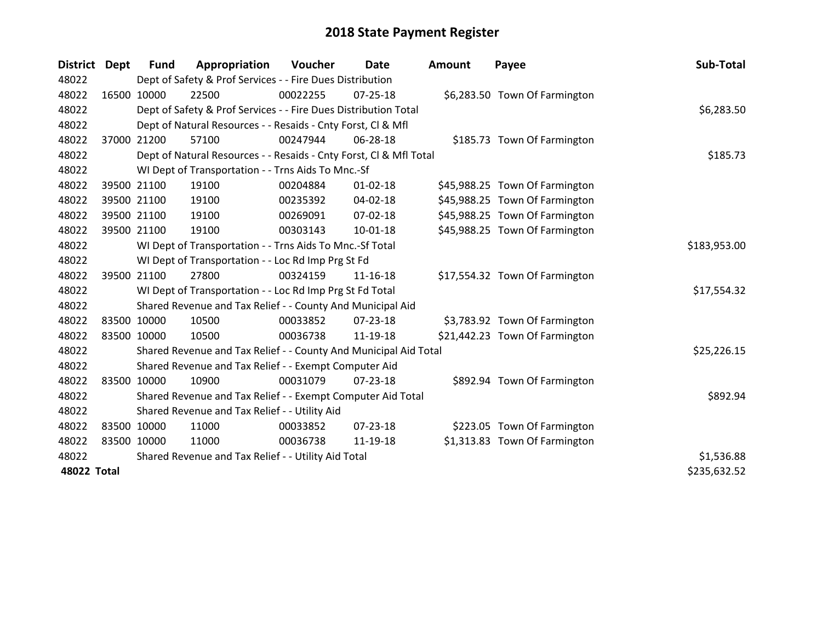| <b>District</b> | Dept | <b>Fund</b> | Appropriation                                                      | Voucher    | Date           | <b>Amount</b> | Payee                          | Sub-Total    |
|-----------------|------|-------------|--------------------------------------------------------------------|------------|----------------|---------------|--------------------------------|--------------|
| 48022           |      |             | Dept of Safety & Prof Services - - Fire Dues Distribution          |            |                |               |                                |              |
| 48022           |      | 16500 10000 | 22500                                                              | 00022255   | $07 - 25 - 18$ |               | \$6,283.50 Town Of Farmington  |              |
| 48022           |      |             | Dept of Safety & Prof Services - - Fire Dues Distribution Total    |            |                |               |                                | \$6,283.50   |
| 48022           |      |             | Dept of Natural Resources - - Resaids - Cnty Forst, CI & Mfl       |            |                |               |                                |              |
| 48022           |      | 37000 21200 | 57100                                                              | 00247944   | 06-28-18       |               | \$185.73 Town Of Farmington    |              |
| 48022           |      |             | Dept of Natural Resources - - Resaids - Cnty Forst, Cl & Mfl Total |            |                |               |                                | \$185.73     |
| 48022           |      |             | WI Dept of Transportation - - Trns Aids To Mnc.-Sf                 |            |                |               |                                |              |
| 48022           |      | 39500 21100 | 19100                                                              | 00204884   | $01 - 02 - 18$ |               | \$45,988.25 Town Of Farmington |              |
| 48022           |      | 39500 21100 | 19100                                                              | 00235392   | 04-02-18       |               | \$45,988.25 Town Of Farmington |              |
| 48022           |      | 39500 21100 | 19100                                                              | 00269091   | $07 - 02 - 18$ |               | \$45,988.25 Town Of Farmington |              |
| 48022           |      | 39500 21100 | 19100                                                              | 00303143   | $10 - 01 - 18$ |               | \$45,988.25 Town Of Farmington |              |
| 48022           |      |             | WI Dept of Transportation - - Trns Aids To Mnc.-Sf Total           |            |                |               |                                | \$183,953.00 |
| 48022           |      |             | WI Dept of Transportation - - Loc Rd Imp Prg St Fd                 |            |                |               |                                |              |
| 48022           |      | 39500 21100 | 27800                                                              | 00324159   | $11 - 16 - 18$ |               | \$17,554.32 Town Of Farmington |              |
| 48022           |      |             | WI Dept of Transportation - - Loc Rd Imp Prg St Fd Total           |            |                |               |                                | \$17,554.32  |
| 48022           |      |             | Shared Revenue and Tax Relief - - County And Municipal Aid         |            |                |               |                                |              |
| 48022           |      | 83500 10000 | 10500                                                              | 00033852   | $07 - 23 - 18$ |               | \$3,783.92 Town Of Farmington  |              |
| 48022           |      | 83500 10000 | 10500                                                              | 00036738   | 11-19-18       |               | \$21,442.23 Town Of Farmington |              |
| 48022           |      |             | Shared Revenue and Tax Relief - - County And Municipal Aid Total   |            |                |               |                                | \$25,226.15  |
| 48022           |      |             | Shared Revenue and Tax Relief - - Exempt Computer Aid              |            |                |               |                                |              |
| 48022           |      | 83500 10000 | 10900                                                              | 00031079   | 07-23-18       |               | \$892.94 Town Of Farmington    |              |
| 48022           |      |             | Shared Revenue and Tax Relief - - Exempt Computer Aid Total        |            |                |               |                                | \$892.94     |
| 48022           |      |             | Shared Revenue and Tax Relief - - Utility Aid                      |            |                |               |                                |              |
| 48022           |      | 83500 10000 | 11000                                                              | 00033852   | $07 - 23 - 18$ |               | \$223.05 Town Of Farmington    |              |
| 48022           |      | 83500 10000 | 11000                                                              | 00036738   | 11-19-18       |               | \$1,313.83 Town Of Farmington  |              |
| 48022           |      |             | Shared Revenue and Tax Relief - - Utility Aid Total                | \$1,536.88 |                |               |                                |              |
| 48022 Total     |      |             |                                                                    |            |                |               |                                | \$235,632.52 |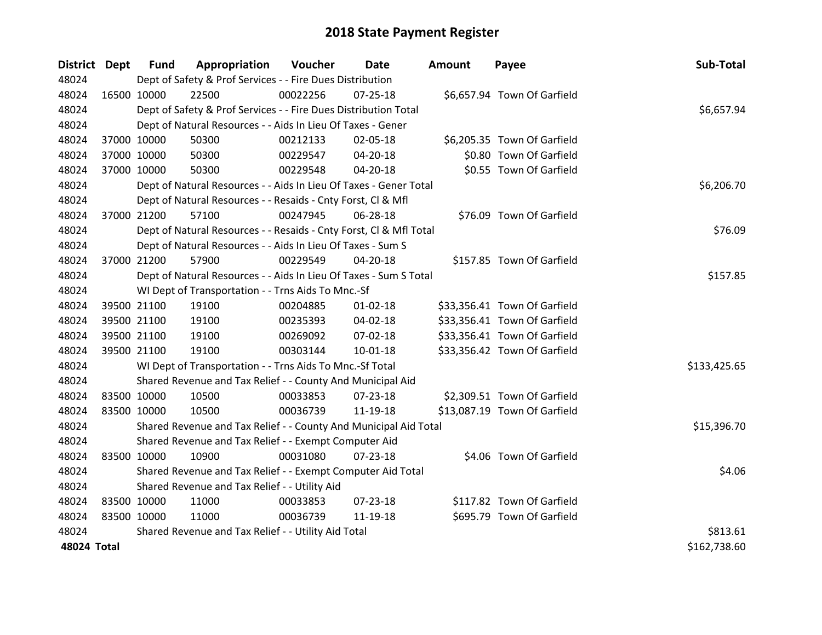| District Dept |             | <b>Fund</b> | Appropriation                                                      | Voucher  | Date           | Amount | Payee                        | Sub-Total    |
|---------------|-------------|-------------|--------------------------------------------------------------------|----------|----------------|--------|------------------------------|--------------|
| 48024         |             |             | Dept of Safety & Prof Services - - Fire Dues Distribution          |          |                |        |                              |              |
| 48024         | 16500 10000 |             | 22500                                                              | 00022256 | 07-25-18       |        | \$6,657.94 Town Of Garfield  |              |
| 48024         |             |             | Dept of Safety & Prof Services - - Fire Dues Distribution Total    |          |                |        |                              | \$6,657.94   |
| 48024         |             |             | Dept of Natural Resources - - Aids In Lieu Of Taxes - Gener        |          |                |        |                              |              |
| 48024         |             | 37000 10000 | 50300                                                              | 00212133 | 02-05-18       |        | \$6,205.35 Town Of Garfield  |              |
| 48024         |             | 37000 10000 | 50300                                                              | 00229547 | 04-20-18       |        | \$0.80 Town Of Garfield      |              |
| 48024         |             | 37000 10000 | 50300                                                              | 00229548 | $04 - 20 - 18$ |        | \$0.55 Town Of Garfield      |              |
| 48024         |             |             | Dept of Natural Resources - - Aids In Lieu Of Taxes - Gener Total  |          |                |        |                              | \$6,206.70   |
| 48024         |             |             | Dept of Natural Resources - - Resaids - Cnty Forst, Cl & Mfl       |          |                |        |                              |              |
| 48024         |             | 37000 21200 | 57100                                                              | 00247945 | 06-28-18       |        | \$76.09 Town Of Garfield     |              |
| 48024         |             |             | Dept of Natural Resources - - Resaids - Cnty Forst, CI & Mfl Total |          |                |        |                              | \$76.09      |
| 48024         |             |             | Dept of Natural Resources - - Aids In Lieu Of Taxes - Sum S        |          |                |        |                              |              |
| 48024         |             | 37000 21200 | 57900                                                              | 00229549 | 04-20-18       |        | \$157.85 Town Of Garfield    |              |
| 48024         |             |             | Dept of Natural Resources - - Aids In Lieu Of Taxes - Sum S Total  |          |                |        |                              | \$157.85     |
| 48024         |             |             | WI Dept of Transportation - - Trns Aids To Mnc.-Sf                 |          |                |        |                              |              |
| 48024         |             | 39500 21100 | 19100                                                              | 00204885 | $01 - 02 - 18$ |        | \$33,356.41 Town Of Garfield |              |
| 48024         |             | 39500 21100 | 19100                                                              | 00235393 | 04-02-18       |        | \$33,356.41 Town Of Garfield |              |
| 48024         |             | 39500 21100 | 19100                                                              | 00269092 | 07-02-18       |        | \$33,356.41 Town Of Garfield |              |
| 48024         |             | 39500 21100 | 19100                                                              | 00303144 | $10 - 01 - 18$ |        | \$33,356.42 Town Of Garfield |              |
| 48024         |             |             | WI Dept of Transportation - - Trns Aids To Mnc.-Sf Total           |          |                |        |                              | \$133,425.65 |
| 48024         |             |             | Shared Revenue and Tax Relief - - County And Municipal Aid         |          |                |        |                              |              |
| 48024         | 83500 10000 |             | 10500                                                              | 00033853 | 07-23-18       |        | \$2,309.51 Town Of Garfield  |              |
| 48024         |             | 83500 10000 | 10500                                                              | 00036739 | 11-19-18       |        | \$13,087.19 Town Of Garfield |              |
| 48024         |             |             | Shared Revenue and Tax Relief - - County And Municipal Aid Total   |          |                |        |                              | \$15,396.70  |
| 48024         |             |             | Shared Revenue and Tax Relief - - Exempt Computer Aid              |          |                |        |                              |              |
| 48024         | 83500 10000 |             | 10900                                                              | 00031080 | $07 - 23 - 18$ |        | \$4.06 Town Of Garfield      |              |
| 48024         |             |             | Shared Revenue and Tax Relief - - Exempt Computer Aid Total        |          |                |        |                              | \$4.06       |
| 48024         |             |             | Shared Revenue and Tax Relief - - Utility Aid                      |          |                |        |                              |              |
| 48024         | 83500 10000 |             | 11000                                                              | 00033853 | 07-23-18       |        | \$117.82 Town Of Garfield    |              |
| 48024         | 83500 10000 |             | 11000                                                              | 00036739 | 11-19-18       |        | \$695.79 Town Of Garfield    |              |
| 48024         |             |             | Shared Revenue and Tax Relief - - Utility Aid Total                |          |                |        |                              | \$813.61     |
| 48024 Total   |             |             |                                                                    |          |                |        |                              | \$162,738.60 |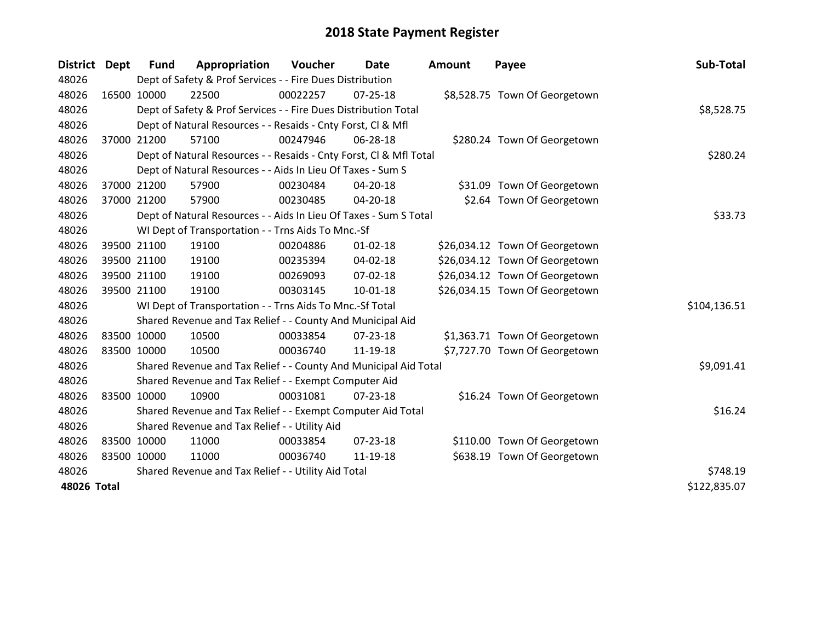| District Dept      |             | Fund        | Appropriation                                                      | Voucher  | Date           | <b>Amount</b> | Payee                          | Sub-Total    |
|--------------------|-------------|-------------|--------------------------------------------------------------------|----------|----------------|---------------|--------------------------------|--------------|
| 48026              |             |             | Dept of Safety & Prof Services - - Fire Dues Distribution          |          |                |               |                                |              |
| 48026              | 16500 10000 |             | 22500                                                              | 00022257 | $07 - 25 - 18$ |               | \$8,528.75 Town Of Georgetown  |              |
| 48026              |             |             | Dept of Safety & Prof Services - - Fire Dues Distribution Total    |          |                |               |                                | \$8,528.75   |
| 48026              |             |             | Dept of Natural Resources - - Resaids - Cnty Forst, Cl & Mfl       |          |                |               |                                |              |
| 48026              |             | 37000 21200 | 57100                                                              | 00247946 | 06-28-18       |               | \$280.24 Town Of Georgetown    |              |
| 48026              |             |             | Dept of Natural Resources - - Resaids - Cnty Forst, CI & Mfl Total |          |                |               |                                | \$280.24     |
| 48026              |             |             | Dept of Natural Resources - - Aids In Lieu Of Taxes - Sum S        |          |                |               |                                |              |
| 48026              |             | 37000 21200 | 57900                                                              | 00230484 | 04-20-18       |               | \$31.09 Town Of Georgetown     |              |
| 48026              |             | 37000 21200 | 57900                                                              | 00230485 | 04-20-18       |               | \$2.64 Town Of Georgetown      |              |
| 48026              |             |             | Dept of Natural Resources - - Aids In Lieu Of Taxes - Sum S Total  |          |                |               |                                | \$33.73      |
| 48026              |             |             | WI Dept of Transportation - - Trns Aids To Mnc.-Sf                 |          |                |               |                                |              |
| 48026              |             | 39500 21100 | 19100                                                              | 00204886 | $01 - 02 - 18$ |               | \$26,034.12 Town Of Georgetown |              |
| 48026              |             | 39500 21100 | 19100                                                              | 00235394 | $04 - 02 - 18$ |               | \$26,034.12 Town Of Georgetown |              |
| 48026              |             | 39500 21100 | 19100                                                              | 00269093 | 07-02-18       |               | \$26,034.12 Town Of Georgetown |              |
| 48026              |             | 39500 21100 | 19100                                                              | 00303145 | $10 - 01 - 18$ |               | \$26,034.15 Town Of Georgetown |              |
| 48026              |             |             | WI Dept of Transportation - - Trns Aids To Mnc.-Sf Total           |          |                |               |                                | \$104,136.51 |
| 48026              |             |             | Shared Revenue and Tax Relief - - County And Municipal Aid         |          |                |               |                                |              |
| 48026              |             | 83500 10000 | 10500                                                              | 00033854 | $07 - 23 - 18$ |               | \$1,363.71 Town Of Georgetown  |              |
| 48026              |             | 83500 10000 | 10500                                                              | 00036740 | 11-19-18       |               | \$7,727.70 Town Of Georgetown  |              |
| 48026              |             |             | Shared Revenue and Tax Relief - - County And Municipal Aid Total   |          |                |               |                                | \$9,091.41   |
| 48026              |             |             | Shared Revenue and Tax Relief - - Exempt Computer Aid              |          |                |               |                                |              |
| 48026              |             | 83500 10000 | 10900                                                              | 00031081 | $07 - 23 - 18$ |               | \$16.24 Town Of Georgetown     |              |
| 48026              |             |             | Shared Revenue and Tax Relief - - Exempt Computer Aid Total        |          |                |               |                                | \$16.24      |
| 48026              |             |             | Shared Revenue and Tax Relief - - Utility Aid                      |          |                |               |                                |              |
| 48026              |             | 83500 10000 | 11000                                                              | 00033854 | 07-23-18       |               | \$110.00 Town Of Georgetown    |              |
| 48026              | 83500 10000 |             | 11000                                                              | 00036740 | 11-19-18       |               | \$638.19 Town Of Georgetown    |              |
| 48026              |             |             | Shared Revenue and Tax Relief - - Utility Aid Total                |          |                |               |                                | \$748.19     |
| <b>48026 Total</b> |             |             |                                                                    |          |                |               |                                | \$122,835.07 |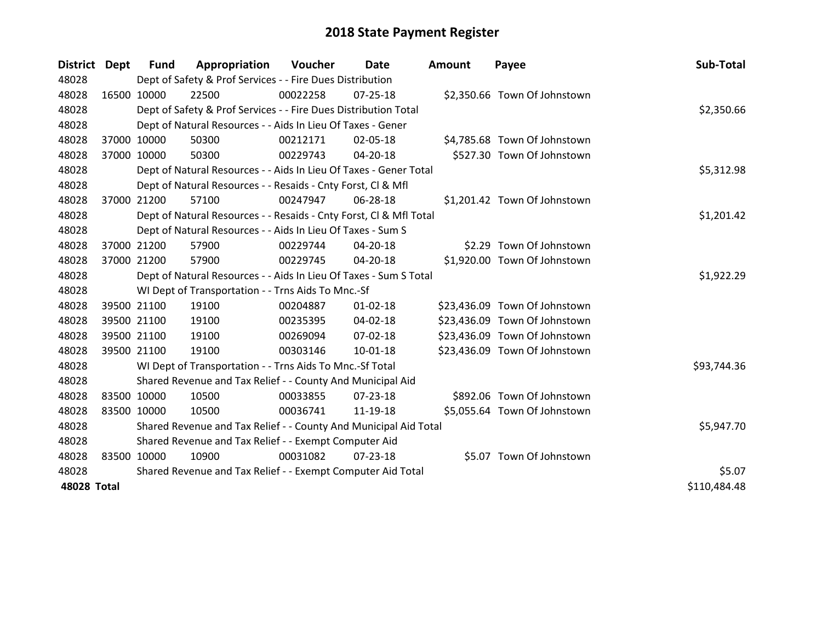| District Dept      |             | Fund                                                  | Appropriation                                                      | <b>Voucher</b> | Date           | <b>Amount</b> | Payee                         | Sub-Total    |
|--------------------|-------------|-------------------------------------------------------|--------------------------------------------------------------------|----------------|----------------|---------------|-------------------------------|--------------|
| 48028              |             |                                                       | Dept of Safety & Prof Services - - Fire Dues Distribution          |                |                |               |                               |              |
| 48028              | 16500 10000 |                                                       | 22500                                                              | 00022258       | 07-25-18       |               | \$2,350.66 Town Of Johnstown  |              |
| 48028              |             |                                                       | Dept of Safety & Prof Services - - Fire Dues Distribution Total    |                |                |               |                               | \$2,350.66   |
| 48028              |             |                                                       | Dept of Natural Resources - - Aids In Lieu Of Taxes - Gener        |                |                |               |                               |              |
| 48028              |             | 37000 10000                                           | 50300                                                              | 00212171       | 02-05-18       |               | \$4,785.68 Town Of Johnstown  |              |
| 48028              |             | 37000 10000                                           | 50300                                                              | 00229743       | 04-20-18       |               | \$527.30 Town Of Johnstown    |              |
| 48028              |             |                                                       | Dept of Natural Resources - - Aids In Lieu Of Taxes - Gener Total  |                |                |               |                               | \$5,312.98   |
| 48028              |             |                                                       | Dept of Natural Resources - - Resaids - Cnty Forst, CI & Mfl       |                |                |               |                               |              |
| 48028              |             | 37000 21200                                           | 57100                                                              | 00247947       | 06-28-18       |               | \$1,201.42 Town Of Johnstown  |              |
| 48028              |             |                                                       | Dept of Natural Resources - - Resaids - Cnty Forst, CI & Mfl Total |                |                |               |                               | \$1,201.42   |
| 48028              |             |                                                       | Dept of Natural Resources - - Aids In Lieu Of Taxes - Sum S        |                |                |               |                               |              |
| 48028              |             | 37000 21200                                           | 57900                                                              | 00229744       | 04-20-18       |               | \$2.29 Town Of Johnstown      |              |
| 48028              |             | 37000 21200                                           | 57900                                                              | 00229745       | 04-20-18       |               | \$1,920.00 Town Of Johnstown  |              |
| 48028              |             |                                                       | Dept of Natural Resources - - Aids In Lieu Of Taxes - Sum S Total  |                |                |               |                               | \$1,922.29   |
| 48028              |             |                                                       | WI Dept of Transportation - - Trns Aids To Mnc.-Sf                 |                |                |               |                               |              |
| 48028              |             | 39500 21100                                           | 19100                                                              | 00204887       | $01 - 02 - 18$ |               | \$23,436.09 Town Of Johnstown |              |
| 48028              |             | 39500 21100                                           | 19100                                                              | 00235395       | 04-02-18       |               | \$23,436.09 Town Of Johnstown |              |
| 48028              |             | 39500 21100                                           | 19100                                                              | 00269094       | 07-02-18       |               | \$23,436.09 Town Of Johnstown |              |
| 48028              |             | 39500 21100                                           | 19100                                                              | 00303146       | $10 - 01 - 18$ |               | \$23,436.09 Town Of Johnstown |              |
| 48028              |             |                                                       | WI Dept of Transportation - - Trns Aids To Mnc.-Sf Total           |                |                |               |                               | \$93,744.36  |
| 48028              |             |                                                       | Shared Revenue and Tax Relief - - County And Municipal Aid         |                |                |               |                               |              |
| 48028              | 83500 10000 |                                                       | 10500                                                              | 00033855       | 07-23-18       |               | \$892.06 Town Of Johnstown    |              |
| 48028              | 83500 10000 |                                                       | 10500                                                              | 00036741       | 11-19-18       |               | \$5,055.64 Town Of Johnstown  |              |
| 48028              |             |                                                       | Shared Revenue and Tax Relief - - County And Municipal Aid Total   |                |                |               |                               | \$5,947.70   |
| 48028              |             | Shared Revenue and Tax Relief - - Exempt Computer Aid |                                                                    |                |                |               |                               |              |
| 48028              | 83500 10000 |                                                       | 10900                                                              | 00031082       | $07 - 23 - 18$ |               | \$5.07 Town Of Johnstown      |              |
| 48028              |             |                                                       | Shared Revenue and Tax Relief - - Exempt Computer Aid Total        |                |                |               |                               | \$5.07       |
| <b>48028 Total</b> |             |                                                       |                                                                    |                |                |               |                               | \$110,484.48 |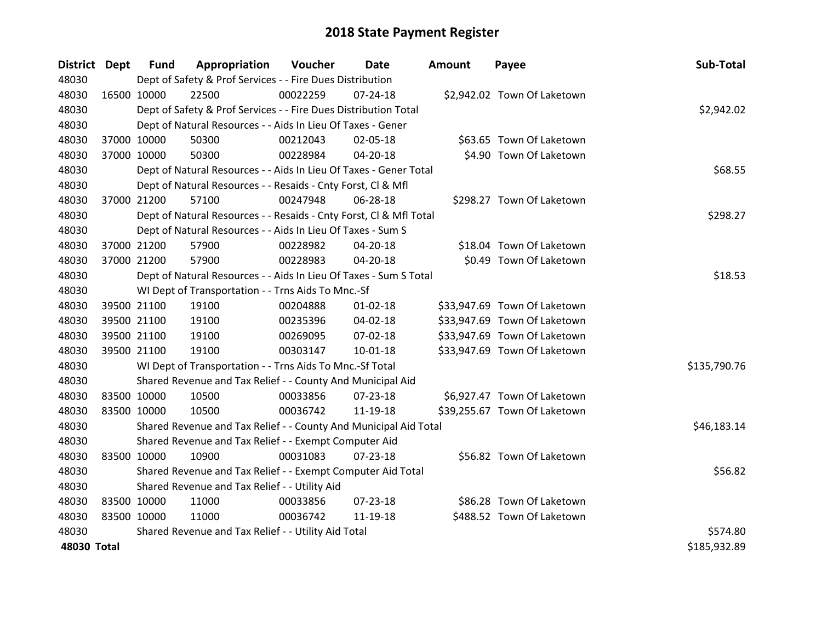| District Dept |             | <b>Fund</b> | Appropriation                                                      | Voucher  | <b>Date</b>    | Amount | Payee                        | Sub-Total    |
|---------------|-------------|-------------|--------------------------------------------------------------------|----------|----------------|--------|------------------------------|--------------|
| 48030         |             |             | Dept of Safety & Prof Services - - Fire Dues Distribution          |          |                |        |                              |              |
| 48030         |             | 16500 10000 | 22500                                                              | 00022259 | $07 - 24 - 18$ |        | \$2,942.02 Town Of Laketown  |              |
| 48030         |             |             | Dept of Safety & Prof Services - - Fire Dues Distribution Total    |          |                |        |                              | \$2,942.02   |
| 48030         |             |             | Dept of Natural Resources - - Aids In Lieu Of Taxes - Gener        |          |                |        |                              |              |
| 48030         |             | 37000 10000 | 50300                                                              | 00212043 | 02-05-18       |        | \$63.65 Town Of Laketown     |              |
| 48030         |             | 37000 10000 | 50300                                                              | 00228984 | 04-20-18       |        | \$4.90 Town Of Laketown      |              |
| 48030         |             |             | Dept of Natural Resources - - Aids In Lieu Of Taxes - Gener Total  |          | \$68.55        |        |                              |              |
| 48030         |             |             | Dept of Natural Resources - - Resaids - Cnty Forst, Cl & Mfl       |          |                |        |                              |              |
| 48030         |             | 37000 21200 | 57100                                                              | 00247948 | 06-28-18       |        | \$298.27 Town Of Laketown    |              |
| 48030         |             |             | Dept of Natural Resources - - Resaids - Cnty Forst, Cl & Mfl Total |          |                |        |                              | \$298.27     |
| 48030         |             |             | Dept of Natural Resources - - Aids In Lieu Of Taxes - Sum S        |          |                |        |                              |              |
| 48030         |             | 37000 21200 | 57900                                                              | 00228982 | 04-20-18       |        | \$18.04 Town Of Laketown     |              |
| 48030         |             | 37000 21200 | 57900                                                              | 00228983 | 04-20-18       |        | \$0.49 Town Of Laketown      |              |
| 48030         |             |             | Dept of Natural Resources - - Aids In Lieu Of Taxes - Sum S Total  |          |                |        |                              | \$18.53      |
| 48030         |             |             | WI Dept of Transportation - - Trns Aids To Mnc.-Sf                 |          |                |        |                              |              |
| 48030         |             | 39500 21100 | 19100                                                              | 00204888 | $01 - 02 - 18$ |        | \$33,947.69 Town Of Laketown |              |
| 48030         |             | 39500 21100 | 19100                                                              | 00235396 | 04-02-18       |        | \$33,947.69 Town Of Laketown |              |
| 48030         |             | 39500 21100 | 19100                                                              | 00269095 | 07-02-18       |        | \$33,947.69 Town Of Laketown |              |
| 48030         |             | 39500 21100 | 19100                                                              | 00303147 | $10 - 01 - 18$ |        | \$33,947.69 Town Of Laketown |              |
| 48030         |             |             | WI Dept of Transportation - - Trns Aids To Mnc.-Sf Total           |          |                |        |                              | \$135,790.76 |
| 48030         |             |             | Shared Revenue and Tax Relief - - County And Municipal Aid         |          |                |        |                              |              |
| 48030         |             | 83500 10000 | 10500                                                              | 00033856 | $07 - 23 - 18$ |        | \$6,927.47 Town Of Laketown  |              |
| 48030         |             | 83500 10000 | 10500                                                              | 00036742 | 11-19-18       |        | \$39,255.67 Town Of Laketown |              |
| 48030         |             |             | Shared Revenue and Tax Relief - - County And Municipal Aid Total   |          |                |        |                              | \$46,183.14  |
| 48030         |             |             | Shared Revenue and Tax Relief - - Exempt Computer Aid              |          |                |        |                              |              |
| 48030         | 83500 10000 |             | 10900                                                              | 00031083 | $07 - 23 - 18$ |        | \$56.82 Town Of Laketown     |              |
| 48030         |             |             | Shared Revenue and Tax Relief - - Exempt Computer Aid Total        |          |                |        |                              | \$56.82      |
| 48030         |             |             | Shared Revenue and Tax Relief - - Utility Aid                      |          |                |        |                              |              |
| 48030         |             | 83500 10000 | 11000                                                              | 00033856 | 07-23-18       |        | \$86.28 Town Of Laketown     |              |
| 48030         | 83500 10000 |             | 11000                                                              | 00036742 | 11-19-18       |        | \$488.52 Town Of Laketown    |              |
| 48030         |             |             | Shared Revenue and Tax Relief - - Utility Aid Total                |          |                |        |                              | \$574.80     |
| 48030 Total   |             |             |                                                                    |          |                |        |                              | \$185,932.89 |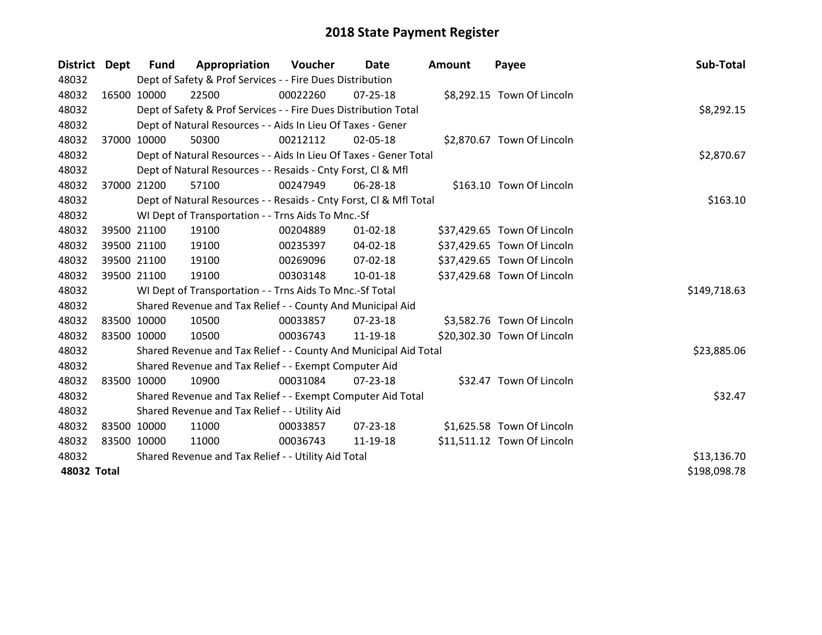| District Dept | <b>Fund</b> | Appropriation                                                      | <b>Voucher</b> | Date           | Amount | Payee                       | Sub-Total    |
|---------------|-------------|--------------------------------------------------------------------|----------------|----------------|--------|-----------------------------|--------------|
| 48032         |             | Dept of Safety & Prof Services - - Fire Dues Distribution          |                |                |        |                             |              |
| 48032         | 16500 10000 | 22500                                                              | 00022260       | $07 - 25 - 18$ |        | \$8,292.15 Town Of Lincoln  |              |
| 48032         |             | Dept of Safety & Prof Services - - Fire Dues Distribution Total    |                |                |        |                             | \$8,292.15   |
| 48032         |             | Dept of Natural Resources - - Aids In Lieu Of Taxes - Gener        |                |                |        |                             |              |
| 48032         | 37000 10000 | 50300                                                              | 00212112       | 02-05-18       |        | \$2,870.67 Town Of Lincoln  |              |
| 48032         |             | Dept of Natural Resources - - Aids In Lieu Of Taxes - Gener Total  |                |                |        |                             | \$2,870.67   |
| 48032         |             | Dept of Natural Resources - - Resaids - Cnty Forst, CI & Mfl       |                |                |        |                             |              |
| 48032         | 37000 21200 | 57100                                                              | 00247949       | 06-28-18       |        | \$163.10 Town Of Lincoln    |              |
| 48032         |             | Dept of Natural Resources - - Resaids - Cnty Forst, CI & Mfl Total |                |                |        |                             | \$163.10     |
| 48032         |             | WI Dept of Transportation - - Trns Aids To Mnc.-Sf                 |                |                |        |                             |              |
| 48032         | 39500 21100 | 19100                                                              | 00204889       | $01 - 02 - 18$ |        | \$37,429.65 Town Of Lincoln |              |
| 48032         | 39500 21100 | 19100                                                              | 00235397       | 04-02-18       |        | \$37,429.65 Town Of Lincoln |              |
| 48032         | 39500 21100 | 19100                                                              | 00269096       | $07 - 02 - 18$ |        | \$37,429.65 Town Of Lincoln |              |
| 48032         | 39500 21100 | 19100                                                              | 00303148       | $10-01-18$     |        | \$37,429.68 Town Of Lincoln |              |
| 48032         |             | WI Dept of Transportation - - Trns Aids To Mnc.-Sf Total           |                |                |        |                             | \$149,718.63 |
| 48032         |             | Shared Revenue and Tax Relief - - County And Municipal Aid         |                |                |        |                             |              |
| 48032         | 83500 10000 | 10500                                                              | 00033857       | $07 - 23 - 18$ |        | \$3,582.76 Town Of Lincoln  |              |
| 48032         | 83500 10000 | 10500                                                              | 00036743       | 11-19-18       |        | \$20,302.30 Town Of Lincoln |              |
| 48032         |             | Shared Revenue and Tax Relief - - County And Municipal Aid Total   |                |                |        |                             | \$23,885.06  |
| 48032         |             | Shared Revenue and Tax Relief - - Exempt Computer Aid              |                |                |        |                             |              |
| 48032         | 83500 10000 | 10900                                                              | 00031084       | 07-23-18       |        | \$32.47 Town Of Lincoln     |              |
| 48032         |             | Shared Revenue and Tax Relief - - Exempt Computer Aid Total        |                |                |        |                             | \$32.47      |
| 48032         |             | Shared Revenue and Tax Relief - - Utility Aid                      |                |                |        |                             |              |
| 48032         | 83500 10000 | 11000                                                              | 00033857       | $07 - 23 - 18$ |        | \$1,625.58 Town Of Lincoln  |              |
| 48032         | 83500 10000 | 11000                                                              | 00036743       | 11-19-18       |        | \$11,511.12 Town Of Lincoln |              |
| 48032         |             | Shared Revenue and Tax Relief - - Utility Aid Total                |                |                |        |                             | \$13,136.70  |
| 48032 Total   |             |                                                                    |                |                |        |                             | \$198,098.78 |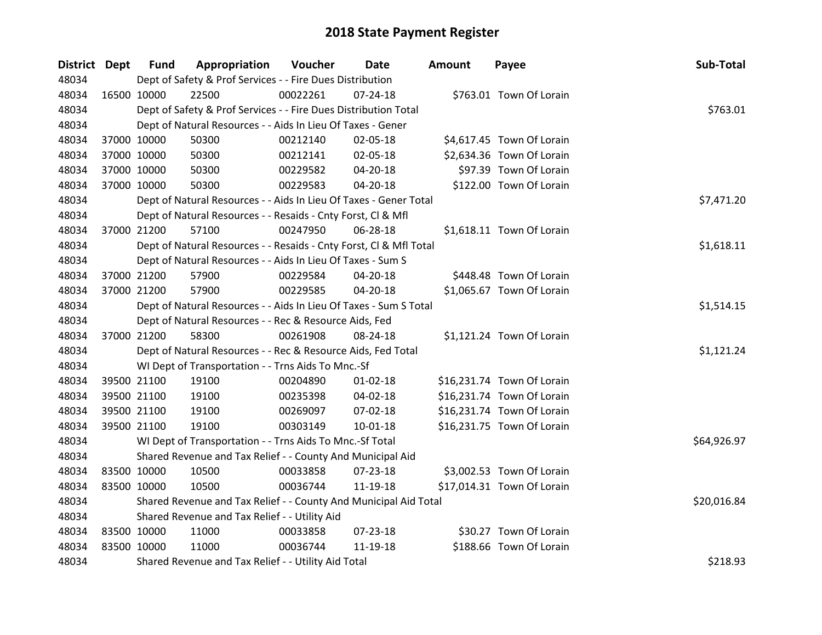| District Dept |             | <b>Fund</b> | Appropriation                                                      | Voucher  | Date           | <b>Amount</b> | Payee                      | Sub-Total   |
|---------------|-------------|-------------|--------------------------------------------------------------------|----------|----------------|---------------|----------------------------|-------------|
| 48034         |             |             | Dept of Safety & Prof Services - - Fire Dues Distribution          |          |                |               |                            |             |
| 48034         |             | 16500 10000 | 22500                                                              | 00022261 | $07 - 24 - 18$ |               | \$763.01 Town Of Lorain    |             |
| 48034         |             |             | Dept of Safety & Prof Services - - Fire Dues Distribution Total    |          |                |               |                            | \$763.01    |
| 48034         |             |             | Dept of Natural Resources - - Aids In Lieu Of Taxes - Gener        |          |                |               |                            |             |
| 48034         |             | 37000 10000 | 50300                                                              | 00212140 | 02-05-18       |               | \$4,617.45 Town Of Lorain  |             |
| 48034         |             | 37000 10000 | 50300                                                              | 00212141 | 02-05-18       |               | \$2,634.36 Town Of Lorain  |             |
| 48034         |             | 37000 10000 | 50300                                                              | 00229582 | 04-20-18       |               | \$97.39 Town Of Lorain     |             |
| 48034         |             | 37000 10000 | 50300                                                              | 00229583 | 04-20-18       |               | \$122.00 Town Of Lorain    |             |
| 48034         |             |             | Dept of Natural Resources - - Aids In Lieu Of Taxes - Gener Total  |          | \$7,471.20     |               |                            |             |
| 48034         |             |             | Dept of Natural Resources - - Resaids - Cnty Forst, CI & Mfl       |          |                |               |                            |             |
| 48034         |             | 37000 21200 | 57100                                                              | 00247950 | 06-28-18       |               | \$1,618.11 Town Of Lorain  |             |
| 48034         |             |             | Dept of Natural Resources - - Resaids - Cnty Forst, Cl & Mfl Total |          |                |               |                            | \$1,618.11  |
| 48034         |             |             | Dept of Natural Resources - - Aids In Lieu Of Taxes - Sum S        |          |                |               |                            |             |
| 48034         |             | 37000 21200 | 57900                                                              | 00229584 | 04-20-18       |               | \$448.48 Town Of Lorain    |             |
| 48034         |             | 37000 21200 | 57900                                                              | 00229585 | 04-20-18       |               | \$1,065.67 Town Of Lorain  |             |
| 48034         |             |             | Dept of Natural Resources - - Aids In Lieu Of Taxes - Sum S Total  |          |                |               |                            | \$1,514.15  |
| 48034         |             |             | Dept of Natural Resources - - Rec & Resource Aids, Fed             |          |                |               |                            |             |
| 48034         |             | 37000 21200 | 58300                                                              | 00261908 | 08-24-18       |               | \$1,121.24 Town Of Lorain  |             |
| 48034         |             |             | Dept of Natural Resources - - Rec & Resource Aids, Fed Total       |          |                |               |                            | \$1,121.24  |
| 48034         |             |             | WI Dept of Transportation - - Trns Aids To Mnc.-Sf                 |          |                |               |                            |             |
| 48034         |             | 39500 21100 | 19100                                                              | 00204890 | $01 - 02 - 18$ |               | \$16,231.74 Town Of Lorain |             |
| 48034         |             | 39500 21100 | 19100                                                              | 00235398 | 04-02-18       |               | \$16,231.74 Town Of Lorain |             |
| 48034         |             | 39500 21100 | 19100                                                              | 00269097 | 07-02-18       |               | \$16,231.74 Town Of Lorain |             |
| 48034         |             | 39500 21100 | 19100                                                              | 00303149 | 10-01-18       |               | \$16,231.75 Town Of Lorain |             |
| 48034         |             |             | WI Dept of Transportation - - Trns Aids To Mnc.-Sf Total           |          |                |               |                            | \$64,926.97 |
| 48034         |             |             | Shared Revenue and Tax Relief - - County And Municipal Aid         |          |                |               |                            |             |
| 48034         | 83500 10000 |             | 10500                                                              | 00033858 | 07-23-18       |               | \$3,002.53 Town Of Lorain  |             |
| 48034         |             | 83500 10000 | 10500                                                              | 00036744 | $11 - 19 - 18$ |               | \$17,014.31 Town Of Lorain |             |
| 48034         |             |             | Shared Revenue and Tax Relief - - County And Municipal Aid Total   |          |                |               |                            | \$20,016.84 |
| 48034         |             |             | Shared Revenue and Tax Relief - - Utility Aid                      |          |                |               |                            |             |
| 48034         | 83500 10000 |             | 11000                                                              | 00033858 | 07-23-18       |               | \$30.27 Town Of Lorain     |             |
| 48034         | 83500 10000 |             | 11000                                                              | 00036744 | 11-19-18       |               | \$188.66 Town Of Lorain    |             |
| 48034         |             |             | Shared Revenue and Tax Relief - - Utility Aid Total                |          |                |               |                            | \$218.93    |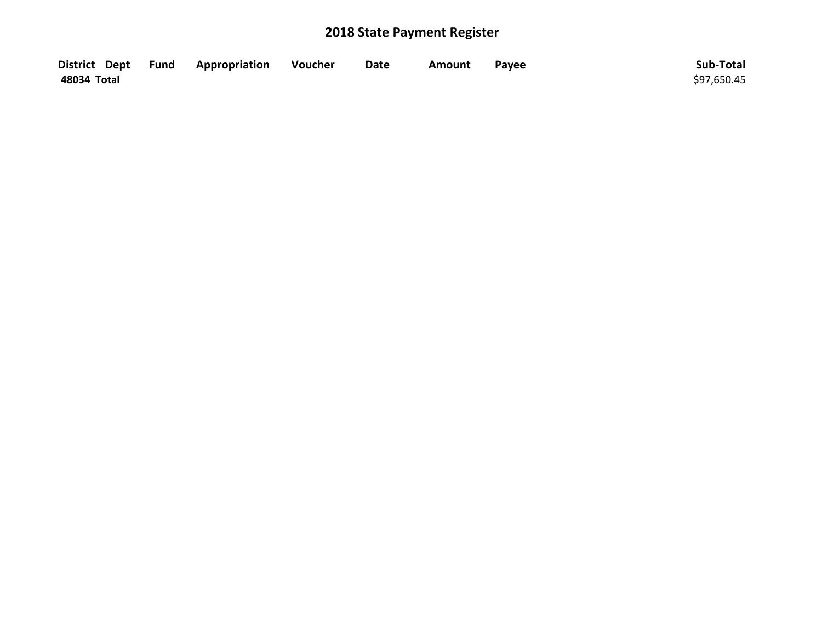|             | District Dept Fund Appropriation | Voucher | <b>Date</b> | <b>Amount</b> | Payee | Sub-Total   |
|-------------|----------------------------------|---------|-------------|---------------|-------|-------------|
| 48034 Total |                                  |         |             |               |       | \$97,650.45 |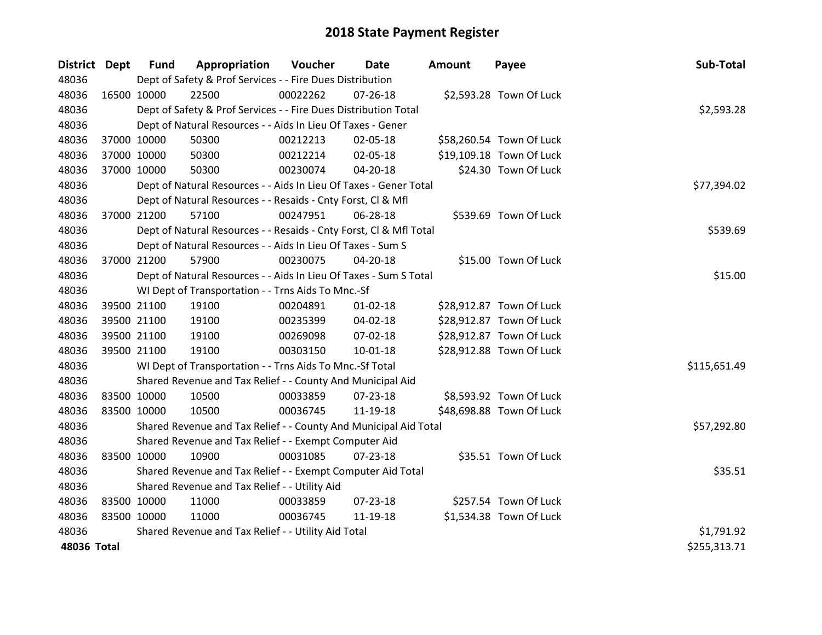| District Dept |             | <b>Fund</b> | Appropriation                                                      | Voucher  | Date           | <b>Amount</b> | Payee                    | Sub-Total    |
|---------------|-------------|-------------|--------------------------------------------------------------------|----------|----------------|---------------|--------------------------|--------------|
| 48036         |             |             | Dept of Safety & Prof Services - - Fire Dues Distribution          |          |                |               |                          |              |
| 48036         | 16500 10000 |             | 22500                                                              | 00022262 | 07-26-18       |               | \$2,593.28 Town Of Luck  |              |
| 48036         |             |             | Dept of Safety & Prof Services - - Fire Dues Distribution Total    |          |                |               |                          | \$2,593.28   |
| 48036         |             |             | Dept of Natural Resources - - Aids In Lieu Of Taxes - Gener        |          |                |               |                          |              |
| 48036         |             | 37000 10000 | 50300                                                              | 00212213 | 02-05-18       |               | \$58,260.54 Town Of Luck |              |
| 48036         |             | 37000 10000 | 50300                                                              | 00212214 | 02-05-18       |               | \$19,109.18 Town Of Luck |              |
| 48036         |             | 37000 10000 | 50300                                                              | 00230074 | $04 - 20 - 18$ |               | \$24.30 Town Of Luck     |              |
| 48036         |             |             | Dept of Natural Resources - - Aids In Lieu Of Taxes - Gener Total  |          |                |               |                          | \$77,394.02  |
| 48036         |             |             | Dept of Natural Resources - - Resaids - Cnty Forst, Cl & Mfl       |          |                |               |                          |              |
| 48036         |             | 37000 21200 | 57100                                                              | 00247951 | 06-28-18       |               | \$539.69 Town Of Luck    |              |
| 48036         |             |             | Dept of Natural Resources - - Resaids - Cnty Forst, CI & Mfl Total |          |                |               |                          | \$539.69     |
| 48036         |             |             | Dept of Natural Resources - - Aids In Lieu Of Taxes - Sum S        |          |                |               |                          |              |
| 48036         |             | 37000 21200 | 57900                                                              | 00230075 | 04-20-18       |               | \$15.00 Town Of Luck     |              |
| 48036         |             |             | Dept of Natural Resources - - Aids In Lieu Of Taxes - Sum S Total  |          |                |               |                          | \$15.00      |
| 48036         |             |             | WI Dept of Transportation - - Trns Aids To Mnc.-Sf                 |          |                |               |                          |              |
| 48036         |             | 39500 21100 | 19100                                                              | 00204891 | $01 - 02 - 18$ |               | \$28,912.87 Town Of Luck |              |
| 48036         |             | 39500 21100 | 19100                                                              | 00235399 | 04-02-18       |               | \$28,912.87 Town Of Luck |              |
| 48036         |             | 39500 21100 | 19100                                                              | 00269098 | 07-02-18       |               | \$28,912.87 Town Of Luck |              |
| 48036         |             | 39500 21100 | 19100                                                              | 00303150 | $10 - 01 - 18$ |               | \$28,912.88 Town Of Luck |              |
| 48036         |             |             | WI Dept of Transportation - - Trns Aids To Mnc.-Sf Total           |          |                |               |                          | \$115,651.49 |
| 48036         |             |             | Shared Revenue and Tax Relief - - County And Municipal Aid         |          |                |               |                          |              |
| 48036         | 83500 10000 |             | 10500                                                              | 00033859 | 07-23-18       |               | \$8,593.92 Town Of Luck  |              |
| 48036         |             | 83500 10000 | 10500                                                              | 00036745 | 11-19-18       |               | \$48,698.88 Town Of Luck |              |
| 48036         |             |             | Shared Revenue and Tax Relief - - County And Municipal Aid Total   |          |                |               |                          | \$57,292.80  |
| 48036         |             |             | Shared Revenue and Tax Relief - - Exempt Computer Aid              |          |                |               |                          |              |
| 48036         | 83500 10000 |             | 10900                                                              | 00031085 | $07 - 23 - 18$ |               | \$35.51 Town Of Luck     |              |
| 48036         |             |             | Shared Revenue and Tax Relief - - Exempt Computer Aid Total        |          |                |               |                          | \$35.51      |
| 48036         |             |             | Shared Revenue and Tax Relief - - Utility Aid                      |          |                |               |                          |              |
| 48036         | 83500 10000 |             | 11000                                                              | 00033859 | 07-23-18       |               | \$257.54 Town Of Luck    |              |
| 48036         | 83500 10000 |             | 11000                                                              | 00036745 | 11-19-18       |               | \$1,534.38 Town Of Luck  |              |
| 48036         |             |             | Shared Revenue and Tax Relief - - Utility Aid Total                |          |                |               |                          | \$1,791.92   |
| 48036 Total   |             |             |                                                                    |          |                |               |                          | \$255,313.71 |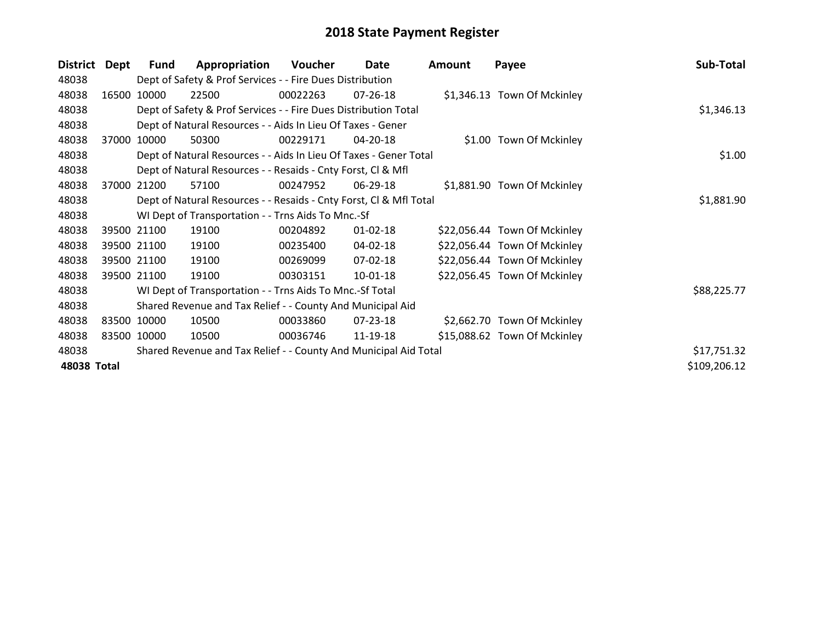| <b>District</b> | Dept  | <b>Fund</b> | Appropriation                                                      | Voucher  | Date           | <b>Amount</b> | Payee                        | Sub-Total    |
|-----------------|-------|-------------|--------------------------------------------------------------------|----------|----------------|---------------|------------------------------|--------------|
| 48038           |       |             | Dept of Safety & Prof Services - - Fire Dues Distribution          |          |                |               |                              |              |
| 48038           | 16500 | 10000       | 22500                                                              | 00022263 | 07-26-18       |               | \$1,346.13 Town Of Mckinley  |              |
| 48038           |       |             | Dept of Safety & Prof Services - - Fire Dues Distribution Total    |          |                |               |                              | \$1,346.13   |
| 48038           |       |             | Dept of Natural Resources - - Aids In Lieu Of Taxes - Gener        |          |                |               |                              |              |
| 48038           | 37000 | 10000       | 50300                                                              | 00229171 | 04-20-18       |               | \$1.00 Town Of Mckinley      |              |
| 48038           |       |             | Dept of Natural Resources - - Aids In Lieu Of Taxes - Gener Total  |          | \$1.00         |               |                              |              |
| 48038           |       |             | Dept of Natural Resources - - Resaids - Cnty Forst, CI & Mfl       |          |                |               |                              |              |
| 48038           | 37000 | 21200       | 57100                                                              | 00247952 | 06-29-18       |               | \$1,881.90 Town Of Mckinley  |              |
| 48038           |       |             | Dept of Natural Resources - - Resaids - Cnty Forst, Cl & Mfl Total |          | \$1,881.90     |               |                              |              |
| 48038           |       |             | WI Dept of Transportation - - Trns Aids To Mnc.-Sf                 |          |                |               |                              |              |
| 48038           |       | 39500 21100 | 19100                                                              | 00204892 | $01 - 02 - 18$ |               | \$22,056.44 Town Of Mckinley |              |
| 48038           |       | 39500 21100 | 19100                                                              | 00235400 | 04-02-18       |               | \$22,056.44 Town Of Mckinley |              |
| 48038           |       | 39500 21100 | 19100                                                              | 00269099 | 07-02-18       |               | \$22,056.44 Town Of Mckinley |              |
| 48038           |       | 39500 21100 | 19100                                                              | 00303151 | 10-01-18       |               | \$22,056.45 Town Of Mckinley |              |
| 48038           |       |             | WI Dept of Transportation - - Trns Aids To Mnc.-Sf Total           |          |                |               |                              | \$88,225.77  |
| 48038           |       |             | Shared Revenue and Tax Relief - - County And Municipal Aid         |          |                |               |                              |              |
| 48038           |       | 83500 10000 | 10500                                                              | 00033860 | 07-23-18       |               | \$2,662.70 Town Of Mckinley  |              |
| 48038           |       | 83500 10000 | 10500                                                              | 00036746 | 11-19-18       |               | \$15,088.62 Town Of Mckinley |              |
| 48038           |       |             | Shared Revenue and Tax Relief - - County And Municipal Aid Total   |          |                |               |                              | \$17,751.32  |
| 48038 Total     |       |             |                                                                    |          |                |               |                              | \$109,206.12 |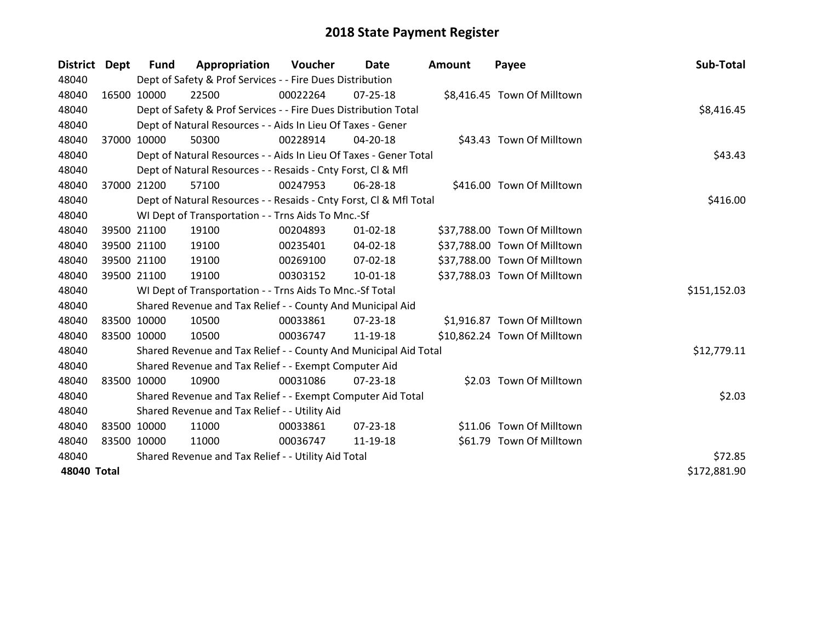| <b>District</b> | Dept | Fund        | Appropriation                                                      | Voucher  | Date           | <b>Amount</b> | Payee                        | Sub-Total    |
|-----------------|------|-------------|--------------------------------------------------------------------|----------|----------------|---------------|------------------------------|--------------|
| 48040           |      |             | Dept of Safety & Prof Services - - Fire Dues Distribution          |          |                |               |                              |              |
| 48040           |      | 16500 10000 | 22500                                                              | 00022264 | $07 - 25 - 18$ |               | \$8,416.45 Town Of Milltown  |              |
| 48040           |      |             | Dept of Safety & Prof Services - - Fire Dues Distribution Total    |          |                |               |                              | \$8,416.45   |
| 48040           |      |             | Dept of Natural Resources - - Aids In Lieu Of Taxes - Gener        |          |                |               |                              |              |
| 48040           |      | 37000 10000 | 50300                                                              | 00228914 | $04 - 20 - 18$ |               | \$43.43 Town Of Milltown     |              |
| 48040           |      |             | Dept of Natural Resources - - Aids In Lieu Of Taxes - Gener Total  |          |                |               |                              | \$43.43      |
| 48040           |      |             | Dept of Natural Resources - - Resaids - Cnty Forst, Cl & Mfl       |          |                |               |                              |              |
| 48040           |      | 37000 21200 | 57100                                                              | 00247953 | 06-28-18       |               | \$416.00 Town Of Milltown    |              |
| 48040           |      |             | Dept of Natural Resources - - Resaids - Cnty Forst, Cl & Mfl Total |          |                |               |                              | \$416.00     |
| 48040           |      |             | WI Dept of Transportation - - Trns Aids To Mnc.-Sf                 |          |                |               |                              |              |
| 48040           |      | 39500 21100 | 19100                                                              | 00204893 | $01 - 02 - 18$ |               | \$37,788.00 Town Of Milltown |              |
| 48040           |      | 39500 21100 | 19100                                                              | 00235401 | $04 - 02 - 18$ |               | \$37,788.00 Town Of Milltown |              |
| 48040           |      | 39500 21100 | 19100                                                              | 00269100 | 07-02-18       |               | \$37,788.00 Town Of Milltown |              |
| 48040           |      | 39500 21100 | 19100                                                              | 00303152 | $10 - 01 - 18$ |               | \$37,788.03 Town Of Milltown |              |
| 48040           |      |             | WI Dept of Transportation - - Trns Aids To Mnc.-Sf Total           |          |                |               |                              | \$151,152.03 |
| 48040           |      |             | Shared Revenue and Tax Relief - - County And Municipal Aid         |          |                |               |                              |              |
| 48040           |      | 83500 10000 | 10500                                                              | 00033861 | 07-23-18       |               | \$1,916.87 Town Of Milltown  |              |
| 48040           |      | 83500 10000 | 10500                                                              | 00036747 | 11-19-18       |               | \$10,862.24 Town Of Milltown |              |
| 48040           |      |             | Shared Revenue and Tax Relief - - County And Municipal Aid Total   |          |                |               |                              | \$12,779.11  |
| 48040           |      |             | Shared Revenue and Tax Relief - - Exempt Computer Aid              |          |                |               |                              |              |
| 48040           |      | 83500 10000 | 10900                                                              | 00031086 | 07-23-18       |               | \$2.03 Town Of Milltown      |              |
| 48040           |      |             | Shared Revenue and Tax Relief - - Exempt Computer Aid Total        |          |                |               |                              | \$2.03       |
| 48040           |      |             | Shared Revenue and Tax Relief - - Utility Aid                      |          |                |               |                              |              |
| 48040           |      | 83500 10000 | 11000                                                              | 00033861 | $07 - 23 - 18$ |               | \$11.06 Town Of Milltown     |              |
| 48040           |      | 83500 10000 | 11000                                                              | 00036747 | 11-19-18       |               | \$61.79 Town Of Milltown     |              |
| 48040           |      |             | Shared Revenue and Tax Relief - - Utility Aid Total                |          |                |               |                              | \$72.85      |
| 48040 Total     |      |             |                                                                    |          |                |               |                              | \$172,881.90 |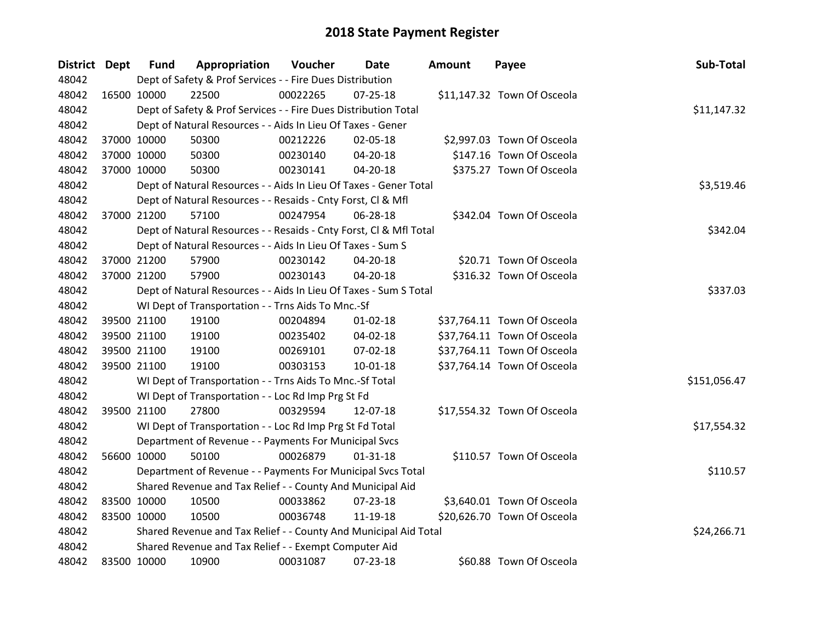| District Dept |             | <b>Fund</b> | Appropriation                                                      | Voucher    | Date           | <b>Amount</b> | Payee                       | Sub-Total    |
|---------------|-------------|-------------|--------------------------------------------------------------------|------------|----------------|---------------|-----------------------------|--------------|
| 48042         |             |             | Dept of Safety & Prof Services - - Fire Dues Distribution          |            |                |               |                             |              |
| 48042         |             | 16500 10000 | 22500                                                              | 00022265   | $07 - 25 - 18$ |               | \$11,147.32 Town Of Osceola |              |
| 48042         |             |             | Dept of Safety & Prof Services - - Fire Dues Distribution Total    |            |                |               |                             | \$11,147.32  |
| 48042         |             |             | Dept of Natural Resources - - Aids In Lieu Of Taxes - Gener        |            |                |               |                             |              |
| 48042         |             | 37000 10000 | 50300                                                              | 00212226   | 02-05-18       |               | \$2,997.03 Town Of Osceola  |              |
| 48042         |             | 37000 10000 | 50300                                                              | 00230140   | 04-20-18       |               | \$147.16 Town Of Osceola    |              |
| 48042         |             | 37000 10000 | 50300                                                              | 00230141   | $04 - 20 - 18$ |               | \$375.27 Town Of Osceola    |              |
| 48042         |             |             | Dept of Natural Resources - - Aids In Lieu Of Taxes - Gener Total  | \$3,519.46 |                |               |                             |              |
| 48042         |             |             | Dept of Natural Resources - - Resaids - Cnty Forst, Cl & Mfl       |            |                |               |                             |              |
| 48042         |             | 37000 21200 | 57100                                                              | 00247954   | 06-28-18       |               | \$342.04 Town Of Osceola    |              |
| 48042         |             |             | Dept of Natural Resources - - Resaids - Cnty Forst, Cl & Mfl Total |            |                |               |                             | \$342.04     |
| 48042         |             |             | Dept of Natural Resources - - Aids In Lieu Of Taxes - Sum S        |            |                |               |                             |              |
| 48042         |             | 37000 21200 | 57900                                                              | 00230142   | 04-20-18       |               | \$20.71 Town Of Osceola     |              |
| 48042         |             | 37000 21200 | 57900                                                              | 00230143   | 04-20-18       |               | \$316.32 Town Of Osceola    |              |
| 48042         |             |             | Dept of Natural Resources - - Aids In Lieu Of Taxes - Sum S Total  |            |                |               |                             | \$337.03     |
| 48042         |             |             | WI Dept of Transportation - - Trns Aids To Mnc.-Sf                 |            |                |               |                             |              |
| 48042         |             | 39500 21100 | 19100                                                              | 00204894   | $01 - 02 - 18$ |               | \$37,764.11 Town Of Osceola |              |
| 48042         |             | 39500 21100 | 19100                                                              | 00235402   | 04-02-18       |               | \$37,764.11 Town Of Osceola |              |
| 48042         |             | 39500 21100 | 19100                                                              | 00269101   | 07-02-18       |               | \$37,764.11 Town Of Osceola |              |
| 48042         |             | 39500 21100 | 19100                                                              | 00303153   | $10-01-18$     |               | \$37,764.14 Town Of Osceola |              |
| 48042         |             |             | WI Dept of Transportation - - Trns Aids To Mnc.-Sf Total           |            |                |               |                             | \$151,056.47 |
| 48042         |             |             | WI Dept of Transportation - - Loc Rd Imp Prg St Fd                 |            |                |               |                             |              |
| 48042         |             | 39500 21100 | 27800                                                              | 00329594   | 12-07-18       |               | \$17,554.32 Town Of Osceola |              |
| 48042         |             |             | WI Dept of Transportation - - Loc Rd Imp Prg St Fd Total           |            |                |               |                             | \$17,554.32  |
| 48042         |             |             | Department of Revenue - - Payments For Municipal Svcs              |            |                |               |                             |              |
| 48042         |             | 56600 10000 | 50100                                                              | 00026879   | $01 - 31 - 18$ |               | \$110.57 Town Of Osceola    |              |
| 48042         |             |             | Department of Revenue - - Payments For Municipal Svcs Total        |            |                |               |                             | \$110.57     |
| 48042         |             |             | Shared Revenue and Tax Relief - - County And Municipal Aid         |            |                |               |                             |              |
| 48042         |             | 83500 10000 | 10500                                                              | 00033862   | 07-23-18       |               | \$3,640.01 Town Of Osceola  |              |
| 48042         | 83500 10000 |             | 10500                                                              | 00036748   | 11-19-18       |               | \$20,626.70 Town Of Osceola |              |
| 48042         |             |             | Shared Revenue and Tax Relief - - County And Municipal Aid Total   |            |                |               |                             | \$24,266.71  |
| 48042         |             |             | Shared Revenue and Tax Relief - - Exempt Computer Aid              |            |                |               |                             |              |
| 48042         | 83500 10000 |             | 10900                                                              | 00031087   | $07 - 23 - 18$ |               | \$60.88 Town Of Osceola     |              |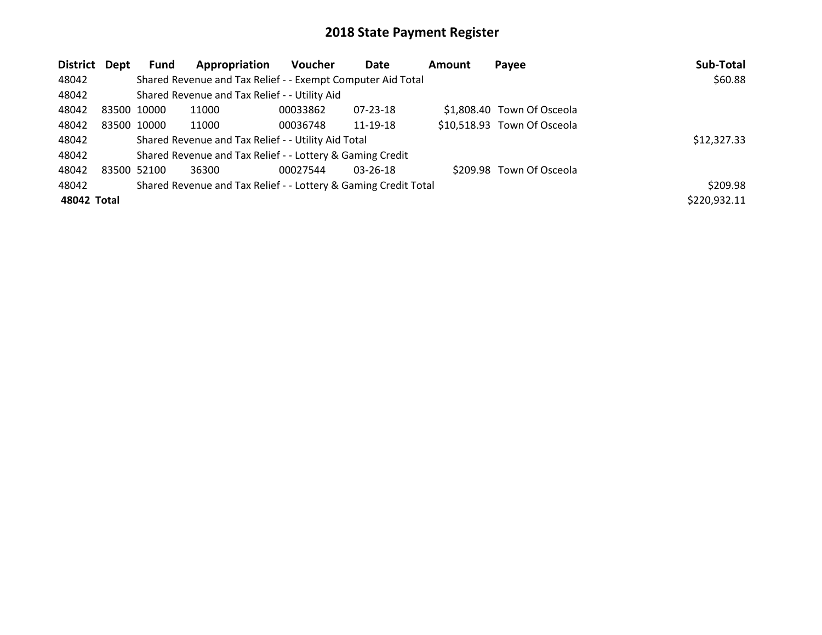| <b>District</b> | Dept | Fund        | Appropriation                                                   | Voucher  | Date           | Amount | Payee                       | Sub-Total    |
|-----------------|------|-------------|-----------------------------------------------------------------|----------|----------------|--------|-----------------------------|--------------|
| 48042           |      |             | Shared Revenue and Tax Relief - - Exempt Computer Aid Total     |          |                |        |                             | \$60.88      |
| 48042           |      |             | Shared Revenue and Tax Relief - - Utility Aid                   |          |                |        |                             |              |
| 48042           |      | 83500 10000 | 11000                                                           | 00033862 | 07-23-18       |        | \$1,808.40 Town Of Osceola  |              |
| 48042           |      | 83500 10000 | 11000                                                           | 00036748 | 11-19-18       |        | \$10,518.93 Town Of Osceola |              |
| 48042           |      |             | Shared Revenue and Tax Relief - - Utility Aid Total             |          |                |        |                             | \$12,327.33  |
| 48042           |      |             | Shared Revenue and Tax Relief - - Lottery & Gaming Credit       |          |                |        |                             |              |
| 48042           |      | 83500 52100 | 36300                                                           | 00027544 | $03 - 26 - 18$ |        | \$209.98 Town Of Osceola    |              |
| 48042           |      |             | Shared Revenue and Tax Relief - - Lottery & Gaming Credit Total |          |                |        |                             | \$209.98     |
| 48042 Total     |      |             |                                                                 |          |                |        |                             | \$220,932.11 |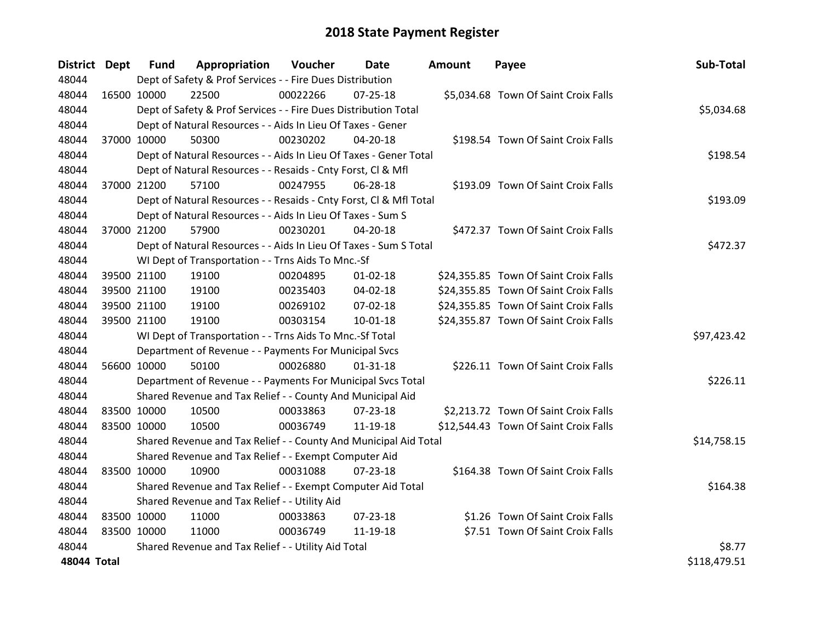| District Dept |             | <b>Fund</b> | Appropriation                                                      | Voucher  | Date           | <b>Amount</b> | Payee                                 | Sub-Total    |
|---------------|-------------|-------------|--------------------------------------------------------------------|----------|----------------|---------------|---------------------------------------|--------------|
| 48044         |             |             | Dept of Safety & Prof Services - - Fire Dues Distribution          |          |                |               |                                       |              |
| 48044         | 16500 10000 |             | 22500                                                              | 00022266 | $07 - 25 - 18$ |               | \$5,034.68 Town Of Saint Croix Falls  |              |
| 48044         |             |             | Dept of Safety & Prof Services - - Fire Dues Distribution Total    |          |                |               |                                       | \$5,034.68   |
| 48044         |             |             | Dept of Natural Resources - - Aids In Lieu Of Taxes - Gener        |          |                |               |                                       |              |
| 48044         |             | 37000 10000 | 50300                                                              | 00230202 | 04-20-18       |               | \$198.54 Town Of Saint Croix Falls    |              |
| 48044         |             |             | Dept of Natural Resources - - Aids In Lieu Of Taxes - Gener Total  |          |                |               |                                       | \$198.54     |
| 48044         |             |             | Dept of Natural Resources - - Resaids - Cnty Forst, Cl & Mfl       |          |                |               |                                       |              |
| 48044         |             | 37000 21200 | 57100                                                              | 00247955 | 06-28-18       |               | \$193.09 Town Of Saint Croix Falls    |              |
| 48044         |             |             | Dept of Natural Resources - - Resaids - Cnty Forst, CI & Mfl Total |          |                |               |                                       | \$193.09     |
| 48044         |             |             | Dept of Natural Resources - - Aids In Lieu Of Taxes - Sum S        |          |                |               |                                       |              |
| 48044         |             | 37000 21200 | 57900                                                              | 00230201 | 04-20-18       |               | \$472.37 Town Of Saint Croix Falls    |              |
| 48044         |             |             | Dept of Natural Resources - - Aids In Lieu Of Taxes - Sum S Total  |          |                |               |                                       | \$472.37     |
| 48044         |             |             | WI Dept of Transportation - - Trns Aids To Mnc.-Sf                 |          |                |               |                                       |              |
| 48044         |             | 39500 21100 | 19100                                                              | 00204895 | $01 - 02 - 18$ |               | \$24,355.85 Town Of Saint Croix Falls |              |
| 48044         |             | 39500 21100 | 19100                                                              | 00235403 | 04-02-18       |               | \$24,355.85 Town Of Saint Croix Falls |              |
| 48044         |             | 39500 21100 | 19100                                                              | 00269102 | 07-02-18       |               | \$24,355.85 Town Of Saint Croix Falls |              |
| 48044         |             | 39500 21100 | 19100                                                              | 00303154 | $10 - 01 - 18$ |               | \$24,355.87 Town Of Saint Croix Falls |              |
| 48044         |             |             | WI Dept of Transportation - - Trns Aids To Mnc.-Sf Total           |          |                |               |                                       | \$97,423.42  |
| 48044         |             |             | Department of Revenue - - Payments For Municipal Svcs              |          |                |               |                                       |              |
| 48044         | 56600 10000 |             | 50100                                                              | 00026880 | $01 - 31 - 18$ |               | \$226.11 Town Of Saint Croix Falls    |              |
| 48044         |             |             | Department of Revenue - - Payments For Municipal Svcs Total        |          |                |               |                                       | \$226.11     |
| 48044         |             |             | Shared Revenue and Tax Relief - - County And Municipal Aid         |          |                |               |                                       |              |
| 48044         |             | 83500 10000 | 10500                                                              | 00033863 | $07 - 23 - 18$ |               | \$2,213.72 Town Of Saint Croix Falls  |              |
| 48044         | 83500 10000 |             | 10500                                                              | 00036749 | 11-19-18       |               | \$12,544.43 Town Of Saint Croix Falls |              |
| 48044         |             |             | Shared Revenue and Tax Relief - - County And Municipal Aid Total   |          |                |               |                                       | \$14,758.15  |
| 48044         |             |             | Shared Revenue and Tax Relief - - Exempt Computer Aid              |          |                |               |                                       |              |
| 48044         | 83500 10000 |             | 10900                                                              | 00031088 | $07 - 23 - 18$ |               | \$164.38 Town Of Saint Croix Falls    |              |
| 48044         |             |             | Shared Revenue and Tax Relief - - Exempt Computer Aid Total        |          |                |               |                                       | \$164.38     |
| 48044         |             |             | Shared Revenue and Tax Relief - - Utility Aid                      |          |                |               |                                       |              |
| 48044         | 83500 10000 |             | 11000                                                              | 00033863 | $07 - 23 - 18$ |               | \$1.26 Town Of Saint Croix Falls      |              |
| 48044         | 83500 10000 |             | 11000                                                              | 00036749 | 11-19-18       |               | \$7.51 Town Of Saint Croix Falls      |              |
| 48044         |             |             | Shared Revenue and Tax Relief - - Utility Aid Total                |          |                |               |                                       | \$8.77       |
| 48044 Total   |             |             |                                                                    |          |                |               |                                       | \$118,479.51 |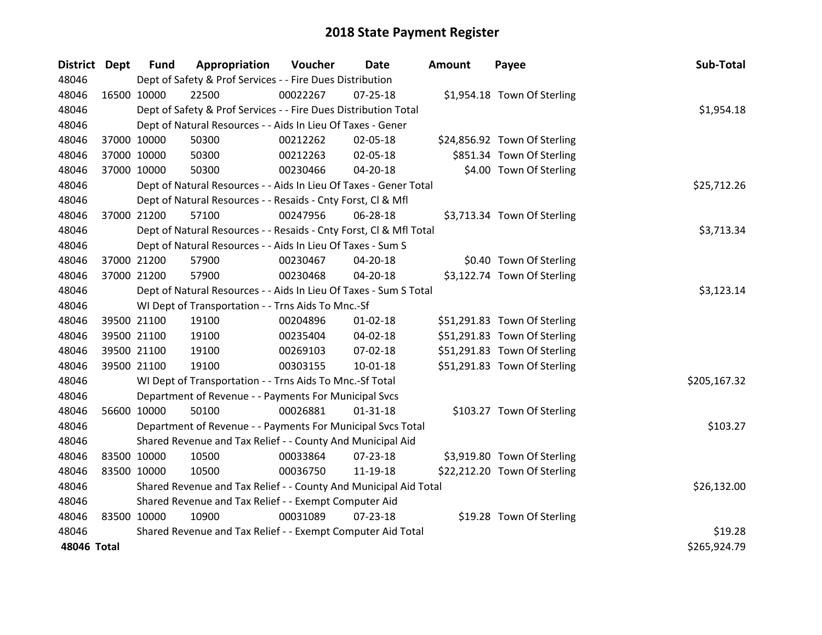| District Dept |             | <b>Fund</b> | Appropriation                                                      | Voucher    | Date           | <b>Amount</b> | Payee                        | Sub-Total    |
|---------------|-------------|-------------|--------------------------------------------------------------------|------------|----------------|---------------|------------------------------|--------------|
| 48046         |             |             | Dept of Safety & Prof Services - - Fire Dues Distribution          |            |                |               |                              |              |
| 48046         | 16500 10000 |             | 22500                                                              | 00022267   | 07-25-18       |               | \$1,954.18 Town Of Sterling  |              |
| 48046         |             |             | Dept of Safety & Prof Services - - Fire Dues Distribution Total    |            |                |               |                              | \$1,954.18   |
| 48046         |             |             | Dept of Natural Resources - - Aids In Lieu Of Taxes - Gener        |            |                |               |                              |              |
| 48046         | 37000 10000 |             | 50300                                                              | 00212262   | 02-05-18       |               | \$24,856.92 Town Of Sterling |              |
| 48046         | 37000 10000 |             | 50300                                                              | 00212263   | 02-05-18       |               | \$851.34 Town Of Sterling    |              |
| 48046         | 37000 10000 |             | 50300                                                              | 00230466   | $04 - 20 - 18$ |               | \$4.00 Town Of Sterling      |              |
| 48046         |             |             | Dept of Natural Resources - - Aids In Lieu Of Taxes - Gener Total  |            | \$25,712.26    |               |                              |              |
| 48046         |             |             | Dept of Natural Resources - - Resaids - Cnty Forst, CI & Mfl       |            |                |               |                              |              |
| 48046         | 37000 21200 |             | 57100                                                              | 00247956   | 06-28-18       |               | \$3,713.34 Town Of Sterling  |              |
| 48046         |             |             | Dept of Natural Resources - - Resaids - Cnty Forst, Cl & Mfl Total |            |                |               |                              | \$3,713.34   |
| 48046         |             |             | Dept of Natural Resources - - Aids In Lieu Of Taxes - Sum S        |            |                |               |                              |              |
| 48046         | 37000 21200 |             | 57900                                                              | 00230467   | $04 - 20 - 18$ |               | \$0.40 Town Of Sterling      |              |
| 48046         | 37000 21200 |             | 57900                                                              | 00230468   | 04-20-18       |               | \$3,122.74 Town Of Sterling  |              |
| 48046         |             |             | Dept of Natural Resources - - Aids In Lieu Of Taxes - Sum S Total  | \$3,123.14 |                |               |                              |              |
| 48046         |             |             | WI Dept of Transportation - - Trns Aids To Mnc.-Sf                 |            |                |               |                              |              |
| 48046         | 39500 21100 |             | 19100                                                              | 00204896   | $01 - 02 - 18$ |               | \$51,291.83 Town Of Sterling |              |
| 48046         | 39500 21100 |             | 19100                                                              | 00235404   | 04-02-18       |               | \$51,291.83 Town Of Sterling |              |
| 48046         | 39500 21100 |             | 19100                                                              | 00269103   | 07-02-18       |               | \$51,291.83 Town Of Sterling |              |
| 48046         | 39500 21100 |             | 19100                                                              | 00303155   | $10 - 01 - 18$ |               | \$51,291.83 Town Of Sterling |              |
| 48046         |             |             | WI Dept of Transportation - - Trns Aids To Mnc.-Sf Total           |            |                |               |                              | \$205,167.32 |
| 48046         |             |             | Department of Revenue - - Payments For Municipal Svcs              |            |                |               |                              |              |
| 48046         | 56600 10000 |             | 50100                                                              | 00026881   | $01 - 31 - 18$ |               | \$103.27 Town Of Sterling    |              |
| 48046         |             |             | Department of Revenue - - Payments For Municipal Svcs Total        |            |                |               |                              | \$103.27     |
| 48046         |             |             | Shared Revenue and Tax Relief - - County And Municipal Aid         |            |                |               |                              |              |
| 48046         | 83500 10000 |             | 10500                                                              | 00033864   | 07-23-18       |               | \$3,919.80 Town Of Sterling  |              |
| 48046         | 83500 10000 |             | 10500                                                              | 00036750   | 11-19-18       |               | \$22,212.20 Town Of Sterling |              |
| 48046         |             |             | Shared Revenue and Tax Relief - - County And Municipal Aid Total   |            |                |               |                              | \$26,132.00  |
| 48046         |             |             | Shared Revenue and Tax Relief - - Exempt Computer Aid              |            |                |               |                              |              |
| 48046         | 83500 10000 |             | 10900                                                              | 00031089   | $07 - 23 - 18$ |               | \$19.28 Town Of Sterling     |              |
| 48046         |             |             | Shared Revenue and Tax Relief - - Exempt Computer Aid Total        |            |                |               |                              | \$19.28      |
| 48046 Total   |             |             |                                                                    |            |                |               |                              | \$265,924.79 |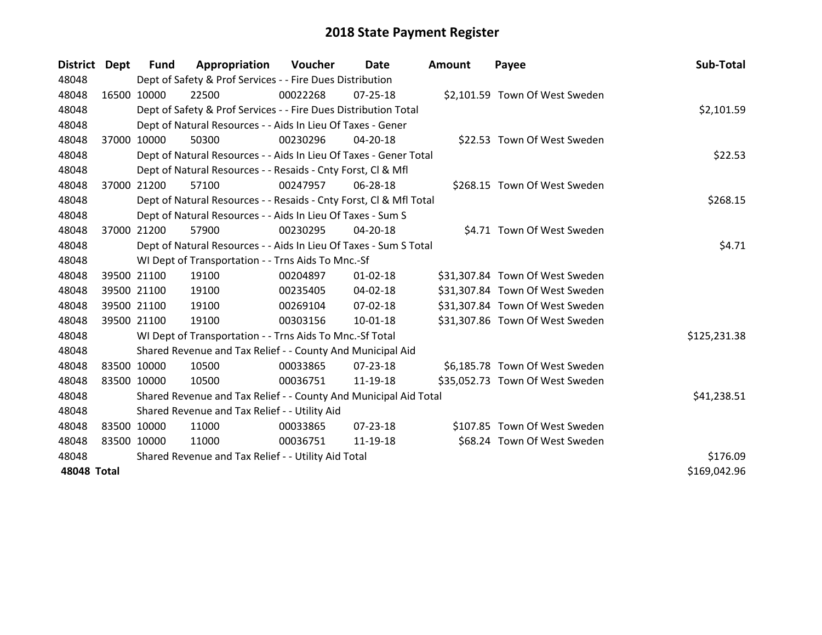| <b>District</b> | Dept | Fund        | Appropriation                                                      | Voucher  | Date           | <b>Amount</b> | Payee                           | Sub-Total    |
|-----------------|------|-------------|--------------------------------------------------------------------|----------|----------------|---------------|---------------------------------|--------------|
| 48048           |      |             | Dept of Safety & Prof Services - - Fire Dues Distribution          |          |                |               |                                 |              |
| 48048           |      | 16500 10000 | 22500                                                              | 00022268 | $07 - 25 - 18$ |               | \$2,101.59 Town Of West Sweden  |              |
| 48048           |      |             | Dept of Safety & Prof Services - - Fire Dues Distribution Total    |          |                |               |                                 | \$2,101.59   |
| 48048           |      |             | Dept of Natural Resources - - Aids In Lieu Of Taxes - Gener        |          |                |               |                                 |              |
| 48048           |      | 37000 10000 | 50300                                                              | 00230296 | 04-20-18       |               | \$22.53 Town Of West Sweden     |              |
| 48048           |      |             | Dept of Natural Resources - - Aids In Lieu Of Taxes - Gener Total  |          |                |               |                                 | \$22.53      |
| 48048           |      |             | Dept of Natural Resources - - Resaids - Cnty Forst, Cl & Mfl       |          |                |               |                                 |              |
| 48048           |      | 37000 21200 | 57100                                                              | 00247957 | 06-28-18       |               | \$268.15 Town Of West Sweden    |              |
| 48048           |      |             | Dept of Natural Resources - - Resaids - Cnty Forst, Cl & Mfl Total |          |                |               |                                 | \$268.15     |
| 48048           |      |             | Dept of Natural Resources - - Aids In Lieu Of Taxes - Sum S        |          |                |               |                                 |              |
| 48048           |      | 37000 21200 | 57900                                                              | 00230295 | $04 - 20 - 18$ |               | \$4.71 Town Of West Sweden      |              |
| 48048           |      |             | Dept of Natural Resources - - Aids In Lieu Of Taxes - Sum S Total  |          |                |               |                                 | \$4.71       |
| 48048           |      |             | WI Dept of Transportation - - Trns Aids To Mnc.-Sf                 |          |                |               |                                 |              |
| 48048           |      | 39500 21100 | 19100                                                              | 00204897 | $01 - 02 - 18$ |               | \$31,307.84 Town Of West Sweden |              |
| 48048           |      | 39500 21100 | 19100                                                              | 00235405 | 04-02-18       |               | \$31,307.84 Town Of West Sweden |              |
| 48048           |      | 39500 21100 | 19100                                                              | 00269104 | $07 - 02 - 18$ |               | \$31,307.84 Town Of West Sweden |              |
| 48048           |      | 39500 21100 | 19100                                                              | 00303156 | $10 - 01 - 18$ |               | \$31,307.86 Town Of West Sweden |              |
| 48048           |      |             | WI Dept of Transportation - - Trns Aids To Mnc.-Sf Total           |          |                |               |                                 | \$125,231.38 |
| 48048           |      |             | Shared Revenue and Tax Relief - - County And Municipal Aid         |          |                |               |                                 |              |
| 48048           |      | 83500 10000 | 10500                                                              | 00033865 | $07 - 23 - 18$ |               | \$6,185.78 Town Of West Sweden  |              |
| 48048           |      | 83500 10000 | 10500                                                              | 00036751 | 11-19-18       |               | \$35,052.73 Town Of West Sweden |              |
| 48048           |      |             | Shared Revenue and Tax Relief - - County And Municipal Aid Total   |          |                |               |                                 | \$41,238.51  |
| 48048           |      |             | Shared Revenue and Tax Relief - - Utility Aid                      |          |                |               |                                 |              |
| 48048           |      | 83500 10000 | 11000                                                              | 00033865 | $07 - 23 - 18$ |               | \$107.85 Town Of West Sweden    |              |
| 48048           |      | 83500 10000 | 11000                                                              | 00036751 | 11-19-18       |               | \$68.24 Town Of West Sweden     |              |
| 48048           |      |             | Shared Revenue and Tax Relief - - Utility Aid Total                |          |                |               |                                 | \$176.09     |
| 48048 Total     |      |             |                                                                    |          |                |               |                                 | \$169,042.96 |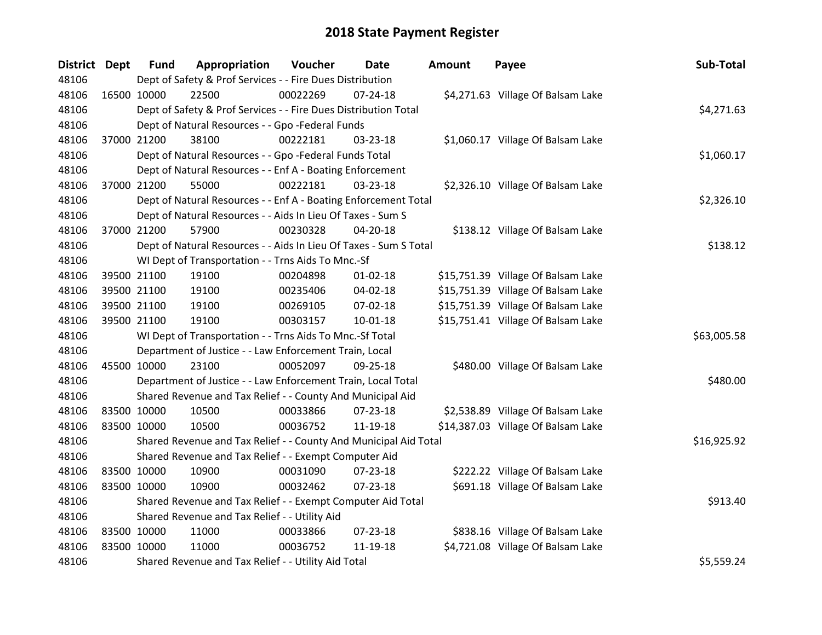| District Dept | <b>Fund</b> | Appropriation                                                     | Voucher  | Date           | <b>Amount</b> | Payee                              | Sub-Total   |
|---------------|-------------|-------------------------------------------------------------------|----------|----------------|---------------|------------------------------------|-------------|
| 48106         |             | Dept of Safety & Prof Services - - Fire Dues Distribution         |          |                |               |                                    |             |
| 48106         | 16500 10000 | 22500                                                             | 00022269 | $07 - 24 - 18$ |               | \$4,271.63 Village Of Balsam Lake  |             |
| 48106         |             | Dept of Safety & Prof Services - - Fire Dues Distribution Total   |          |                |               |                                    | \$4,271.63  |
| 48106         |             | Dept of Natural Resources - - Gpo -Federal Funds                  |          |                |               |                                    |             |
| 48106         | 37000 21200 | 38100                                                             | 00222181 | 03-23-18       |               | \$1,060.17 Village Of Balsam Lake  |             |
| 48106         |             | Dept of Natural Resources - - Gpo -Federal Funds Total            |          |                |               |                                    | \$1,060.17  |
| 48106         |             | Dept of Natural Resources - - Enf A - Boating Enforcement         |          |                |               |                                    |             |
| 48106         | 37000 21200 | 55000                                                             | 00222181 | 03-23-18       |               | \$2,326.10 Village Of Balsam Lake  |             |
| 48106         |             | Dept of Natural Resources - - Enf A - Boating Enforcement Total   |          |                |               |                                    | \$2,326.10  |
| 48106         |             | Dept of Natural Resources - - Aids In Lieu Of Taxes - Sum S       |          |                |               |                                    |             |
| 48106         | 37000 21200 | 57900                                                             | 00230328 | 04-20-18       |               | \$138.12 Village Of Balsam Lake    |             |
| 48106         |             | Dept of Natural Resources - - Aids In Lieu Of Taxes - Sum S Total |          |                |               |                                    | \$138.12    |
| 48106         |             | WI Dept of Transportation - - Trns Aids To Mnc.-Sf                |          |                |               |                                    |             |
| 48106         | 39500 21100 | 19100                                                             | 00204898 | $01 - 02 - 18$ |               | \$15,751.39 Village Of Balsam Lake |             |
| 48106         | 39500 21100 | 19100                                                             | 00235406 | 04-02-18       |               | \$15,751.39 Village Of Balsam Lake |             |
| 48106         | 39500 21100 | 19100                                                             | 00269105 | 07-02-18       |               | \$15,751.39 Village Of Balsam Lake |             |
| 48106         | 39500 21100 | 19100                                                             | 00303157 | $10 - 01 - 18$ |               | \$15,751.41 Village Of Balsam Lake |             |
| 48106         |             | WI Dept of Transportation - - Trns Aids To Mnc.-Sf Total          |          |                |               |                                    | \$63,005.58 |
| 48106         |             | Department of Justice - - Law Enforcement Train, Local            |          |                |               |                                    |             |
| 48106         | 45500 10000 | 23100                                                             | 00052097 | $09 - 25 - 18$ |               | \$480.00 Village Of Balsam Lake    |             |
| 48106         |             | Department of Justice - - Law Enforcement Train, Local Total      |          |                |               |                                    | \$480.00    |
| 48106         |             | Shared Revenue and Tax Relief - - County And Municipal Aid        |          |                |               |                                    |             |
| 48106         | 83500 10000 | 10500                                                             | 00033866 | $07 - 23 - 18$ |               | \$2,538.89 Village Of Balsam Lake  |             |
| 48106         | 83500 10000 | 10500                                                             | 00036752 | 11-19-18       |               | \$14,387.03 Village Of Balsam Lake |             |
| 48106         |             | Shared Revenue and Tax Relief - - County And Municipal Aid Total  |          |                |               |                                    | \$16,925.92 |
| 48106         |             | Shared Revenue and Tax Relief - - Exempt Computer Aid             |          |                |               |                                    |             |
| 48106         | 83500 10000 | 10900                                                             | 00031090 | 07-23-18       |               | \$222.22 Village Of Balsam Lake    |             |
| 48106         | 83500 10000 | 10900                                                             | 00032462 | $07 - 23 - 18$ |               | \$691.18 Village Of Balsam Lake    |             |
| 48106         |             | Shared Revenue and Tax Relief - - Exempt Computer Aid Total       |          |                |               |                                    | \$913.40    |
| 48106         |             | Shared Revenue and Tax Relief - - Utility Aid                     |          |                |               |                                    |             |
| 48106         | 83500 10000 | 11000                                                             | 00033866 | $07 - 23 - 18$ |               | \$838.16 Village Of Balsam Lake    |             |
| 48106         | 83500 10000 | 11000                                                             | 00036752 | 11-19-18       |               | \$4,721.08 Village Of Balsam Lake  |             |
| 48106         |             | Shared Revenue and Tax Relief - - Utility Aid Total               |          |                |               |                                    | \$5,559.24  |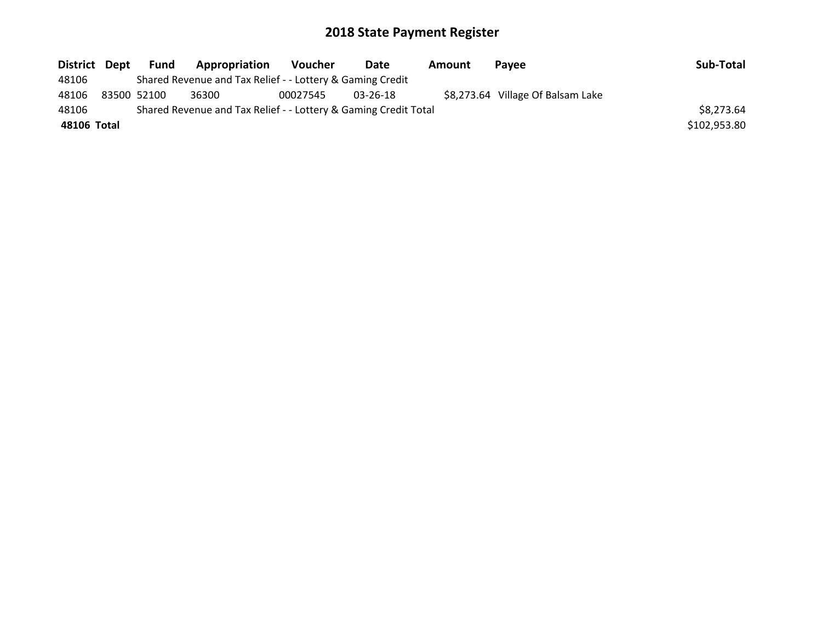|             | District Dept | Fund        | Appropriation                                                   | <b>Voucher</b> | Date     | Amount | <b>Pavee</b>                      | Sub-Total    |
|-------------|---------------|-------------|-----------------------------------------------------------------|----------------|----------|--------|-----------------------------------|--------------|
| 48106       |               |             | Shared Revenue and Tax Relief - - Lottery & Gaming Credit       |                |          |        |                                   |              |
| 48106       |               | 83500 52100 | 36300                                                           | 00027545       | 03-26-18 |        | \$8,273.64 Village Of Balsam Lake |              |
| 48106       |               |             | Shared Revenue and Tax Relief - - Lottery & Gaming Credit Total |                |          |        |                                   | \$8,273.64   |
| 48106 Total |               |             |                                                                 |                |          |        |                                   | \$102,953.80 |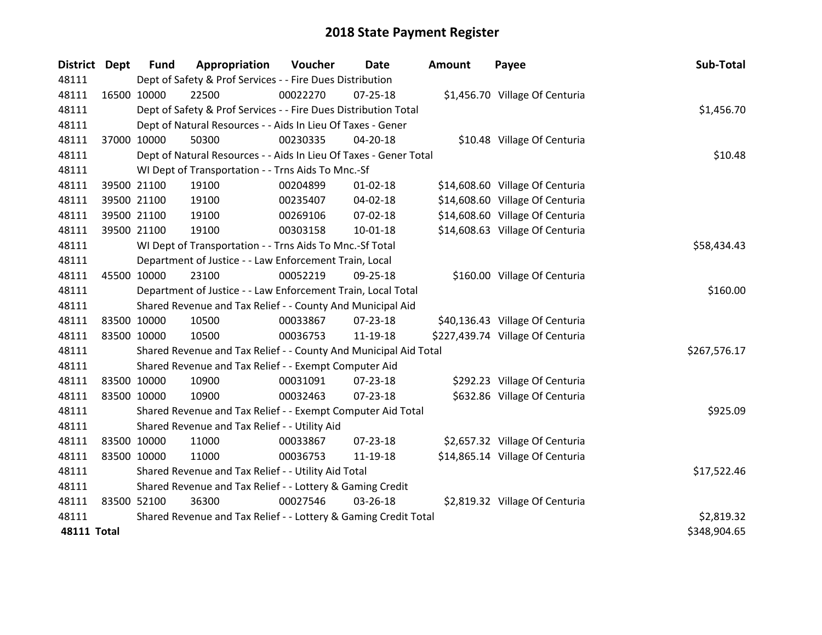| <b>District Dept</b> |             | <b>Fund</b> | Appropriation                                                     | Voucher  | Date           | <b>Amount</b> | Payee                            | Sub-Total    |
|----------------------|-------------|-------------|-------------------------------------------------------------------|----------|----------------|---------------|----------------------------------|--------------|
| 48111                |             |             | Dept of Safety & Prof Services - - Fire Dues Distribution         |          |                |               |                                  |              |
| 48111                | 16500 10000 |             | 22500                                                             | 00022270 | 07-25-18       |               | \$1,456.70 Village Of Centuria   |              |
| 48111                |             |             | Dept of Safety & Prof Services - - Fire Dues Distribution Total   |          |                |               |                                  | \$1,456.70   |
| 48111                |             |             | Dept of Natural Resources - - Aids In Lieu Of Taxes - Gener       |          |                |               |                                  |              |
| 48111                | 37000 10000 |             | 50300                                                             | 00230335 | $04 - 20 - 18$ |               | \$10.48 Village Of Centuria      |              |
| 48111                |             |             | Dept of Natural Resources - - Aids In Lieu Of Taxes - Gener Total |          |                |               |                                  | \$10.48      |
| 48111                |             |             | WI Dept of Transportation - - Trns Aids To Mnc.-Sf                |          |                |               |                                  |              |
| 48111                |             | 39500 21100 | 19100                                                             | 00204899 | $01 - 02 - 18$ |               | \$14,608.60 Village Of Centuria  |              |
| 48111                |             | 39500 21100 | 19100                                                             | 00235407 | 04-02-18       |               | \$14,608.60 Village Of Centuria  |              |
| 48111                |             | 39500 21100 | 19100                                                             | 00269106 | $07 - 02 - 18$ |               | \$14,608.60 Village Of Centuria  |              |
| 48111                |             | 39500 21100 | 19100                                                             | 00303158 | $10 - 01 - 18$ |               | \$14,608.63 Village Of Centuria  |              |
| 48111                |             |             | WI Dept of Transportation - - Trns Aids To Mnc.-Sf Total          |          |                |               |                                  | \$58,434.43  |
| 48111                |             |             | Department of Justice - - Law Enforcement Train, Local            |          |                |               |                                  |              |
| 48111                |             | 45500 10000 | 23100                                                             | 00052219 | 09-25-18       |               | \$160.00 Village Of Centuria     |              |
| 48111                |             |             | Department of Justice - - Law Enforcement Train, Local Total      |          |                |               |                                  | \$160.00     |
| 48111                |             |             | Shared Revenue and Tax Relief - - County And Municipal Aid        |          |                |               |                                  |              |
| 48111                | 83500 10000 |             | 10500                                                             | 00033867 | $07 - 23 - 18$ |               | \$40,136.43 Village Of Centuria  |              |
| 48111                | 83500 10000 |             | 10500                                                             | 00036753 | 11-19-18       |               | \$227,439.74 Village Of Centuria |              |
| 48111                |             |             | Shared Revenue and Tax Relief - - County And Municipal Aid Total  |          |                |               |                                  | \$267,576.17 |
| 48111                |             |             | Shared Revenue and Tax Relief - - Exempt Computer Aid             |          |                |               |                                  |              |
| 48111                | 83500 10000 |             | 10900                                                             | 00031091 | 07-23-18       |               | \$292.23 Village Of Centuria     |              |
| 48111                | 83500 10000 |             | 10900                                                             | 00032463 | $07 - 23 - 18$ |               | \$632.86 Village Of Centuria     |              |
| 48111                |             |             | Shared Revenue and Tax Relief - - Exempt Computer Aid Total       |          |                |               |                                  | \$925.09     |
| 48111                |             |             | Shared Revenue and Tax Relief - - Utility Aid                     |          |                |               |                                  |              |
| 48111                | 83500 10000 |             | 11000                                                             | 00033867 | 07-23-18       |               | \$2,657.32 Village Of Centuria   |              |
| 48111                | 83500 10000 |             | 11000                                                             | 00036753 | 11-19-18       |               | \$14,865.14 Village Of Centuria  |              |
| 48111                |             |             | Shared Revenue and Tax Relief - - Utility Aid Total               |          |                |               |                                  | \$17,522.46  |
| 48111                |             |             | Shared Revenue and Tax Relief - - Lottery & Gaming Credit         |          |                |               |                                  |              |
| 48111                | 83500 52100 |             | 36300                                                             | 00027546 | 03-26-18       |               | \$2,819.32 Village Of Centuria   |              |
| 48111                |             |             | Shared Revenue and Tax Relief - - Lottery & Gaming Credit Total   |          |                |               |                                  | \$2,819.32   |
| <b>48111 Total</b>   |             |             |                                                                   |          |                |               |                                  | \$348,904.65 |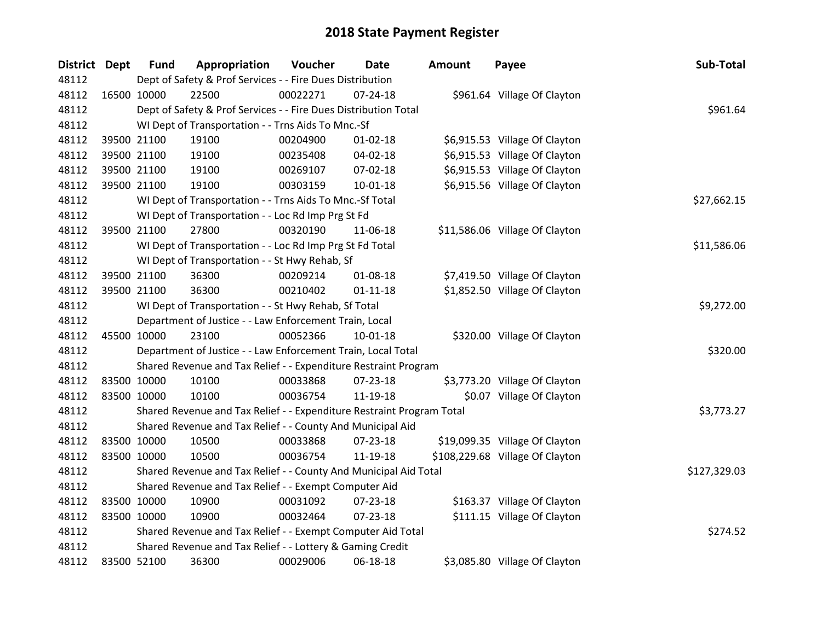| District Dept | <b>Fund</b> | Appropriation                                                         | Voucher  | <b>Date</b>    | <b>Amount</b> | Payee                           | Sub-Total    |
|---------------|-------------|-----------------------------------------------------------------------|----------|----------------|---------------|---------------------------------|--------------|
| 48112         |             | Dept of Safety & Prof Services - - Fire Dues Distribution             |          |                |               |                                 |              |
| 48112         | 16500 10000 | 22500                                                                 | 00022271 | $07 - 24 - 18$ |               | \$961.64 Village Of Clayton     |              |
| 48112         |             | Dept of Safety & Prof Services - - Fire Dues Distribution Total       |          |                |               |                                 | \$961.64     |
| 48112         |             | WI Dept of Transportation - - Trns Aids To Mnc.-Sf                    |          |                |               |                                 |              |
| 48112         | 39500 21100 | 19100                                                                 | 00204900 | $01 - 02 - 18$ |               | \$6,915.53 Village Of Clayton   |              |
| 48112         | 39500 21100 | 19100                                                                 | 00235408 | 04-02-18       |               | \$6,915.53 Village Of Clayton   |              |
| 48112         | 39500 21100 | 19100                                                                 | 00269107 | 07-02-18       |               | \$6,915.53 Village Of Clayton   |              |
| 48112         | 39500 21100 | 19100                                                                 | 00303159 | $10 - 01 - 18$ |               | \$6,915.56 Village Of Clayton   |              |
| 48112         |             | WI Dept of Transportation - - Trns Aids To Mnc.-Sf Total              |          |                |               |                                 | \$27,662.15  |
| 48112         |             | WI Dept of Transportation - - Loc Rd Imp Prg St Fd                    |          |                |               |                                 |              |
| 48112         | 39500 21100 | 27800                                                                 | 00320190 | 11-06-18       |               | \$11,586.06 Village Of Clayton  |              |
| 48112         |             | WI Dept of Transportation - - Loc Rd Imp Prg St Fd Total              |          |                |               |                                 | \$11,586.06  |
| 48112         |             | WI Dept of Transportation - - St Hwy Rehab, Sf                        |          |                |               |                                 |              |
| 48112         | 39500 21100 | 36300                                                                 | 00209214 | 01-08-18       |               | \$7,419.50 Village Of Clayton   |              |
| 48112         | 39500 21100 | 36300                                                                 | 00210402 | $01 - 11 - 18$ |               | \$1,852.50 Village Of Clayton   |              |
| 48112         |             | WI Dept of Transportation - - St Hwy Rehab, Sf Total                  |          |                |               |                                 | \$9,272.00   |
| 48112         |             | Department of Justice - - Law Enforcement Train, Local                |          |                |               |                                 |              |
| 48112         | 45500 10000 | 23100                                                                 | 00052366 | $10-01-18$     |               | \$320.00 Village Of Clayton     |              |
| 48112         |             | Department of Justice - - Law Enforcement Train, Local Total          |          |                |               |                                 | \$320.00     |
| 48112         |             | Shared Revenue and Tax Relief - - Expenditure Restraint Program       |          |                |               |                                 |              |
| 48112         | 83500 10000 | 10100                                                                 | 00033868 | 07-23-18       |               | \$3,773.20 Village Of Clayton   |              |
| 48112         | 83500 10000 | 10100                                                                 | 00036754 | 11-19-18       |               | \$0.07 Village Of Clayton       |              |
| 48112         |             | Shared Revenue and Tax Relief - - Expenditure Restraint Program Total |          |                |               |                                 | \$3,773.27   |
| 48112         |             | Shared Revenue and Tax Relief - - County And Municipal Aid            |          |                |               |                                 |              |
| 48112         | 83500 10000 | 10500                                                                 | 00033868 | $07 - 23 - 18$ |               | \$19,099.35 Village Of Clayton  |              |
| 48112         | 83500 10000 | 10500                                                                 | 00036754 | 11-19-18       |               | \$108,229.68 Village Of Clayton |              |
| 48112         |             | Shared Revenue and Tax Relief - - County And Municipal Aid Total      |          |                |               |                                 | \$127,329.03 |
| 48112         |             | Shared Revenue and Tax Relief - - Exempt Computer Aid                 |          |                |               |                                 |              |
| 48112         | 83500 10000 | 10900                                                                 | 00031092 | 07-23-18       |               | \$163.37 Village Of Clayton     |              |
| 48112         | 83500 10000 | 10900                                                                 | 00032464 | 07-23-18       |               | \$111.15 Village Of Clayton     |              |
| 48112         |             | Shared Revenue and Tax Relief - - Exempt Computer Aid Total           |          |                |               |                                 | \$274.52     |
| 48112         |             | Shared Revenue and Tax Relief - - Lottery & Gaming Credit             |          |                |               |                                 |              |
| 48112         | 83500 52100 | 36300                                                                 | 00029006 | 06-18-18       |               | \$3,085.80 Village Of Clayton   |              |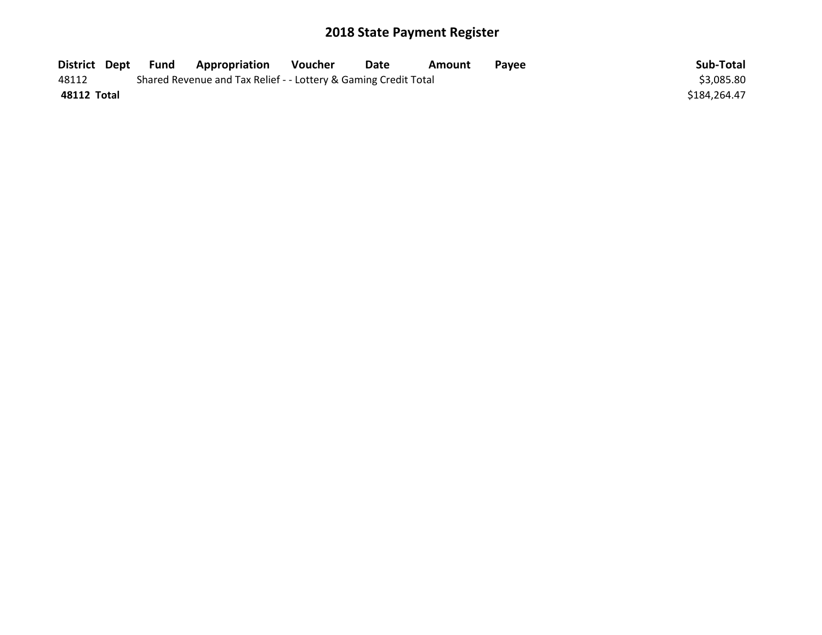| District Dept | Fund | <b>Appropriation</b>                                            | Voucher | Date | Amount | Pavee | Sub-Total    |
|---------------|------|-----------------------------------------------------------------|---------|------|--------|-------|--------------|
| 48112         |      | Shared Revenue and Tax Relief - - Lottery & Gaming Credit Total |         |      |        |       | \$3,085.80   |
| 48112 Total   |      |                                                                 |         |      |        |       | \$184,264.47 |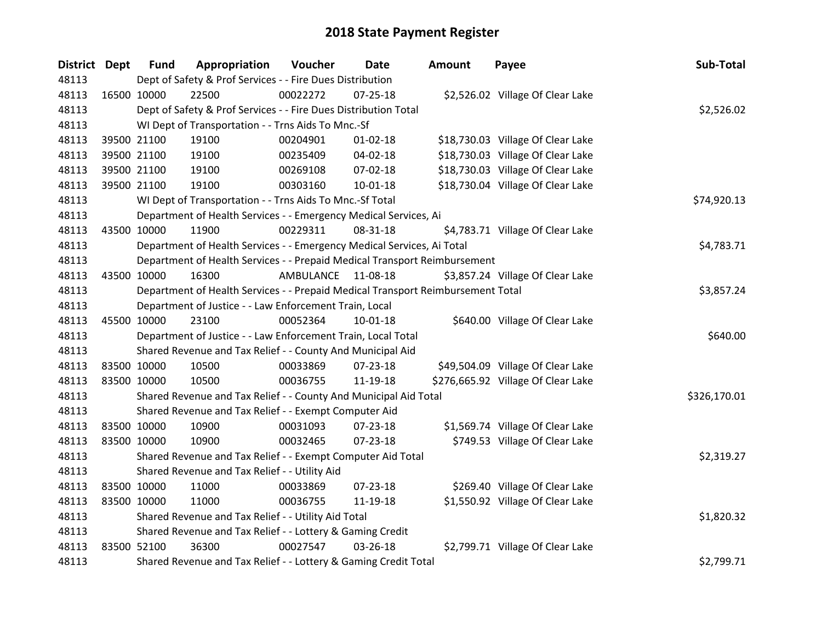| <b>District Dept</b> | <b>Fund</b> | Appropriation                                                                   | Voucher   | Date           | <b>Amount</b> | Payee                              | Sub-Total    |  |
|----------------------|-------------|---------------------------------------------------------------------------------|-----------|----------------|---------------|------------------------------------|--------------|--|
| 48113                |             | Dept of Safety & Prof Services - - Fire Dues Distribution                       |           |                |               |                                    |              |  |
| 48113                | 16500 10000 | 22500                                                                           | 00022272  | $07 - 25 - 18$ |               | \$2,526.02 Village Of Clear Lake   |              |  |
| 48113                |             | Dept of Safety & Prof Services - - Fire Dues Distribution Total                 |           |                |               |                                    | \$2,526.02   |  |
| 48113                |             | WI Dept of Transportation - - Trns Aids To Mnc.-Sf                              |           |                |               |                                    |              |  |
| 48113                | 39500 21100 | 19100                                                                           | 00204901  | $01 - 02 - 18$ |               | \$18,730.03 Village Of Clear Lake  |              |  |
| 48113                | 39500 21100 | 19100                                                                           | 00235409  | 04-02-18       |               | \$18,730.03 Village Of Clear Lake  |              |  |
| 48113                | 39500 21100 | 19100                                                                           | 00269108  | 07-02-18       |               | \$18,730.03 Village Of Clear Lake  |              |  |
| 48113                | 39500 21100 | 19100                                                                           | 00303160  | 10-01-18       |               | \$18,730.04 Village Of Clear Lake  |              |  |
| 48113                |             | WI Dept of Transportation - - Trns Aids To Mnc.-Sf Total                        |           |                |               |                                    | \$74,920.13  |  |
| 48113                |             | Department of Health Services - - Emergency Medical Services, Ai                |           |                |               |                                    |              |  |
| 48113                | 43500 10000 | 11900                                                                           | 00229311  | 08-31-18       |               | \$4,783.71 Village Of Clear Lake   |              |  |
| 48113                |             | Department of Health Services - - Emergency Medical Services, Ai Total          |           |                |               |                                    | \$4,783.71   |  |
| 48113                |             | Department of Health Services - - Prepaid Medical Transport Reimbursement       |           |                |               |                                    |              |  |
| 48113                | 43500 10000 | 16300                                                                           | AMBULANCE | 11-08-18       |               | \$3,857.24 Village Of Clear Lake   |              |  |
| 48113                |             | Department of Health Services - - Prepaid Medical Transport Reimbursement Total |           |                |               |                                    |              |  |
| 48113                |             | Department of Justice - - Law Enforcement Train, Local                          |           |                |               |                                    |              |  |
| 48113                | 45500 10000 | 23100                                                                           | 00052364  | $10 - 01 - 18$ |               | \$640.00 Village Of Clear Lake     |              |  |
| 48113                |             | Department of Justice - - Law Enforcement Train, Local Total                    |           |                |               |                                    | \$640.00     |  |
| 48113                |             | Shared Revenue and Tax Relief - - County And Municipal Aid                      |           |                |               |                                    |              |  |
| 48113                | 83500 10000 | 10500                                                                           | 00033869  | 07-23-18       |               | \$49,504.09 Village Of Clear Lake  |              |  |
| 48113                | 83500 10000 | 10500                                                                           | 00036755  | 11-19-18       |               | \$276,665.92 Village Of Clear Lake |              |  |
| 48113                |             | Shared Revenue and Tax Relief - - County And Municipal Aid Total                |           |                |               |                                    | \$326,170.01 |  |
| 48113                |             | Shared Revenue and Tax Relief - - Exempt Computer Aid                           |           |                |               |                                    |              |  |
| 48113                | 83500 10000 | 10900                                                                           | 00031093  | 07-23-18       |               | \$1,569.74 Village Of Clear Lake   |              |  |
| 48113                | 83500 10000 | 10900                                                                           | 00032465  | 07-23-18       |               | \$749.53 Village Of Clear Lake     |              |  |
| 48113                |             | Shared Revenue and Tax Relief - - Exempt Computer Aid Total                     |           |                |               |                                    | \$2,319.27   |  |
| 48113                |             | Shared Revenue and Tax Relief - - Utility Aid                                   |           |                |               |                                    |              |  |
| 48113                | 83500 10000 | 11000                                                                           | 00033869  | $07 - 23 - 18$ |               | \$269.40 Village Of Clear Lake     |              |  |
| 48113                | 83500 10000 | 11000                                                                           | 00036755  | 11-19-18       |               | \$1,550.92 Village Of Clear Lake   |              |  |
| 48113                |             | Shared Revenue and Tax Relief - - Utility Aid Total                             |           |                |               |                                    | \$1,820.32   |  |
| 48113                |             | Shared Revenue and Tax Relief - - Lottery & Gaming Credit                       |           |                |               |                                    |              |  |
| 48113                | 83500 52100 | 36300                                                                           | 00027547  | 03-26-18       |               | \$2,799.71 Village Of Clear Lake   |              |  |
| 48113                |             | Shared Revenue and Tax Relief - - Lottery & Gaming Credit Total                 |           |                |               |                                    | \$2,799.71   |  |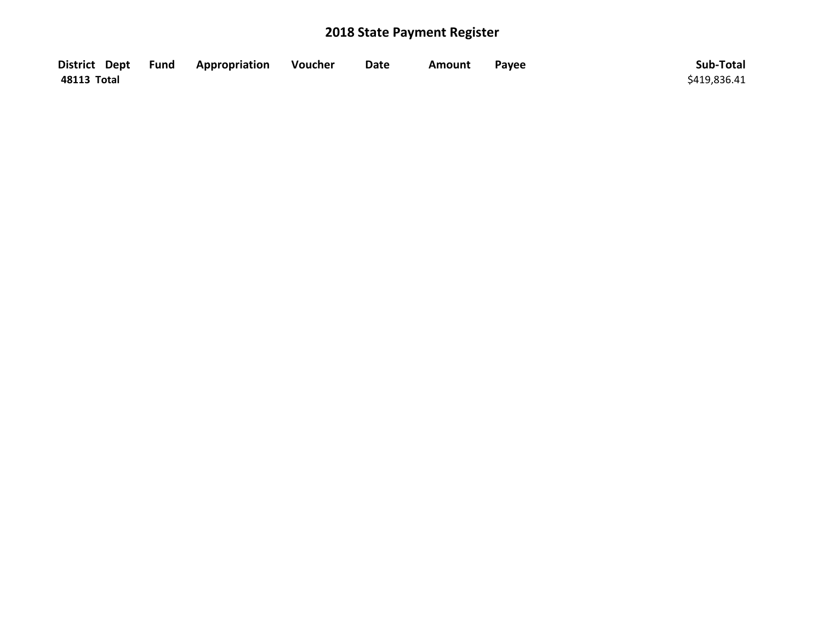| District Dept | <b>Example 2 Fund Appropriation</b> | Voucher | <b>Date</b> | Amount | Pavee | Sub-Total    |
|---------------|-------------------------------------|---------|-------------|--------|-------|--------------|
| 48113 Total   |                                     |         |             |        |       | \$419,836.41 |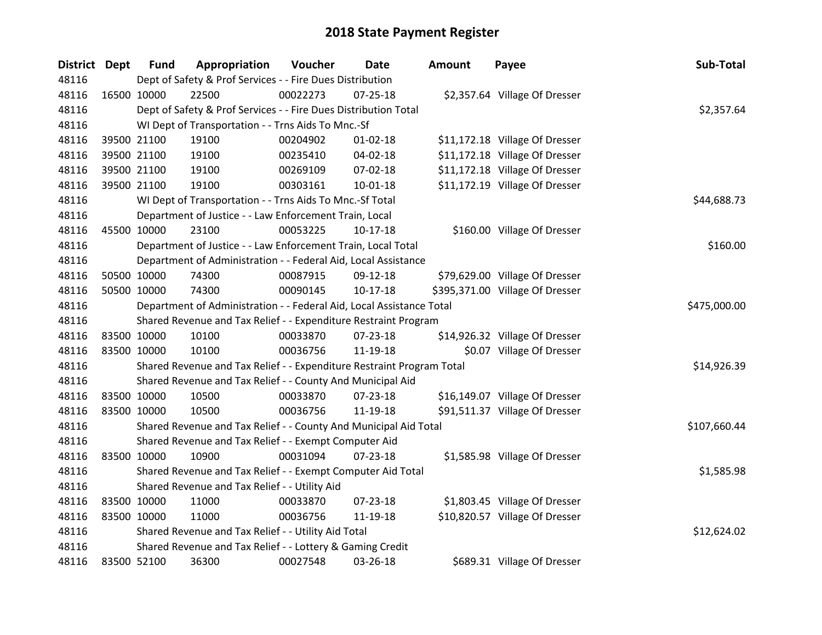| District Dept | <b>Fund</b>                                               | Appropriation                                                         | Voucher  | <b>Date</b>    | <b>Amount</b> | Payee                           | Sub-Total    |
|---------------|-----------------------------------------------------------|-----------------------------------------------------------------------|----------|----------------|---------------|---------------------------------|--------------|
| 48116         |                                                           | Dept of Safety & Prof Services - - Fire Dues Distribution             |          |                |               |                                 |              |
| 48116         | 16500 10000                                               | 22500                                                                 | 00022273 | $07 - 25 - 18$ |               | \$2,357.64 Village Of Dresser   |              |
| 48116         |                                                           | Dept of Safety & Prof Services - - Fire Dues Distribution Total       |          |                |               |                                 | \$2,357.64   |
| 48116         |                                                           | WI Dept of Transportation - - Trns Aids To Mnc.-Sf                    |          |                |               |                                 |              |
| 48116         | 39500 21100                                               | 19100                                                                 | 00204902 | $01 - 02 - 18$ |               | \$11,172.18 Village Of Dresser  |              |
| 48116         | 39500 21100                                               | 19100                                                                 | 00235410 | $04 - 02 - 18$ |               | \$11,172.18 Village Of Dresser  |              |
| 48116         | 39500 21100                                               | 19100                                                                 | 00269109 | 07-02-18       |               | \$11,172.18 Village Of Dresser  |              |
| 48116         | 39500 21100                                               | 19100                                                                 | 00303161 | 10-01-18       |               | \$11,172.19 Village Of Dresser  |              |
| 48116         |                                                           | WI Dept of Transportation - - Trns Aids To Mnc .- Sf Total            |          |                |               |                                 | \$44,688.73  |
| 48116         |                                                           | Department of Justice - - Law Enforcement Train, Local                |          |                |               |                                 |              |
| 48116         | 45500 10000                                               | 23100                                                                 | 00053225 | $10-17-18$     |               | \$160.00 Village Of Dresser     |              |
| 48116         |                                                           | Department of Justice - - Law Enforcement Train, Local Total          |          |                |               |                                 | \$160.00     |
| 48116         |                                                           | Department of Administration - - Federal Aid, Local Assistance        |          |                |               |                                 |              |
| 48116         | 50500 10000                                               | 74300                                                                 | 00087915 | 09-12-18       |               | \$79,629.00 Village Of Dresser  |              |
| 48116         | 50500 10000                                               | 74300                                                                 | 00090145 | $10-17-18$     |               | \$395,371.00 Village Of Dresser |              |
| 48116         |                                                           | Department of Administration - - Federal Aid, Local Assistance Total  |          |                |               |                                 | \$475,000.00 |
| 48116         |                                                           | Shared Revenue and Tax Relief - - Expenditure Restraint Program       |          |                |               |                                 |              |
| 48116         | 83500 10000                                               | 10100                                                                 | 00033870 | 07-23-18       |               | \$14,926.32 Village Of Dresser  |              |
| 48116         | 83500 10000                                               | 10100                                                                 | 00036756 | 11-19-18       |               | \$0.07 Village Of Dresser       |              |
| 48116         |                                                           | Shared Revenue and Tax Relief - - Expenditure Restraint Program Total |          |                |               |                                 | \$14,926.39  |
| 48116         |                                                           | Shared Revenue and Tax Relief - - County And Municipal Aid            |          |                |               |                                 |              |
| 48116         | 83500 10000                                               | 10500                                                                 | 00033870 | $07 - 23 - 18$ |               | \$16,149.07 Village Of Dresser  |              |
| 48116         | 83500 10000                                               | 10500                                                                 | 00036756 | 11-19-18       |               | \$91,511.37 Village Of Dresser  |              |
| 48116         |                                                           | Shared Revenue and Tax Relief - - County And Municipal Aid Total      |          |                |               |                                 | \$107,660.44 |
| 48116         |                                                           | Shared Revenue and Tax Relief - - Exempt Computer Aid                 |          |                |               |                                 |              |
| 48116         | 83500 10000                                               | 10900                                                                 | 00031094 | $07 - 23 - 18$ |               | \$1,585.98 Village Of Dresser   |              |
| 48116         |                                                           | Shared Revenue and Tax Relief - - Exempt Computer Aid Total           |          |                |               |                                 | \$1,585.98   |
| 48116         |                                                           | Shared Revenue and Tax Relief - - Utility Aid                         |          |                |               |                                 |              |
| 48116         | 83500 10000                                               | 11000                                                                 | 00033870 | $07 - 23 - 18$ |               | \$1,803.45 Village Of Dresser   |              |
| 48116         | 83500 10000                                               | 11000                                                                 | 00036756 | 11-19-18       |               | \$10,820.57 Village Of Dresser  |              |
| 48116         |                                                           | Shared Revenue and Tax Relief - - Utility Aid Total                   |          |                |               |                                 | \$12,624.02  |
| 48116         | Shared Revenue and Tax Relief - - Lottery & Gaming Credit |                                                                       |          |                |               |                                 |              |
| 48116         | 83500 52100                                               | 36300                                                                 | 00027548 | 03-26-18       |               | \$689.31 Village Of Dresser     |              |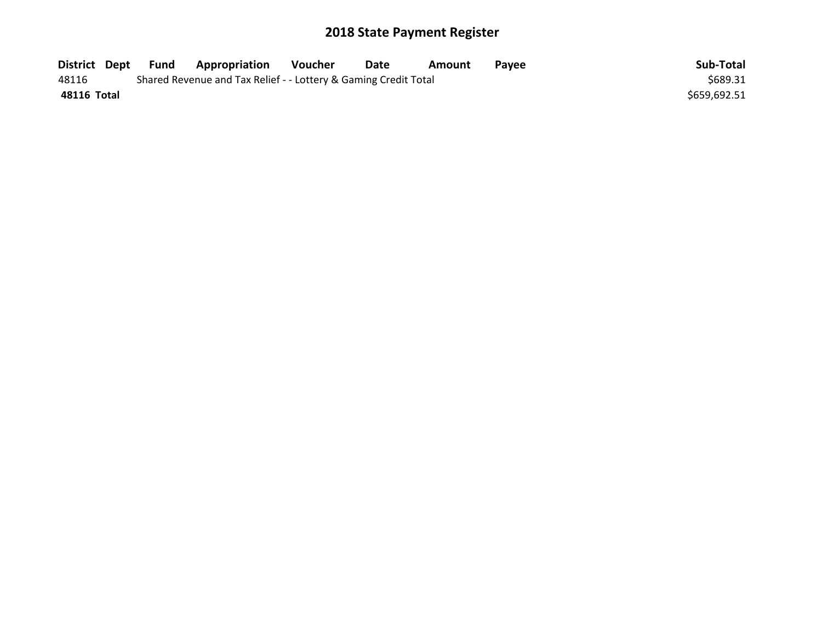| District Dept | Fund | <b>Appropriation</b>                                            | Voucher | Date | Amount | <b>Pavee</b> | Sub-Total    |
|---------------|------|-----------------------------------------------------------------|---------|------|--------|--------------|--------------|
| 48116         |      | Shared Revenue and Tax Relief - - Lottery & Gaming Credit Total |         |      |        |              | \$689.31     |
| 48116 Total   |      |                                                                 |         |      |        |              | \$659,692.51 |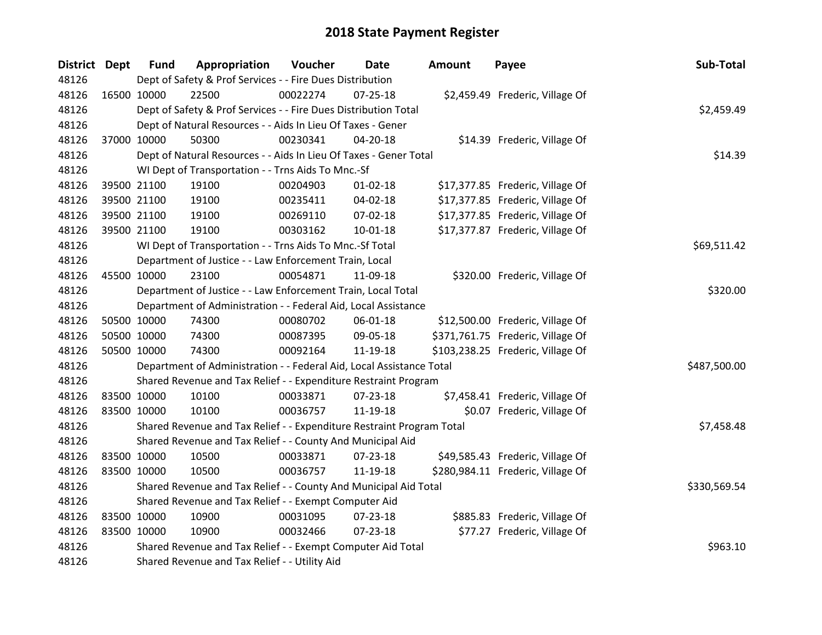| District Dept | <b>Fund</b> | Appropriation                                                         | Voucher  | Date           | Amount | Payee                             | Sub-Total    |
|---------------|-------------|-----------------------------------------------------------------------|----------|----------------|--------|-----------------------------------|--------------|
| 48126         |             | Dept of Safety & Prof Services - - Fire Dues Distribution             |          |                |        |                                   |              |
| 48126         | 16500 10000 | 22500                                                                 | 00022274 | $07 - 25 - 18$ |        | \$2,459.49 Frederic, Village Of   |              |
| 48126         |             | Dept of Safety & Prof Services - - Fire Dues Distribution Total       |          |                |        |                                   | \$2,459.49   |
| 48126         |             | Dept of Natural Resources - - Aids In Lieu Of Taxes - Gener           |          |                |        |                                   |              |
| 48126         | 37000 10000 | 50300                                                                 | 00230341 | 04-20-18       |        | \$14.39 Frederic, Village Of      |              |
| 48126         |             | Dept of Natural Resources - - Aids In Lieu Of Taxes - Gener Total     |          |                |        |                                   | \$14.39      |
| 48126         |             | WI Dept of Transportation - - Trns Aids To Mnc.-Sf                    |          |                |        |                                   |              |
| 48126         | 39500 21100 | 19100                                                                 | 00204903 | $01 - 02 - 18$ |        | \$17,377.85 Frederic, Village Of  |              |
| 48126         | 39500 21100 | 19100                                                                 | 00235411 | 04-02-18       |        | \$17,377.85 Frederic, Village Of  |              |
| 48126         | 39500 21100 | 19100                                                                 | 00269110 | 07-02-18       |        | \$17,377.85 Frederic, Village Of  |              |
| 48126         | 39500 21100 | 19100                                                                 | 00303162 | 10-01-18       |        | \$17,377.87 Frederic, Village Of  |              |
| 48126         |             | WI Dept of Transportation - - Trns Aids To Mnc.-Sf Total              |          |                |        |                                   | \$69,511.42  |
| 48126         |             | Department of Justice - - Law Enforcement Train, Local                |          |                |        |                                   |              |
| 48126         | 45500 10000 | 23100                                                                 | 00054871 | 11-09-18       |        | \$320.00 Frederic, Village Of     |              |
| 48126         |             | Department of Justice - - Law Enforcement Train, Local Total          |          |                |        |                                   | \$320.00     |
| 48126         |             | Department of Administration - - Federal Aid, Local Assistance        |          |                |        |                                   |              |
| 48126         | 50500 10000 | 74300                                                                 | 00080702 | 06-01-18       |        | \$12,500.00 Frederic, Village Of  |              |
| 48126         | 50500 10000 | 74300                                                                 | 00087395 | 09-05-18       |        | \$371,761.75 Frederic, Village Of |              |
| 48126         | 50500 10000 | 74300                                                                 | 00092164 | 11-19-18       |        | \$103,238.25 Frederic, Village Of |              |
| 48126         |             | Department of Administration - - Federal Aid, Local Assistance Total  |          |                |        |                                   | \$487,500.00 |
| 48126         |             | Shared Revenue and Tax Relief - - Expenditure Restraint Program       |          |                |        |                                   |              |
| 48126         | 83500 10000 | 10100                                                                 | 00033871 | $07 - 23 - 18$ |        | \$7,458.41 Frederic, Village Of   |              |
| 48126         | 83500 10000 | 10100                                                                 | 00036757 | 11-19-18       |        | \$0.07 Frederic, Village Of       |              |
| 48126         |             | Shared Revenue and Tax Relief - - Expenditure Restraint Program Total |          |                |        |                                   | \$7,458.48   |
| 48126         |             | Shared Revenue and Tax Relief - - County And Municipal Aid            |          |                |        |                                   |              |
| 48126         | 83500 10000 | 10500                                                                 | 00033871 | 07-23-18       |        | \$49,585.43 Frederic, Village Of  |              |
| 48126         | 83500 10000 | 10500                                                                 | 00036757 | 11-19-18       |        | \$280,984.11 Frederic, Village Of |              |
| 48126         |             | Shared Revenue and Tax Relief - - County And Municipal Aid Total      |          |                |        |                                   | \$330,569.54 |
| 48126         |             | Shared Revenue and Tax Relief - - Exempt Computer Aid                 |          |                |        |                                   |              |
| 48126         | 83500 10000 | 10900                                                                 | 00031095 | 07-23-18       |        | \$885.83 Frederic, Village Of     |              |
| 48126         | 83500 10000 | 10900                                                                 | 00032466 | 07-23-18       |        | \$77.27 Frederic, Village Of      |              |
| 48126         |             | Shared Revenue and Tax Relief - - Exempt Computer Aid Total           |          |                |        |                                   | \$963.10     |
| 48126         |             | Shared Revenue and Tax Relief - - Utility Aid                         |          |                |        |                                   |              |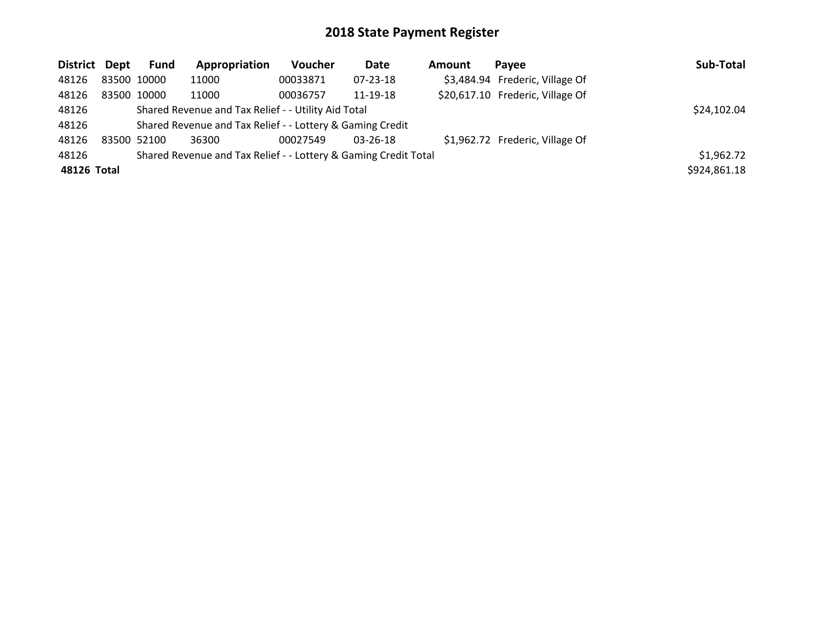| District Dept |             | Fund | Appropriation                                                   | Voucher  | Date           | Amount | Pavee                            | Sub-Total    |
|---------------|-------------|------|-----------------------------------------------------------------|----------|----------------|--------|----------------------------------|--------------|
| 48126         | 83500 10000 |      | 11000                                                           | 00033871 | 07-23-18       |        | \$3,484.94 Frederic, Village Of  |              |
| 48126         | 83500 10000 |      | 11000                                                           | 00036757 | 11-19-18       |        | \$20,617.10 Frederic, Village Of |              |
| 48126         |             |      | Shared Revenue and Tax Relief - - Utility Aid Total             |          | \$24,102.04    |        |                                  |              |
| 48126         |             |      | Shared Revenue and Tax Relief - - Lottery & Gaming Credit       |          |                |        |                                  |              |
| 48126         | 83500 52100 |      | 36300                                                           | 00027549 | $03 - 26 - 18$ |        | \$1,962.72 Frederic, Village Of  |              |
| 48126         |             |      | Shared Revenue and Tax Relief - - Lottery & Gaming Credit Total |          |                |        |                                  | \$1,962.72   |
| 48126 Total   |             |      |                                                                 |          |                |        |                                  | \$924,861.18 |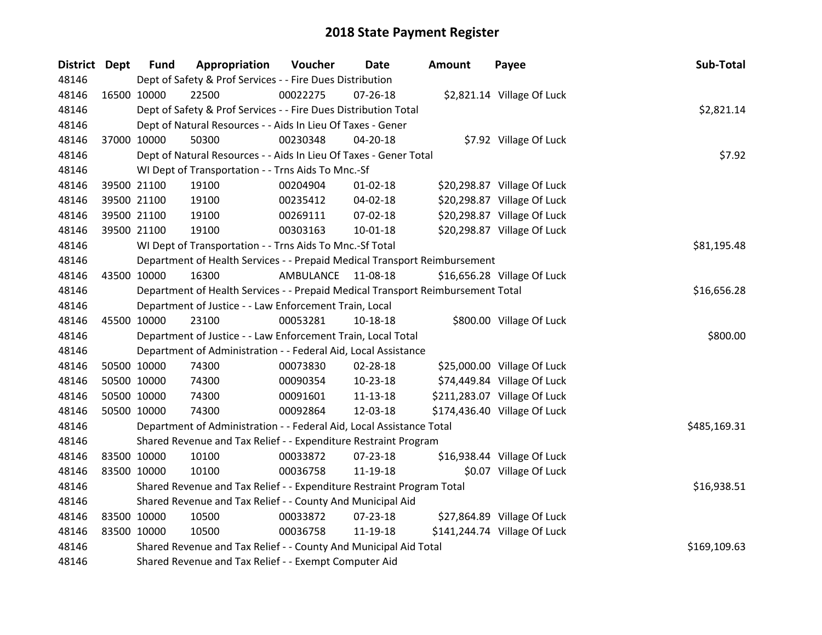| District Dept |             | <b>Fund</b> | Appropriation                                                                   | Voucher     | <b>Date</b>    | <b>Amount</b> | Payee                        | Sub-Total    |
|---------------|-------------|-------------|---------------------------------------------------------------------------------|-------------|----------------|---------------|------------------------------|--------------|
| 48146         |             |             | Dept of Safety & Prof Services - - Fire Dues Distribution                       |             |                |               |                              |              |
| 48146         |             | 16500 10000 | 22500                                                                           | 00022275    | $07 - 26 - 18$ |               | \$2,821.14 Village Of Luck   |              |
| 48146         |             |             | Dept of Safety & Prof Services - - Fire Dues Distribution Total                 |             |                |               |                              | \$2,821.14   |
| 48146         |             |             | Dept of Natural Resources - - Aids In Lieu Of Taxes - Gener                     |             |                |               |                              |              |
| 48146         |             | 37000 10000 | 50300                                                                           | 00230348    | $04 - 20 - 18$ |               | \$7.92 Village Of Luck       |              |
| 48146         |             |             | Dept of Natural Resources - - Aids In Lieu Of Taxes - Gener Total               |             |                |               |                              | \$7.92       |
| 48146         |             |             | WI Dept of Transportation - - Trns Aids To Mnc.-Sf                              |             |                |               |                              |              |
| 48146         |             | 39500 21100 | 19100                                                                           | 00204904    | $01-02-18$     |               | \$20,298.87 Village Of Luck  |              |
| 48146         |             | 39500 21100 | 19100                                                                           | 00235412    | 04-02-18       |               | \$20,298.87 Village Of Luck  |              |
| 48146         |             | 39500 21100 | 19100                                                                           | 00269111    | 07-02-18       |               | \$20,298.87 Village Of Luck  |              |
| 48146         |             | 39500 21100 | 19100                                                                           | 00303163    | 10-01-18       |               | \$20,298.87 Village Of Luck  |              |
| 48146         |             |             | WI Dept of Transportation - - Trns Aids To Mnc.-Sf Total                        |             |                |               |                              | \$81,195.48  |
| 48146         |             |             | Department of Health Services - - Prepaid Medical Transport Reimbursement       |             |                |               |                              |              |
| 48146         |             | 43500 10000 | 16300                                                                           | AMBULANCE   | 11-08-18       |               | \$16,656.28 Village Of Luck  |              |
| 48146         |             |             | Department of Health Services - - Prepaid Medical Transport Reimbursement Total | \$16,656.28 |                |               |                              |              |
| 48146         |             |             | Department of Justice - - Law Enforcement Train, Local                          |             |                |               |                              |              |
| 48146         |             | 45500 10000 | 23100                                                                           | 00053281    | 10-18-18       |               | \$800.00 Village Of Luck     |              |
| 48146         |             |             | Department of Justice - - Law Enforcement Train, Local Total                    |             |                |               |                              | \$800.00     |
| 48146         |             |             | Department of Administration - - Federal Aid, Local Assistance                  |             |                |               |                              |              |
| 48146         |             | 50500 10000 | 74300                                                                           | 00073830    | 02-28-18       |               | \$25,000.00 Village Of Luck  |              |
| 48146         |             | 50500 10000 | 74300                                                                           | 00090354    | 10-23-18       |               | \$74,449.84 Village Of Luck  |              |
| 48146         |             | 50500 10000 | 74300                                                                           | 00091601    | $11 - 13 - 18$ |               | \$211,283.07 Village Of Luck |              |
| 48146         |             | 50500 10000 | 74300                                                                           | 00092864    | 12-03-18       |               | \$174,436.40 Village Of Luck |              |
| 48146         |             |             | Department of Administration - - Federal Aid, Local Assistance Total            |             |                |               |                              | \$485,169.31 |
| 48146         |             |             | Shared Revenue and Tax Relief - - Expenditure Restraint Program                 |             |                |               |                              |              |
| 48146         | 83500 10000 |             | 10100                                                                           | 00033872    | 07-23-18       |               | \$16,938.44 Village Of Luck  |              |
| 48146         |             | 83500 10000 | 10100                                                                           | 00036758    | 11-19-18       |               | \$0.07 Village Of Luck       |              |
| 48146         |             |             | Shared Revenue and Tax Relief - - Expenditure Restraint Program Total           |             |                |               |                              | \$16,938.51  |
| 48146         |             |             | Shared Revenue and Tax Relief - - County And Municipal Aid                      |             |                |               |                              |              |
| 48146         |             | 83500 10000 | 10500                                                                           | 00033872    | $07 - 23 - 18$ |               | \$27,864.89 Village Of Luck  |              |
| 48146         |             | 83500 10000 | 10500                                                                           | 00036758    | 11-19-18       |               | \$141,244.74 Village Of Luck |              |
| 48146         |             |             | Shared Revenue and Tax Relief - - County And Municipal Aid Total                |             |                |               |                              | \$169,109.63 |
| 48146         |             |             | Shared Revenue and Tax Relief - - Exempt Computer Aid                           |             |                |               |                              |              |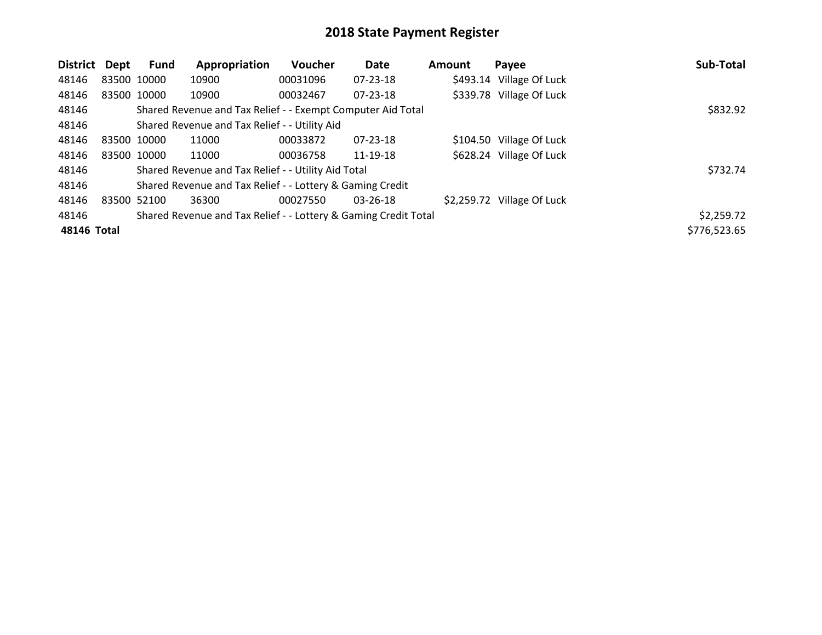| <b>District</b> | Dept        | Fund | Appropriation                                                   | Voucher  | <b>Date</b>    | <b>Amount</b> | Payee                      | Sub-Total    |
|-----------------|-------------|------|-----------------------------------------------------------------|----------|----------------|---------------|----------------------------|--------------|
| 48146           | 83500 10000 |      | 10900                                                           | 00031096 | $07 - 23 - 18$ |               | \$493.14 Village Of Luck   |              |
| 48146           | 83500 10000 |      | 10900                                                           | 00032467 | $07 - 23 - 18$ |               | \$339.78 Village Of Luck   |              |
| 48146           |             |      | Shared Revenue and Tax Relief - - Exempt Computer Aid Total     |          |                |               |                            | \$832.92     |
| 48146           |             |      | Shared Revenue and Tax Relief - - Utility Aid                   |          |                |               |                            |              |
| 48146           | 83500 10000 |      | 11000                                                           | 00033872 | $07 - 23 - 18$ |               | \$104.50 Village Of Luck   |              |
| 48146           | 83500 10000 |      | 11000                                                           | 00036758 | 11-19-18       |               | \$628.24 Village Of Luck   |              |
| 48146           |             |      | Shared Revenue and Tax Relief - - Utility Aid Total             |          |                |               |                            | \$732.74     |
| 48146           |             |      | Shared Revenue and Tax Relief - - Lottery & Gaming Credit       |          |                |               |                            |              |
| 48146           | 83500 52100 |      | 36300                                                           | 00027550 | $03 - 26 - 18$ |               | \$2,259.72 Village Of Luck |              |
| 48146           |             |      | Shared Revenue and Tax Relief - - Lottery & Gaming Credit Total |          |                |               |                            | \$2,259.72   |
| 48146 Total     |             |      |                                                                 |          |                |               |                            | \$776,523.65 |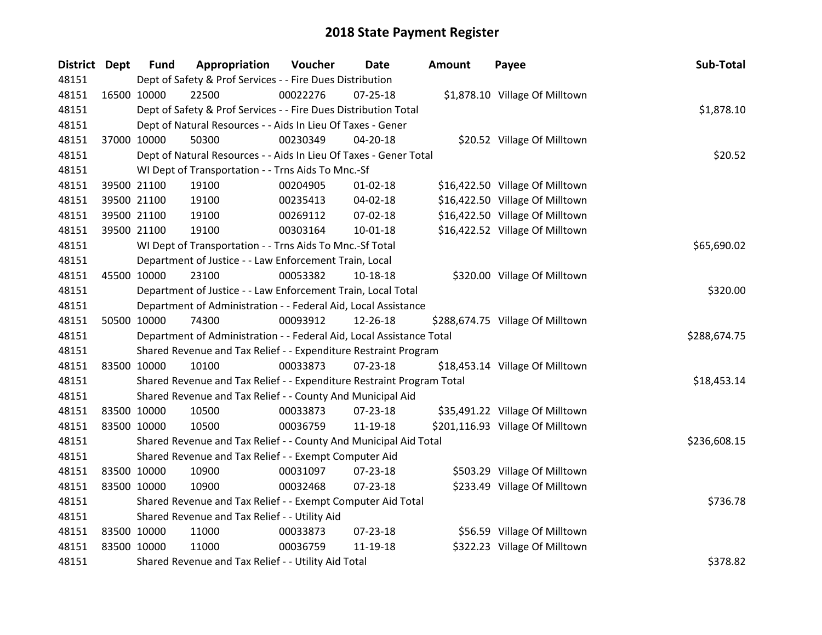| District Dept | <b>Fund</b> | Appropriation                                                         | Voucher  | Date           | <b>Amount</b> | Payee                            | Sub-Total    |
|---------------|-------------|-----------------------------------------------------------------------|----------|----------------|---------------|----------------------------------|--------------|
| 48151         |             | Dept of Safety & Prof Services - - Fire Dues Distribution             |          |                |               |                                  |              |
| 48151         | 16500 10000 | 22500                                                                 | 00022276 | $07 - 25 - 18$ |               | \$1,878.10 Village Of Milltown   |              |
| 48151         |             | Dept of Safety & Prof Services - - Fire Dues Distribution Total       |          |                |               |                                  | \$1,878.10   |
| 48151         |             | Dept of Natural Resources - - Aids In Lieu Of Taxes - Gener           |          |                |               |                                  |              |
| 48151         | 37000 10000 | 50300                                                                 | 00230349 | 04-20-18       |               | \$20.52 Village Of Milltown      |              |
| 48151         |             | Dept of Natural Resources - - Aids In Lieu Of Taxes - Gener Total     |          |                |               |                                  | \$20.52      |
| 48151         |             | WI Dept of Transportation - - Trns Aids To Mnc.-Sf                    |          |                |               |                                  |              |
| 48151         | 39500 21100 | 19100                                                                 | 00204905 | $01 - 02 - 18$ |               | \$16,422.50 Village Of Milltown  |              |
| 48151         | 39500 21100 | 19100                                                                 | 00235413 | 04-02-18       |               | \$16,422.50 Village Of Milltown  |              |
| 48151         | 39500 21100 | 19100                                                                 | 00269112 | 07-02-18       |               | \$16,422.50 Village Of Milltown  |              |
| 48151         | 39500 21100 | 19100                                                                 | 00303164 | 10-01-18       |               | \$16,422.52 Village Of Milltown  |              |
| 48151         |             | WI Dept of Transportation - - Trns Aids To Mnc.-Sf Total              |          |                |               |                                  | \$65,690.02  |
| 48151         |             | Department of Justice - - Law Enforcement Train, Local                |          |                |               |                                  |              |
| 48151         | 45500 10000 | 23100                                                                 | 00053382 | 10-18-18       |               | \$320.00 Village Of Milltown     |              |
| 48151         |             | Department of Justice - - Law Enforcement Train, Local Total          |          |                |               |                                  | \$320.00     |
| 48151         |             | Department of Administration - - Federal Aid, Local Assistance        |          |                |               |                                  |              |
| 48151         | 50500 10000 | 74300                                                                 | 00093912 | 12-26-18       |               | \$288,674.75 Village Of Milltown |              |
| 48151         |             | Department of Administration - - Federal Aid, Local Assistance Total  |          |                |               |                                  | \$288,674.75 |
| 48151         |             | Shared Revenue and Tax Relief - - Expenditure Restraint Program       |          |                |               |                                  |              |
| 48151         | 83500 10000 | 10100                                                                 | 00033873 | $07 - 23 - 18$ |               | \$18,453.14 Village Of Milltown  |              |
| 48151         |             | Shared Revenue and Tax Relief - - Expenditure Restraint Program Total |          |                |               |                                  | \$18,453.14  |
| 48151         |             | Shared Revenue and Tax Relief - - County And Municipal Aid            |          |                |               |                                  |              |
| 48151         | 83500 10000 | 10500                                                                 | 00033873 | $07 - 23 - 18$ |               | \$35,491.22 Village Of Milltown  |              |
| 48151         | 83500 10000 | 10500                                                                 | 00036759 | 11-19-18       |               | \$201,116.93 Village Of Milltown |              |
| 48151         |             | Shared Revenue and Tax Relief - - County And Municipal Aid Total      |          |                |               |                                  | \$236,608.15 |
| 48151         |             | Shared Revenue and Tax Relief - - Exempt Computer Aid                 |          |                |               |                                  |              |
| 48151         | 83500 10000 | 10900                                                                 | 00031097 | 07-23-18       |               | \$503.29 Village Of Milltown     |              |
| 48151         | 83500 10000 | 10900                                                                 | 00032468 | $07 - 23 - 18$ |               | \$233.49 Village Of Milltown     |              |
| 48151         |             | Shared Revenue and Tax Relief - - Exempt Computer Aid Total           |          |                |               |                                  | \$736.78     |
| 48151         |             | Shared Revenue and Tax Relief - - Utility Aid                         |          |                |               |                                  |              |
| 48151         | 83500 10000 | 11000                                                                 | 00033873 | 07-23-18       |               | \$56.59 Village Of Milltown      |              |
| 48151         | 83500 10000 | 11000                                                                 | 00036759 | 11-19-18       |               | \$322.23 Village Of Milltown     |              |
| 48151         |             | Shared Revenue and Tax Relief - - Utility Aid Total                   |          |                |               |                                  | \$378.82     |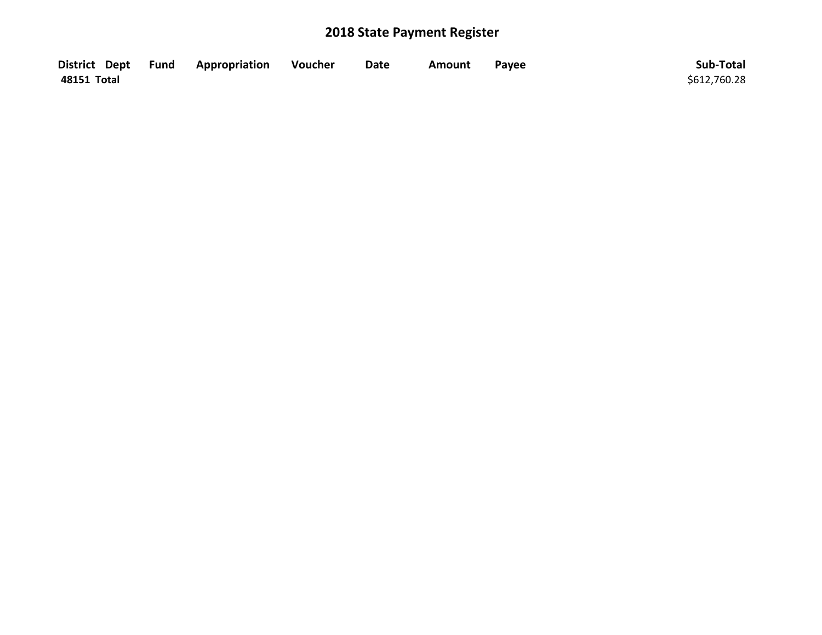|             | District Dept Fund Appropriation | Voucher | <b>Date</b> | Amount | Payee | Sub-Total    |
|-------------|----------------------------------|---------|-------------|--------|-------|--------------|
| 48151 Total |                                  |         |             |        |       | \$612,760.28 |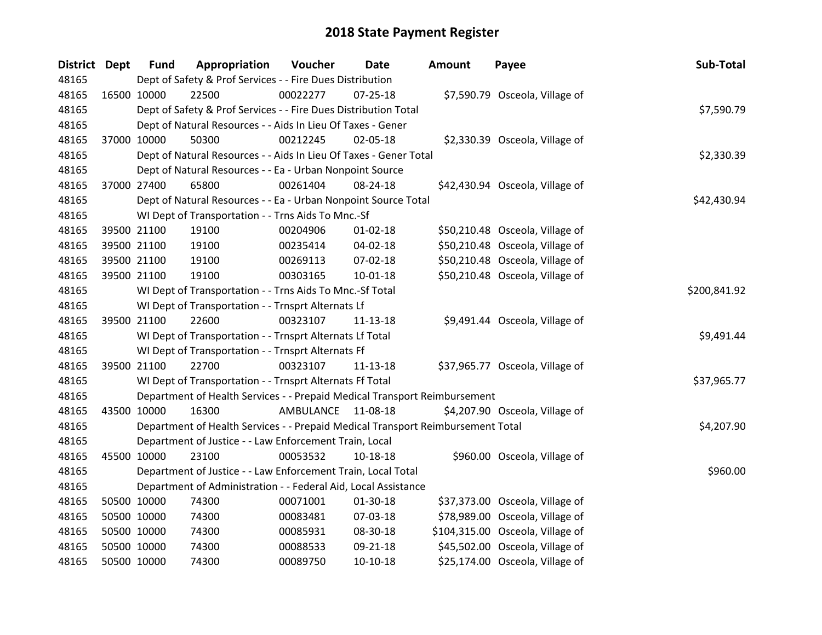| District Dept |             | <b>Fund</b> | Appropriation                                                                   | Voucher   | Date           | <b>Amount</b> | Payee                            | Sub-Total    |
|---------------|-------------|-------------|---------------------------------------------------------------------------------|-----------|----------------|---------------|----------------------------------|--------------|
| 48165         |             |             | Dept of Safety & Prof Services - - Fire Dues Distribution                       |           |                |               |                                  |              |
| 48165         |             | 16500 10000 | 22500                                                                           | 00022277  | $07 - 25 - 18$ |               | \$7,590.79 Osceola, Village of   |              |
| 48165         |             |             | Dept of Safety & Prof Services - - Fire Dues Distribution Total                 |           |                |               |                                  | \$7,590.79   |
| 48165         |             |             | Dept of Natural Resources - - Aids In Lieu Of Taxes - Gener                     |           |                |               |                                  |              |
| 48165         |             | 37000 10000 | 50300                                                                           | 00212245  | 02-05-18       |               | \$2,330.39 Osceola, Village of   |              |
| 48165         |             |             | Dept of Natural Resources - - Aids In Lieu Of Taxes - Gener Total               |           |                |               |                                  | \$2,330.39   |
| 48165         |             |             | Dept of Natural Resources - - Ea - Urban Nonpoint Source                        |           |                |               |                                  |              |
| 48165         |             | 37000 27400 | 65800                                                                           | 00261404  | 08-24-18       |               | \$42,430.94 Osceola, Village of  |              |
| 48165         |             |             | Dept of Natural Resources - - Ea - Urban Nonpoint Source Total                  |           |                |               |                                  | \$42,430.94  |
| 48165         |             |             | WI Dept of Transportation - - Trns Aids To Mnc.-Sf                              |           |                |               |                                  |              |
| 48165         |             | 39500 21100 | 19100                                                                           | 00204906  | $01 - 02 - 18$ |               | \$50,210.48 Osceola, Village of  |              |
| 48165         |             | 39500 21100 | 19100                                                                           | 00235414  | 04-02-18       |               | \$50,210.48 Osceola, Village of  |              |
| 48165         |             | 39500 21100 | 19100                                                                           | 00269113  | 07-02-18       |               | \$50,210.48 Osceola, Village of  |              |
| 48165         |             | 39500 21100 | 19100                                                                           | 00303165  | $10 - 01 - 18$ |               | \$50,210.48 Osceola, Village of  |              |
| 48165         |             |             | WI Dept of Transportation - - Trns Aids To Mnc.-Sf Total                        |           |                |               |                                  | \$200,841.92 |
| 48165         |             |             | WI Dept of Transportation - - Trnsprt Alternats Lf                              |           |                |               |                                  |              |
| 48165         |             | 39500 21100 | 22600                                                                           | 00323107  | $11 - 13 - 18$ |               | \$9,491.44 Osceola, Village of   |              |
| 48165         |             |             | WI Dept of Transportation - - Trnsprt Alternats Lf Total                        |           |                |               |                                  | \$9,491.44   |
| 48165         |             |             | WI Dept of Transportation - - Trnsprt Alternats Ff                              |           |                |               |                                  |              |
| 48165         |             | 39500 21100 | 22700                                                                           | 00323107  | 11-13-18       |               | \$37,965.77 Osceola, Village of  |              |
| 48165         |             |             | WI Dept of Transportation - - Trnsprt Alternats Ff Total                        |           |                |               |                                  | \$37,965.77  |
| 48165         |             |             | Department of Health Services - - Prepaid Medical Transport Reimbursement       |           |                |               |                                  |              |
| 48165         |             | 43500 10000 | 16300                                                                           | AMBULANCE | 11-08-18       |               | \$4,207.90 Osceola, Village of   |              |
| 48165         |             |             | Department of Health Services - - Prepaid Medical Transport Reimbursement Total |           |                |               |                                  | \$4,207.90   |
| 48165         |             |             | Department of Justice - - Law Enforcement Train, Local                          |           |                |               |                                  |              |
| 48165         |             | 45500 10000 | 23100                                                                           | 00053532  | 10-18-18       |               | \$960.00 Osceola, Village of     |              |
| 48165         |             |             | Department of Justice - - Law Enforcement Train, Local Total                    |           |                |               |                                  | \$960.00     |
| 48165         |             |             | Department of Administration - - Federal Aid, Local Assistance                  |           |                |               |                                  |              |
| 48165         |             | 50500 10000 | 74300                                                                           | 00071001  | 01-30-18       |               | \$37,373.00 Osceola, Village of  |              |
| 48165         |             | 50500 10000 | 74300                                                                           | 00083481  | 07-03-18       |               | \$78,989.00 Osceola, Village of  |              |
| 48165         |             | 50500 10000 | 74300                                                                           | 00085931  | 08-30-18       |               | \$104,315.00 Osceola, Village of |              |
| 48165         |             | 50500 10000 | 74300                                                                           | 00088533  | 09-21-18       |               | \$45,502.00 Osceola, Village of  |              |
| 48165         | 50500 10000 |             | 74300                                                                           | 00089750  | $10-10-18$     |               | \$25,174.00 Osceola, Village of  |              |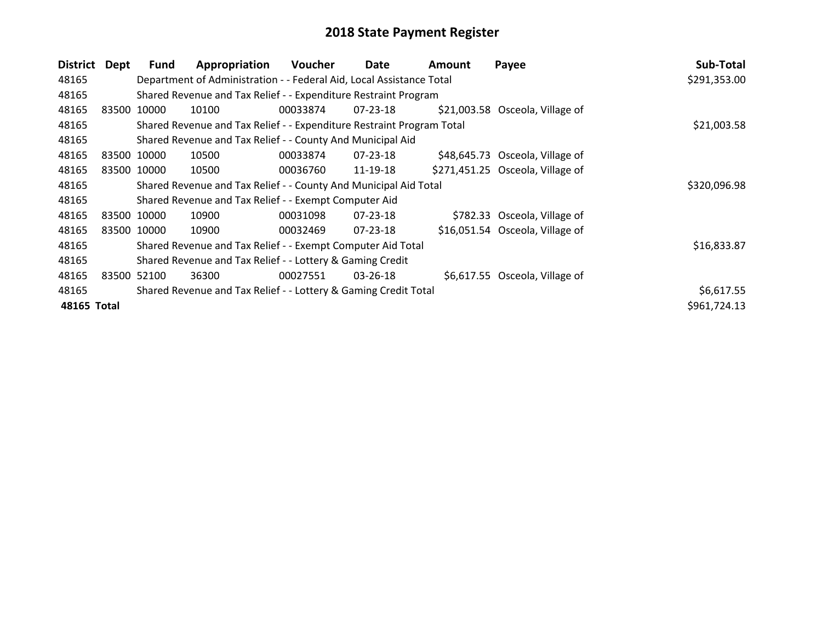| <b>District</b> | Dept | <b>Fund</b> | Appropriation                                                         | <b>Voucher</b> | Date           | Amount | Payee                            | Sub-Total    |
|-----------------|------|-------------|-----------------------------------------------------------------------|----------------|----------------|--------|----------------------------------|--------------|
| 48165           |      |             | Department of Administration - - Federal Aid, Local Assistance Total  |                |                |        |                                  | \$291,353.00 |
| 48165           |      |             | Shared Revenue and Tax Relief - - Expenditure Restraint Program       |                |                |        |                                  |              |
| 48165           |      | 83500 10000 | 10100                                                                 | 00033874       | 07-23-18       |        | \$21,003.58 Osceola, Village of  |              |
| 48165           |      |             | Shared Revenue and Tax Relief - - Expenditure Restraint Program Total |                |                |        |                                  | \$21,003.58  |
| 48165           |      |             | Shared Revenue and Tax Relief - - County And Municipal Aid            |                |                |        |                                  |              |
| 48165           |      | 83500 10000 | 10500                                                                 | 00033874       | 07-23-18       |        | \$48,645.73 Osceola, Village of  |              |
| 48165           |      | 83500 10000 | 10500                                                                 | 00036760       | 11-19-18       |        | \$271,451.25 Osceola, Village of |              |
| 48165           |      |             | Shared Revenue and Tax Relief - - County And Municipal Aid Total      |                |                |        |                                  | \$320,096.98 |
| 48165           |      |             | Shared Revenue and Tax Relief - - Exempt Computer Aid                 |                |                |        |                                  |              |
| 48165           |      | 83500 10000 | 10900                                                                 | 00031098       | 07-23-18       |        | \$782.33 Osceola, Village of     |              |
| 48165           |      | 83500 10000 | 10900                                                                 | 00032469       | $07 - 23 - 18$ |        | \$16,051.54 Osceola, Village of  |              |
| 48165           |      |             | Shared Revenue and Tax Relief - - Exempt Computer Aid Total           |                |                |        |                                  | \$16,833.87  |
| 48165           |      |             | Shared Revenue and Tax Relief - - Lottery & Gaming Credit             |                |                |        |                                  |              |
| 48165           |      | 83500 52100 | 36300                                                                 | 00027551       | $03 - 26 - 18$ |        | \$6,617.55 Osceola, Village of   |              |
| 48165           |      |             | Shared Revenue and Tax Relief - - Lottery & Gaming Credit Total       |                |                |        |                                  | \$6,617.55   |
| 48165 Total     |      |             |                                                                       |                |                |        |                                  | \$961,724.13 |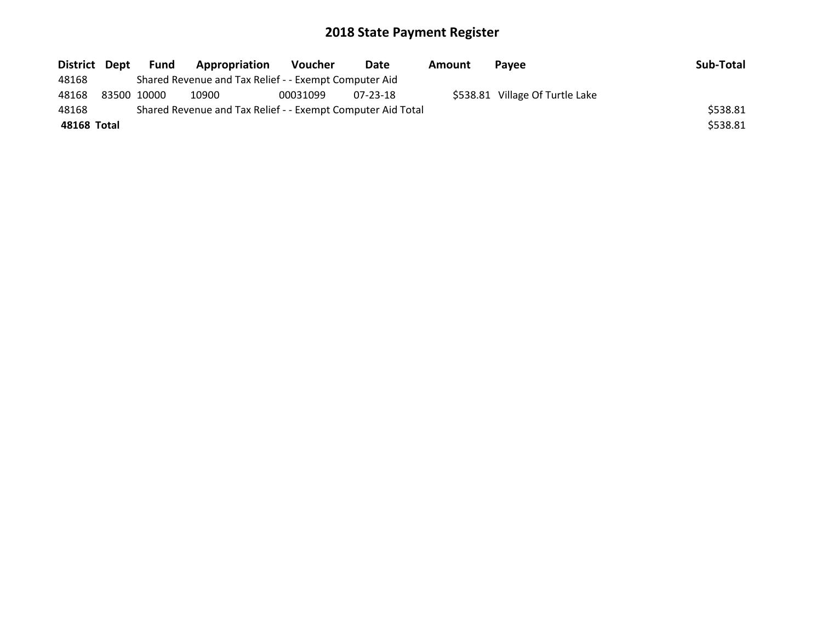| District Dept |             | Fund | <b>Appropriation</b>                                        | Voucher  | Date     | Amount | <b>Pavee</b>                    | Sub-Total |
|---------------|-------------|------|-------------------------------------------------------------|----------|----------|--------|---------------------------------|-----------|
| 48168         |             |      | Shared Revenue and Tax Relief - - Exempt Computer Aid       |          |          |        |                                 |           |
| 48168         | 83500 10000 |      | 10900                                                       | 00031099 | 07-23-18 |        | \$538.81 Village Of Turtle Lake |           |
| 48168         |             |      | Shared Revenue and Tax Relief - - Exempt Computer Aid Total |          |          |        |                                 | \$538.81  |
| 48168 Total   |             |      |                                                             |          |          |        |                                 | \$538.81  |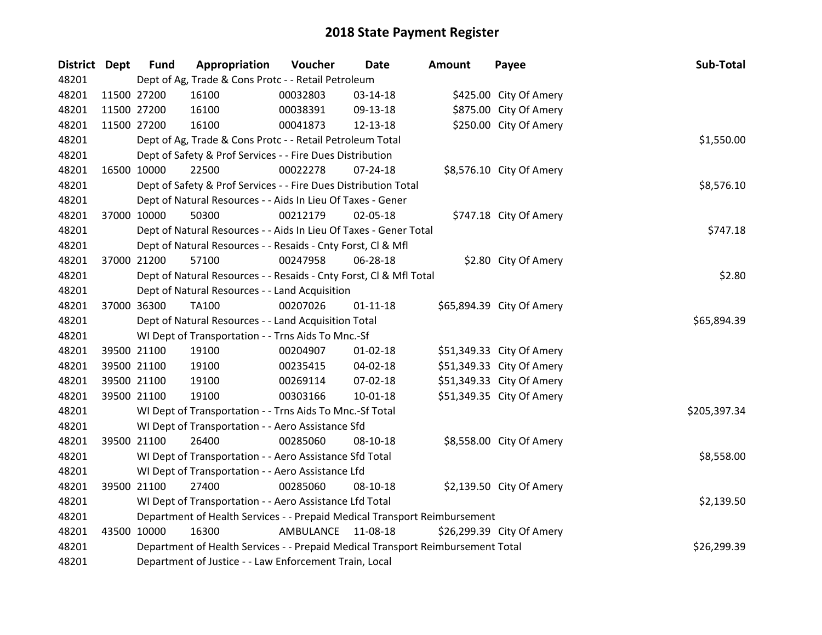| District Dept | <b>Fund</b> | Appropriation                                                                   | Voucher   | <b>Date</b>    | <b>Amount</b> | Payee                     | Sub-Total    |
|---------------|-------------|---------------------------------------------------------------------------------|-----------|----------------|---------------|---------------------------|--------------|
| 48201         |             | Dept of Ag, Trade & Cons Protc - - Retail Petroleum                             |           |                |               |                           |              |
| 48201         | 11500 27200 | 16100                                                                           | 00032803  | 03-14-18       |               | \$425.00 City Of Amery    |              |
| 48201         | 11500 27200 | 16100                                                                           | 00038391  | 09-13-18       |               | \$875.00 City Of Amery    |              |
| 48201         | 11500 27200 | 16100                                                                           | 00041873  | 12-13-18       |               | \$250.00 City Of Amery    |              |
| 48201         |             | Dept of Ag, Trade & Cons Protc - - Retail Petroleum Total                       |           |                |               |                           | \$1,550.00   |
| 48201         |             | Dept of Safety & Prof Services - - Fire Dues Distribution                       |           |                |               |                           |              |
| 48201         | 16500 10000 | 22500                                                                           | 00022278  | $07 - 24 - 18$ |               | \$8,576.10 City Of Amery  |              |
| 48201         |             | Dept of Safety & Prof Services - - Fire Dues Distribution Total                 |           |                |               |                           | \$8,576.10   |
| 48201         |             | Dept of Natural Resources - - Aids In Lieu Of Taxes - Gener                     |           |                |               |                           |              |
| 48201         | 37000 10000 | 50300                                                                           | 00212179  | 02-05-18       |               | \$747.18 City Of Amery    |              |
| 48201         |             | Dept of Natural Resources - - Aids In Lieu Of Taxes - Gener Total               |           |                |               |                           | \$747.18     |
| 48201         |             | Dept of Natural Resources - - Resaids - Cnty Forst, Cl & Mfl                    |           |                |               |                           |              |
| 48201         | 37000 21200 | 57100                                                                           | 00247958  | 06-28-18       |               | \$2.80 City Of Amery      |              |
| 48201         |             | Dept of Natural Resources - - Resaids - Cnty Forst, Cl & Mfl Total              |           |                |               |                           | \$2.80       |
| 48201         |             | Dept of Natural Resources - - Land Acquisition                                  |           |                |               |                           |              |
| 48201         | 37000 36300 | <b>TA100</b>                                                                    | 00207026  | $01 - 11 - 18$ |               | \$65,894.39 City Of Amery |              |
| 48201         |             | Dept of Natural Resources - - Land Acquisition Total                            |           |                |               |                           | \$65,894.39  |
| 48201         |             | WI Dept of Transportation - - Trns Aids To Mnc.-Sf                              |           |                |               |                           |              |
| 48201         | 39500 21100 | 19100                                                                           | 00204907  | $01 - 02 - 18$ |               | \$51,349.33 City Of Amery |              |
| 48201         | 39500 21100 | 19100                                                                           | 00235415  | 04-02-18       |               | \$51,349.33 City Of Amery |              |
| 48201         | 39500 21100 | 19100                                                                           | 00269114  | 07-02-18       |               | \$51,349.33 City Of Amery |              |
| 48201         | 39500 21100 | 19100                                                                           | 00303166  | 10-01-18       |               | \$51,349.35 City Of Amery |              |
| 48201         |             | WI Dept of Transportation - - Trns Aids To Mnc.-Sf Total                        |           |                |               |                           | \$205,397.34 |
| 48201         |             | WI Dept of Transportation - - Aero Assistance Sfd                               |           |                |               |                           |              |
| 48201         | 39500 21100 | 26400                                                                           | 00285060  | 08-10-18       |               | \$8,558.00 City Of Amery  |              |
| 48201         |             | WI Dept of Transportation - - Aero Assistance Sfd Total                         |           |                |               |                           | \$8,558.00   |
| 48201         |             | WI Dept of Transportation - - Aero Assistance Lfd                               |           |                |               |                           |              |
| 48201         | 39500 21100 | 27400                                                                           | 00285060  | 08-10-18       |               | \$2,139.50 City Of Amery  |              |
| 48201         |             | WI Dept of Transportation - - Aero Assistance Lfd Total                         |           |                |               |                           | \$2,139.50   |
| 48201         |             | Department of Health Services - - Prepaid Medical Transport Reimbursement       |           |                |               |                           |              |
| 48201         | 43500 10000 | 16300                                                                           | AMBULANCE | 11-08-18       |               | \$26,299.39 City Of Amery |              |
| 48201         |             | Department of Health Services - - Prepaid Medical Transport Reimbursement Total |           |                |               |                           | \$26,299.39  |
| 48201         |             | Department of Justice - - Law Enforcement Train, Local                          |           |                |               |                           |              |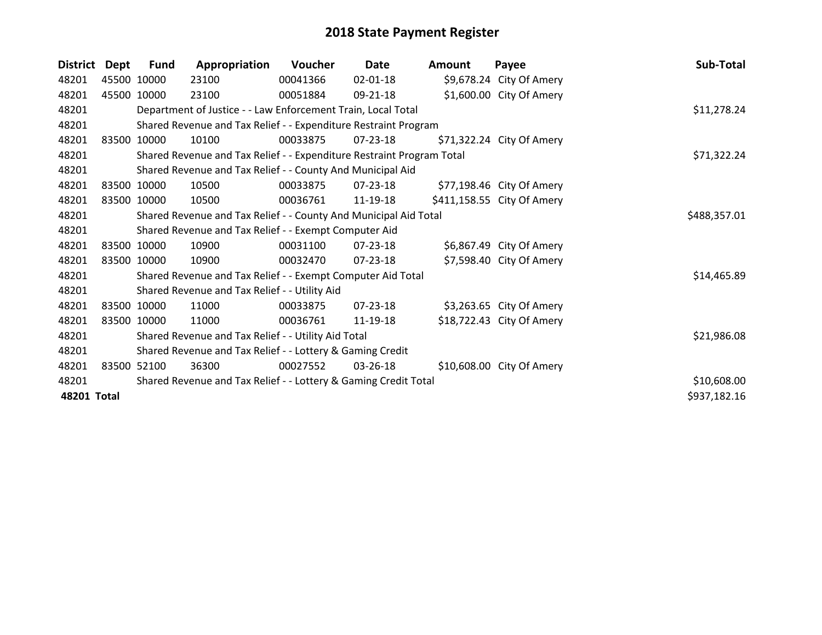| <b>District</b> | Dept | Fund                                                            | Appropriation                                                         | Voucher     | Date           | <b>Amount</b> | Payee                      | Sub-Total    |
|-----------------|------|-----------------------------------------------------------------|-----------------------------------------------------------------------|-------------|----------------|---------------|----------------------------|--------------|
| 48201           |      | 45500 10000                                                     | 23100                                                                 | 00041366    | $02 - 01 - 18$ |               | \$9,678.24 City Of Amery   |              |
| 48201           |      | 45500 10000                                                     | 23100                                                                 | 00051884    | 09-21-18       |               | \$1,600.00 City Of Amery   |              |
| 48201           |      |                                                                 | Department of Justice - - Law Enforcement Train, Local Total          |             |                |               |                            | \$11,278.24  |
| 48201           |      | Shared Revenue and Tax Relief - - Expenditure Restraint Program |                                                                       |             |                |               |                            |              |
| 48201           |      | 83500 10000                                                     | 10100                                                                 | 00033875    | 07-23-18       |               | \$71,322.24 City Of Amery  |              |
| 48201           |      |                                                                 | Shared Revenue and Tax Relief - - Expenditure Restraint Program Total | \$71,322.24 |                |               |                            |              |
| 48201           |      |                                                                 | Shared Revenue and Tax Relief - - County And Municipal Aid            |             |                |               |                            |              |
| 48201           |      | 83500 10000                                                     | 10500                                                                 | 00033875    | 07-23-18       |               | \$77,198.46 City Of Amery  |              |
| 48201           |      | 83500 10000                                                     | 10500                                                                 | 00036761    | 11-19-18       |               | \$411,158.55 City Of Amery |              |
| 48201           |      |                                                                 | Shared Revenue and Tax Relief - - County And Municipal Aid Total      |             |                |               |                            | \$488,357.01 |
| 48201           |      |                                                                 | Shared Revenue and Tax Relief - - Exempt Computer Aid                 |             |                |               |                            |              |
| 48201           |      | 83500 10000                                                     | 10900                                                                 | 00031100    | $07 - 23 - 18$ |               | \$6,867.49 City Of Amery   |              |
| 48201           |      | 83500 10000                                                     | 10900                                                                 | 00032470    | 07-23-18       |               | \$7,598.40 City Of Amery   |              |
| 48201           |      | Shared Revenue and Tax Relief - - Exempt Computer Aid Total     | \$14,465.89                                                           |             |                |               |                            |              |
| 48201           |      | Shared Revenue and Tax Relief - - Utility Aid                   |                                                                       |             |                |               |                            |              |
| 48201           |      | 83500 10000                                                     | 11000                                                                 | 00033875    | $07 - 23 - 18$ |               | \$3,263.65 City Of Amery   |              |
| 48201           |      | 83500 10000                                                     | 11000                                                                 | 00036761    | 11-19-18       |               | \$18,722.43 City Of Amery  |              |
| 48201           |      | Shared Revenue and Tax Relief - - Utility Aid Total             | \$21,986.08                                                           |             |                |               |                            |              |
| 48201           |      | Shared Revenue and Tax Relief - - Lottery & Gaming Credit       |                                                                       |             |                |               |                            |              |
| 48201           |      | 83500 52100                                                     | 36300                                                                 | 00027552    | $03 - 26 - 18$ |               | \$10,608.00 City Of Amery  |              |
| 48201           |      | Shared Revenue and Tax Relief - - Lottery & Gaming Credit Total | \$10,608.00                                                           |             |                |               |                            |              |
| 48201 Total     |      |                                                                 |                                                                       |             |                |               |                            | \$937,182.16 |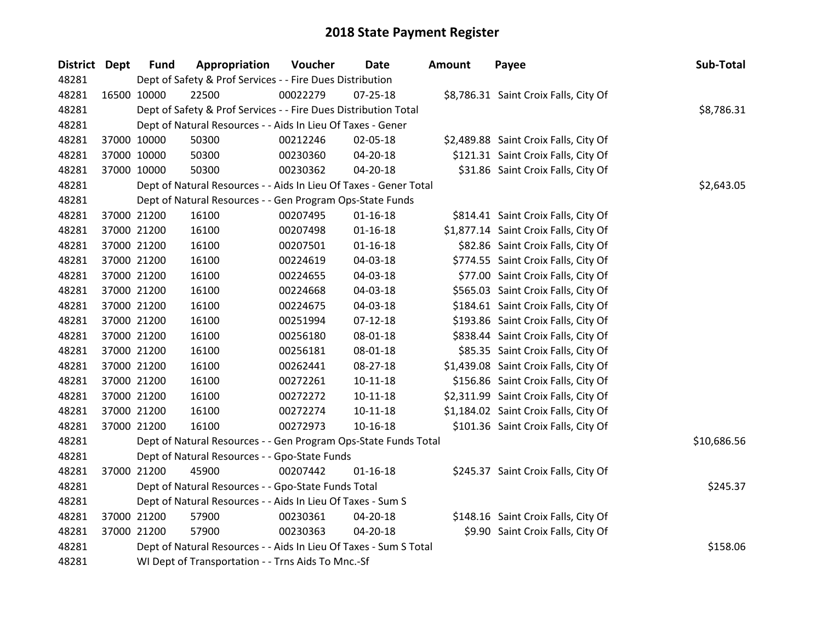| District Dept | <b>Fund</b>                                                       | Appropriation                                                     | Voucher  | <b>Date</b>    | <b>Amount</b> | Payee                                 | Sub-Total  |  |  |
|---------------|-------------------------------------------------------------------|-------------------------------------------------------------------|----------|----------------|---------------|---------------------------------------|------------|--|--|
| 48281         | Dept of Safety & Prof Services - - Fire Dues Distribution         |                                                                   |          |                |               |                                       |            |  |  |
| 48281         | 16500 10000                                                       | 22500                                                             | 00022279 | $07 - 25 - 18$ |               | \$8,786.31 Saint Croix Falls, City Of |            |  |  |
| 48281         | Dept of Safety & Prof Services - - Fire Dues Distribution Total   | \$8,786.31                                                        |          |                |               |                                       |            |  |  |
| 48281         |                                                                   | Dept of Natural Resources - - Aids In Lieu Of Taxes - Gener       |          |                |               |                                       |            |  |  |
| 48281         | 37000 10000                                                       | 50300                                                             | 00212246 | 02-05-18       |               | \$2,489.88 Saint Croix Falls, City Of |            |  |  |
| 48281         | 37000 10000                                                       | 50300                                                             | 00230360 | $04 - 20 - 18$ |               | \$121.31 Saint Croix Falls, City Of   |            |  |  |
| 48281         | 37000 10000                                                       | 50300                                                             | 00230362 | 04-20-18       |               | \$31.86 Saint Croix Falls, City Of    |            |  |  |
| 48281         |                                                                   | Dept of Natural Resources - - Aids In Lieu Of Taxes - Gener Total |          |                |               |                                       | \$2,643.05 |  |  |
| 48281         |                                                                   | Dept of Natural Resources - - Gen Program Ops-State Funds         |          |                |               |                                       |            |  |  |
| 48281         | 37000 21200                                                       | 16100                                                             | 00207495 | $01 - 16 - 18$ |               | \$814.41 Saint Croix Falls, City Of   |            |  |  |
| 48281         | 37000 21200                                                       | 16100                                                             | 00207498 | $01 - 16 - 18$ |               | \$1,877.14 Saint Croix Falls, City Of |            |  |  |
| 48281         | 37000 21200                                                       | 16100                                                             | 00207501 | $01 - 16 - 18$ |               | \$82.86 Saint Croix Falls, City Of    |            |  |  |
| 48281         | 37000 21200                                                       | 16100                                                             | 00224619 | 04-03-18       |               | \$774.55 Saint Croix Falls, City Of   |            |  |  |
| 48281         | 37000 21200                                                       | 16100                                                             | 00224655 | 04-03-18       |               | \$77.00 Saint Croix Falls, City Of    |            |  |  |
| 48281         | 37000 21200                                                       | 16100                                                             | 00224668 | 04-03-18       |               | \$565.03 Saint Croix Falls, City Of   |            |  |  |
| 48281         | 37000 21200                                                       | 16100                                                             | 00224675 | 04-03-18       |               | \$184.61 Saint Croix Falls, City Of   |            |  |  |
| 48281         | 37000 21200                                                       | 16100                                                             | 00251994 | $07 - 12 - 18$ |               | \$193.86 Saint Croix Falls, City Of   |            |  |  |
| 48281         | 37000 21200                                                       | 16100                                                             | 00256180 | 08-01-18       |               | \$838.44 Saint Croix Falls, City Of   |            |  |  |
| 48281         | 37000 21200                                                       | 16100                                                             | 00256181 | 08-01-18       |               | \$85.35 Saint Croix Falls, City Of    |            |  |  |
| 48281         | 37000 21200                                                       | 16100                                                             | 00262441 | 08-27-18       |               | \$1,439.08 Saint Croix Falls, City Of |            |  |  |
| 48281         | 37000 21200                                                       | 16100                                                             | 00272261 | $10 - 11 - 18$ |               | \$156.86 Saint Croix Falls, City Of   |            |  |  |
| 48281         | 37000 21200                                                       | 16100                                                             | 00272272 | $10-11-18$     |               | \$2,311.99 Saint Croix Falls, City Of |            |  |  |
| 48281         | 37000 21200                                                       | 16100                                                             | 00272274 | $10-11-18$     |               | \$1,184.02 Saint Croix Falls, City Of |            |  |  |
| 48281         | 37000 21200                                                       | 16100                                                             | 00272973 | $10-16-18$     |               | \$101.36 Saint Croix Falls, City Of   |            |  |  |
| 48281         | Dept of Natural Resources - - Gen Program Ops-State Funds Total   | \$10,686.56                                                       |          |                |               |                                       |            |  |  |
| 48281         | Dept of Natural Resources - - Gpo-State Funds                     |                                                                   |          |                |               |                                       |            |  |  |
| 48281         | 37000 21200                                                       | 45900                                                             | 00207442 | $01 - 16 - 18$ |               | \$245.37 Saint Croix Falls, City Of   |            |  |  |
| 48281         | Dept of Natural Resources - - Gpo-State Funds Total               | \$245.37                                                          |          |                |               |                                       |            |  |  |
| 48281         | Dept of Natural Resources - - Aids In Lieu Of Taxes - Sum S       |                                                                   |          |                |               |                                       |            |  |  |
| 48281         | 37000 21200                                                       | 57900                                                             | 00230361 | 04-20-18       |               | \$148.16 Saint Croix Falls, City Of   |            |  |  |
| 48281         | 37000 21200                                                       | 57900                                                             | 00230363 | 04-20-18       |               | \$9.90 Saint Croix Falls, City Of     |            |  |  |
| 48281         | Dept of Natural Resources - - Aids In Lieu Of Taxes - Sum S Total | \$158.06                                                          |          |                |               |                                       |            |  |  |
| 48281         | WI Dept of Transportation - - Trns Aids To Mnc.-Sf                |                                                                   |          |                |               |                                       |            |  |  |